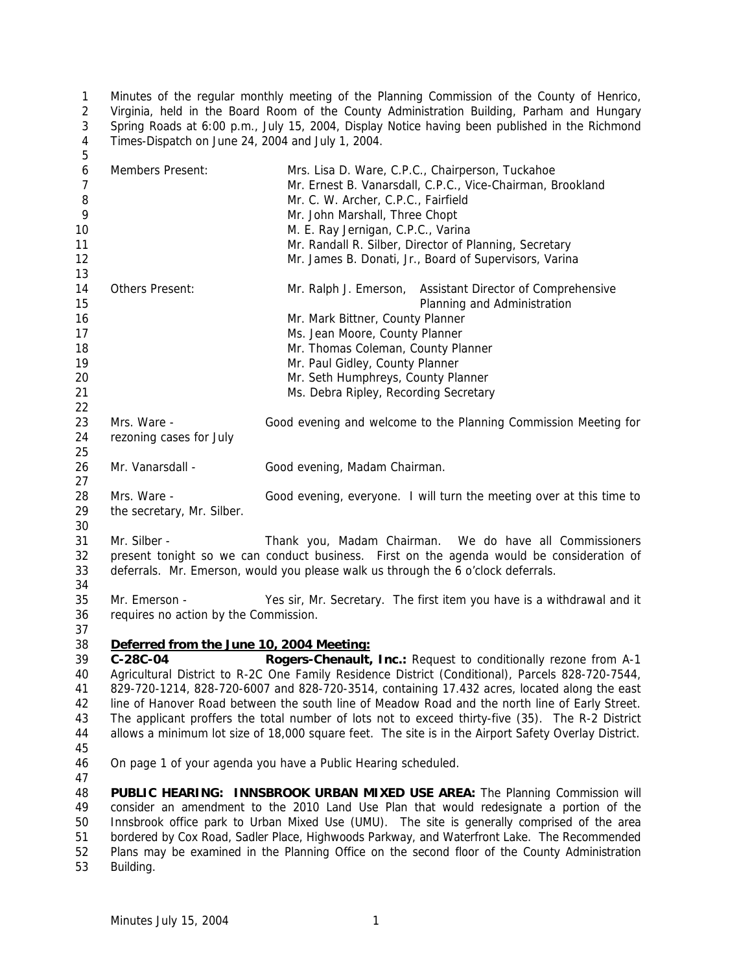Minutes of the regular monthly meeting of the Planning Commission of the County of Henrico, Virginia, held in the Board Room of the County Administration Building, Parham and Hungary Spring Roads at 6:00 p.m., July 15, 2004, Display Notice having been published in the Richmond Times-Dispatch on June 24, 2004 and July 1, 2004. 

| 6<br>$\overline{7}$<br>8<br>9<br>10<br>11<br>12<br>13 | Members Present:                                                                                                                                                                                                                                                                                                                                                                                                                                                                                                                                                                                                                          | Mrs. Lisa D. Ware, C.P.C., Chairperson, Tuckahoe<br>Mr. Ernest B. Vanarsdall, C.P.C., Vice-Chairman, Brookland<br>Mr. C. W. Archer, C.P.C., Fairfield<br>Mr. John Marshall, Three Chopt<br>M. E. Ray Jernigan, C.P.C., Varina<br>Mr. Randall R. Silber, Director of Planning, Secretary<br>Mr. James B. Donati, Jr., Board of Supervisors, Varina |
|-------------------------------------------------------|-------------------------------------------------------------------------------------------------------------------------------------------------------------------------------------------------------------------------------------------------------------------------------------------------------------------------------------------------------------------------------------------------------------------------------------------------------------------------------------------------------------------------------------------------------------------------------------------------------------------------------------------|---------------------------------------------------------------------------------------------------------------------------------------------------------------------------------------------------------------------------------------------------------------------------------------------------------------------------------------------------|
| 14<br>15<br>16<br>17<br>18<br>19<br>20<br>21<br>22    | Others Present:                                                                                                                                                                                                                                                                                                                                                                                                                                                                                                                                                                                                                           | Mr. Ralph J. Emerson, Assistant Director of Comprehensive<br>Planning and Administration<br>Mr. Mark Bittner, County Planner<br>Ms. Jean Moore, County Planner<br>Mr. Thomas Coleman, County Planner<br>Mr. Paul Gidley, County Planner<br>Mr. Seth Humphreys, County Planner<br>Ms. Debra Ripley, Recording Secretary                            |
| 23<br>24<br>25                                        | Mrs. Ware -<br>rezoning cases for July                                                                                                                                                                                                                                                                                                                                                                                                                                                                                                                                                                                                    | Good evening and welcome to the Planning Commission Meeting for                                                                                                                                                                                                                                                                                   |
| 26<br>27                                              | Mr. Vanarsdall -                                                                                                                                                                                                                                                                                                                                                                                                                                                                                                                                                                                                                          | Good evening, Madam Chairman.                                                                                                                                                                                                                                                                                                                     |
| 28<br>29<br>30                                        | Mrs. Ware -<br>the secretary, Mr. Silber.                                                                                                                                                                                                                                                                                                                                                                                                                                                                                                                                                                                                 | Good evening, everyone. I will turn the meeting over at this time to                                                                                                                                                                                                                                                                              |
| 31<br>32<br>33<br>34                                  | Mr. Silber -                                                                                                                                                                                                                                                                                                                                                                                                                                                                                                                                                                                                                              | Thank you, Madam Chairman. We do have all Commissioners<br>present tonight so we can conduct business. First on the agenda would be consideration of<br>deferrals. Mr. Emerson, would you please walk us through the 6 o'clock deferrals.                                                                                                         |
| 35<br>36<br>37                                        | Mr. Emerson -<br>requires no action by the Commission.                                                                                                                                                                                                                                                                                                                                                                                                                                                                                                                                                                                    | Yes sir, Mr. Secretary. The first item you have is a withdrawal and it                                                                                                                                                                                                                                                                            |
| 38<br>39<br>40<br>41<br>42<br>43<br>44<br>45          | Deferred from the June 10, 2004 Meeting:<br>C-28C-04<br>Rogers-Chenault, Inc.: Request to conditionally rezone from A-1<br>Agricultural District to R-2C One Family Residence District (Conditional), Parcels 828-720-7544,<br>829-720-1214, 828-720-6007 and 828-720-3514, containing 17.432 acres, located along the east<br>line of Hanover Road between the south line of Meadow Road and the north line of Early Street.<br>The applicant proffers the total number of lots not to exceed thirty-five (35). The R-2 District<br>allows a minimum lot size of 18,000 square feet. The site is in the Airport Safety Overlay District. |                                                                                                                                                                                                                                                                                                                                                   |
| 46<br>47                                              | On page 1 of your agenda you have a Public Hearing scheduled.                                                                                                                                                                                                                                                                                                                                                                                                                                                                                                                                                                             |                                                                                                                                                                                                                                                                                                                                                   |
| 48<br>49<br>50<br>51<br>52                            | PUBLIC HEARING: INNSBROOK URBAN MIXED USE AREA: The Planning Commission will<br>consider an amendment to the 2010 Land Use Plan that would redesignate a portion of the<br>Innsbrook office park to Urban Mixed Use (UMU). The site is generally comprised of the area<br>bordered by Cox Road, Sadler Place, Highwoods Parkway, and Waterfront Lake. The Recommended<br>Plans may be examined in the Planning Office on the second floor of the County Administration                                                                                                                                                                    |                                                                                                                                                                                                                                                                                                                                                   |

Building.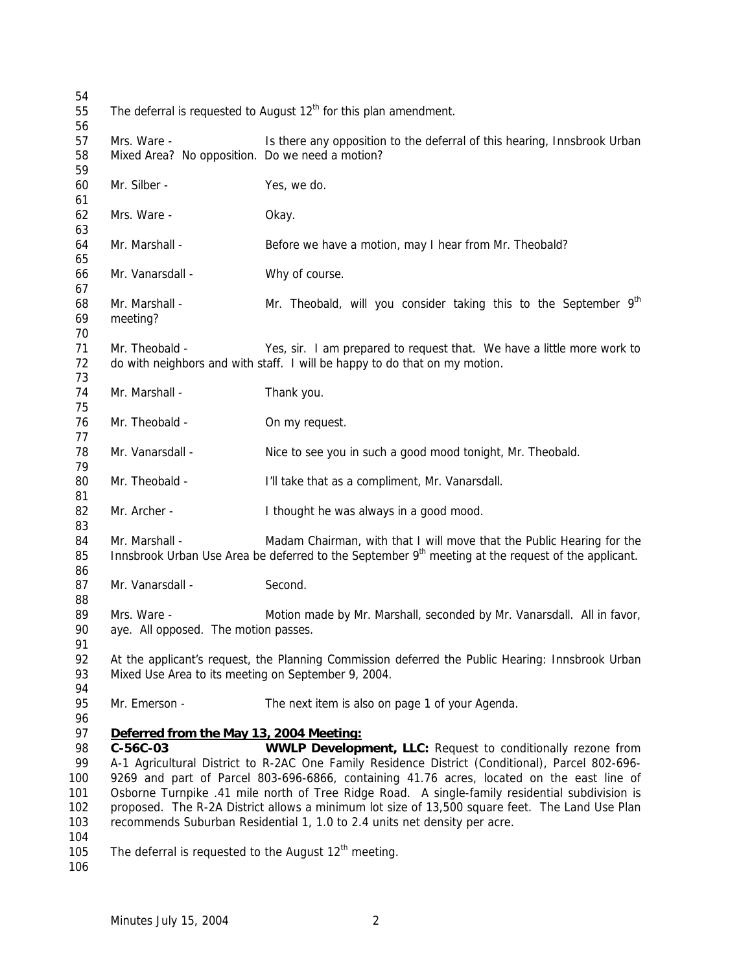| 54       |                                                                     |                                                                                                                |
|----------|---------------------------------------------------------------------|----------------------------------------------------------------------------------------------------------------|
| 55       | The deferral is requested to August $12th$ for this plan amendment. |                                                                                                                |
| 56       |                                                                     |                                                                                                                |
| 57       | Mrs. Ware -                                                         | Is there any opposition to the deferral of this hearing, Innsbrook Urban                                       |
| 58       | Mixed Area? No opposition. Do we need a motion?                     |                                                                                                                |
| 59       |                                                                     |                                                                                                                |
| 60<br>61 | Mr. Silber -                                                        | Yes, we do.                                                                                                    |
| 62       | Mrs. Ware -                                                         | Okay.                                                                                                          |
| 63       |                                                                     |                                                                                                                |
| 64       | Mr. Marshall -                                                      | Before we have a motion, may I hear from Mr. Theobald?                                                         |
| 65       |                                                                     |                                                                                                                |
| 66       | Mr. Vanarsdall -                                                    | Why of course.                                                                                                 |
| 67       |                                                                     |                                                                                                                |
| 68       | Mr. Marshall -                                                      | Mr. Theobald, will you consider taking this to the September 9 <sup>th</sup>                                   |
| 69       | meeting?                                                            |                                                                                                                |
| 70       |                                                                     |                                                                                                                |
| 71       | Mr. Theobald -                                                      | Yes, sir. I am prepared to request that. We have a little more work to                                         |
| 72       |                                                                     | do with neighbors and with staff. I will be happy to do that on my motion.                                     |
| 73       |                                                                     |                                                                                                                |
| 74       | Mr. Marshall -                                                      | Thank you.                                                                                                     |
| 75       |                                                                     |                                                                                                                |
| 76<br>77 | Mr. Theobald -                                                      | On my request.                                                                                                 |
| 78       | Mr. Vanarsdall -                                                    | Nice to see you in such a good mood tonight, Mr. Theobald.                                                     |
| 79       |                                                                     |                                                                                                                |
| 80       | Mr. Theobald -                                                      | I'll take that as a compliment, Mr. Vanarsdall.                                                                |
| 81       |                                                                     |                                                                                                                |
| 82       | Mr. Archer -                                                        | I thought he was always in a good mood.                                                                        |
| 83       |                                                                     |                                                                                                                |
| 84       | Mr. Marshall -                                                      | Madam Chairman, with that I will move that the Public Hearing for the                                          |
| 85       |                                                                     | Innsbrook Urban Use Area be deferred to the September 9 <sup>th</sup> meeting at the request of the applicant. |
| 86       |                                                                     |                                                                                                                |
| 87       | Mr. Vanarsdall -                                                    | Second.                                                                                                        |
| 88       |                                                                     |                                                                                                                |
| 89       | Mrs. Ware -                                                         | Motion made by Mr. Marshall, seconded by Mr. Vanarsdall. All in favor,                                         |
| 90       | aye. All opposed. The motion passes.                                |                                                                                                                |
| 91       |                                                                     |                                                                                                                |
| 92<br>93 | Mixed Use Area to its meeting on September 9, 2004.                 | At the applicant's request, the Planning Commission deferred the Public Hearing: Innsbrook Urban               |
| 94       |                                                                     |                                                                                                                |
| 95       | Mr. Emerson -                                                       | The next item is also on page 1 of your Agenda.                                                                |
| 96       |                                                                     |                                                                                                                |
| 97       | Deferred from the May 13, 2004 Meeting:                             |                                                                                                                |
| 98       | $C-56C-03$                                                          | <b>WWLP Development, LLC: Request to conditionally rezone from</b>                                             |
| 99       |                                                                     | A-1 Agricultural District to R-2AC One Family Residence District (Conditional), Parcel 802-696-                |
| 100      |                                                                     | 9269 and part of Parcel 803-696-6866, containing 41.76 acres, located on the east line of                      |
| 101      |                                                                     | Osborne Turnpike .41 mile north of Tree Ridge Road. A single-family residential subdivision is                 |
| 102      |                                                                     | proposed. The R-2A District allows a minimum lot size of 13,500 square feet. The Land Use Plan                 |
| 103      |                                                                     | recommends Suburban Residential 1, 1.0 to 2.4 units net density per acre.                                      |
| 104      |                                                                     |                                                                                                                |
| 105      | The deferral is requested to the August $12th$ meeting.             |                                                                                                                |
| 106      |                                                                     |                                                                                                                |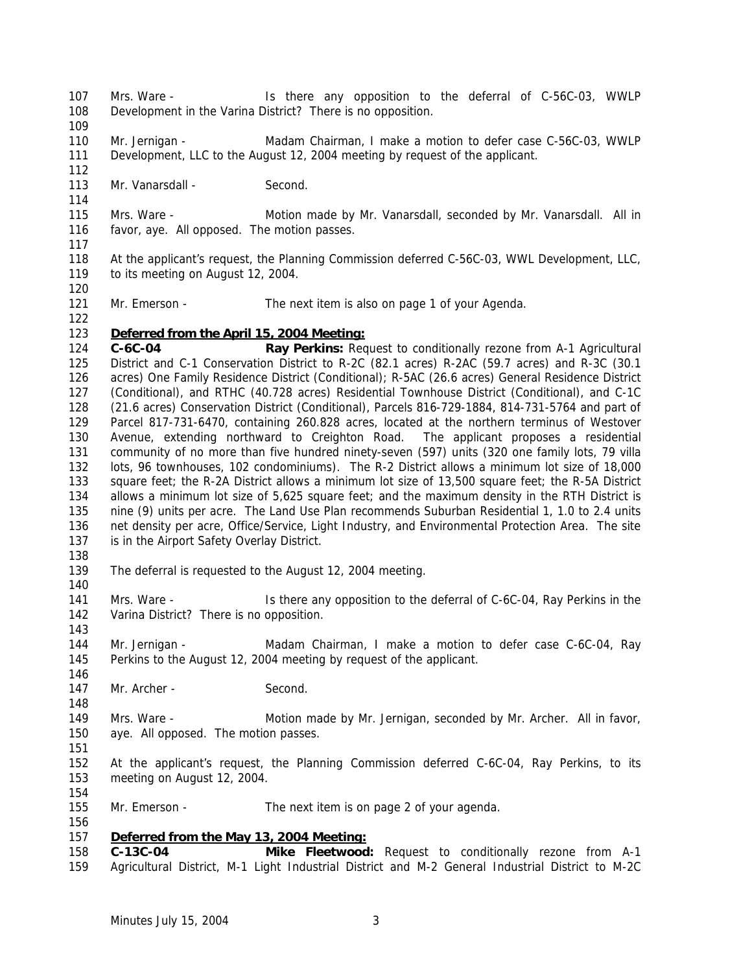- Mrs. Ware Is there any opposition to the deferral of C-56C-03, WWLP Development in the Varina District? There is no opposition.
- 

 Mr. Jernigan - Madam Chairman, I make a motion to defer case C-56C-03, WWLP Development, LLC to the August 12, 2004 meeting by request of the applicant.

- 113 Mr. Vanarsdall Second.
- Mrs. Ware Motion made by Mr. Vanarsdall, seconded by Mr. Vanarsdall. All in favor, aye. All opposed. The motion passes.
- 

 At the applicant's request, the Planning Commission deferred C-56C-03, WWL Development, LLC, to its meeting on August 12, 2004.

121 Mr. Emerson - The next item is also on page 1 of your Agenda.

## *Deferred from the April 15, 2004 Meeting:*

 **C-6C-04 Ray Perkins:** Request to conditionally rezone from A-1 Agricultural District and C-1 Conservation District to R-2C (82.1 acres) R-2AC (59.7 acres) and R-3C (30.1 acres) One Family Residence District (Conditional); R-5AC (26.6 acres) General Residence District (Conditional), and RTHC (40.728 acres) Residential Townhouse District (Conditional), and C-1C (21.6 acres) Conservation District (Conditional), Parcels 816-729-1884, 814-731-5764 and part of Parcel 817-731-6470, containing 260.828 acres, located at the northern terminus of Westover Avenue, extending northward to Creighton Road. The applicant proposes a residential community of no more than five hundred ninety-seven (597) units (320 one family lots, 79 villa lots, 96 townhouses, 102 condominiums). The R-2 District allows a minimum lot size of 18,000 square feet; the R-2A District allows a minimum lot size of 13,500 square feet; the R-5A District allows a minimum lot size of 5,625 square feet; and the maximum density in the RTH District is nine (9) units per acre. The Land Use Plan recommends Suburban Residential 1, 1.0 to 2.4 units net density per acre, Office/Service, Light Industry, and Environmental Protection Area. The site 137 is in the Airport Safety Overlay District.

- The deferral is requested to the August 12, 2004 meeting.
- 141 Mrs. Ware Is there any opposition to the deferral of C-6C-04, Ray Perkins in the Varina District? There is no opposition.
- Mr. Jernigan Madam Chairman, I make a motion to defer case C-6C-04, Ray Perkins to the August 12, 2004 meeting by request of the applicant.
- 147 Mr. Archer Second.
- Mrs. Ware Motion made by Mr. Jernigan, seconded by Mr. Archer. All in favor, aye. All opposed. The motion passes.
- At the applicant's request, the Planning Commission deferred C-6C-04, Ray Perkins, to its meeting on August 12, 2004.
- 155 Mr. Emerson The next item is on page 2 of your agenda.

# *Deferred from the May 13, 2004 Meeting:*

 **C-13C-04 Mike Fleetwood:** Request to conditionally rezone from A-1 Agricultural District, M-1 Light Industrial District and M-2 General Industrial District to M-2C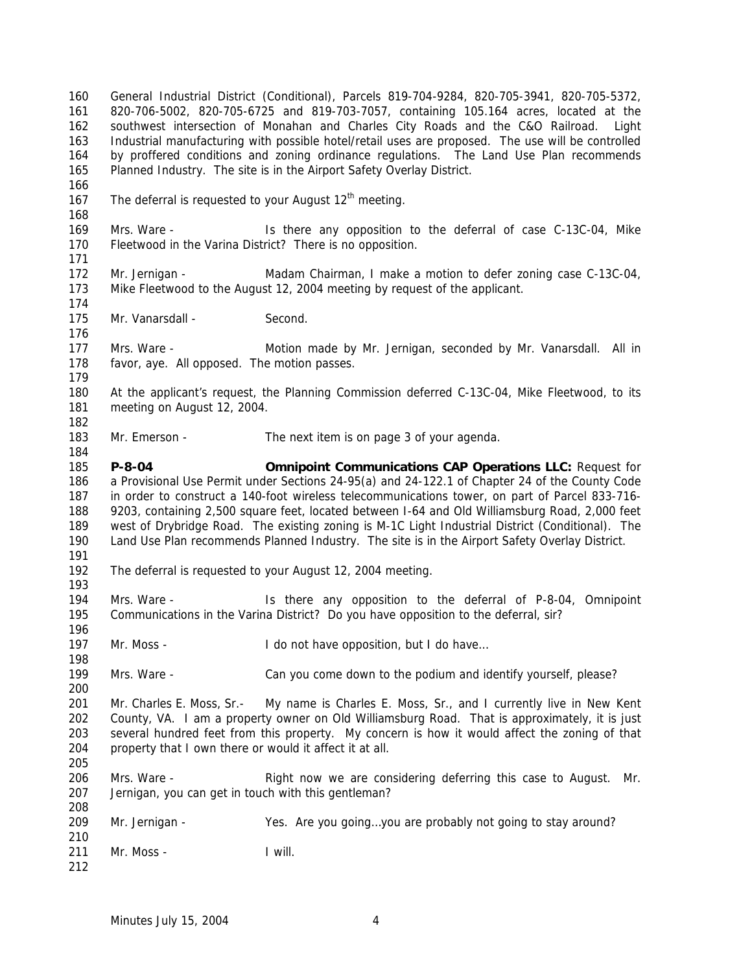General Industrial District (Conditional), Parcels 819-704-9284, 820-705-3941, 820-705-5372, 820-706-5002, 820-705-6725 and 819-703-7057, containing 105.164 acres, located at the southwest intersection of Monahan and Charles City Roads and the C&O Railroad. Light Industrial manufacturing with possible hotel/retail uses are proposed. The use will be controlled by proffered conditions and zoning ordinance regulations. The Land Use Plan recommends Planned Industry. The site is in the Airport Safety Overlay District. 167 The deferral is requested to your August  $12<sup>th</sup>$  meeting. Mrs. Ware - Is there any opposition to the deferral of case C-13C-04, Mike Fleetwood in the Varina District? There is no opposition. Mr. Jernigan - Madam Chairman, I make a motion to defer zoning case C-13C-04, Mike Fleetwood to the August 12, 2004 meeting by request of the applicant. 175 Mr. Vanarsdall - Second. Mrs. Ware - Motion made by Mr. Jernigan, seconded by Mr. Vanarsdall. All in favor, aye. All opposed. The motion passes. At the applicant's request, the Planning Commission deferred C-13C-04, Mike Fleetwood, to its meeting on August 12, 2004. 183 Mr. Emerson - The next item is on page 3 of your agenda. **P-8-04 Omnipoint Communications CAP Operations LLC:** Request for a Provisional Use Permit under Sections 24-95(a) and 24-122.1 of Chapter 24 of the County Code in order to construct a 140-foot wireless telecommunications tower, on part of Parcel 833-716- 9203, containing 2,500 square feet, located between I-64 and Old Williamsburg Road, 2,000 feet west of Drybridge Road. The existing zoning is M-1C Light Industrial District (Conditional). The Land Use Plan recommends Planned Industry. The site is in the Airport Safety Overlay District. The deferral is requested to your August 12, 2004 meeting. 194 Mrs. Ware - Is there any opposition to the deferral of P-8-04, Omnipoint Communications in the Varina District? Do you have opposition to the deferral, sir? 197 Mr. Moss - I do not have opposition, but I do have... Mrs. Ware - Can you come down to the podium and identify yourself, please? Mr. Charles E. Moss, Sr.- My name is Charles E. Moss, Sr., and I currently live in New Kent County, VA. I am a property owner on Old Williamsburg Road. That is approximately, it is just several hundred feet from this property. My concern is how it would affect the zoning of that property that I own there or would it affect it at all. Mrs. Ware - Right now we are considering deferring this case to August. Mr. Jernigan, you can get in touch with this gentleman? Mr. Jernigan - Yes. Are you going…you are probably not going to stay around? Mr. Moss - I will.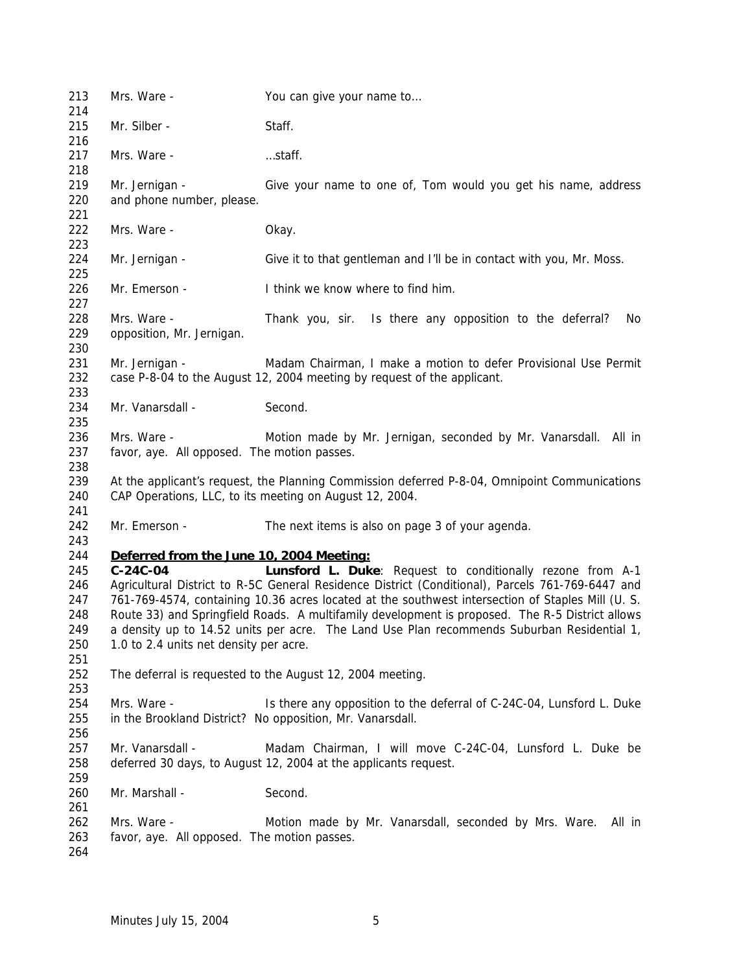| 213<br>214 | Mrs. Ware -                                                | You can give your name to                                                                         |
|------------|------------------------------------------------------------|---------------------------------------------------------------------------------------------------|
| 215        | Mr. Silber -                                               | Staff.                                                                                            |
| 216        |                                                            |                                                                                                   |
| 217        | Mrs. Ware -                                                | staff.                                                                                            |
| 218        |                                                            |                                                                                                   |
| 219        | Mr. Jernigan -                                             | Give your name to one of, Tom would you get his name, address                                     |
| 220        | and phone number, please.                                  |                                                                                                   |
| 221        |                                                            |                                                                                                   |
| 222        | Mrs. Ware -                                                | Okay.                                                                                             |
| 223        |                                                            |                                                                                                   |
| 224        | Mr. Jernigan -                                             | Give it to that gentleman and I'll be in contact with you, Mr. Moss.                              |
| 225        |                                                            |                                                                                                   |
| 226        | Mr. Emerson -                                              | I think we know where to find him.                                                                |
| 227        |                                                            |                                                                                                   |
| 228        | Mrs. Ware -                                                | Thank you, sir. Is there any opposition to the deferral?<br>No                                    |
| 229        | opposition, Mr. Jernigan.                                  |                                                                                                   |
| 230        |                                                            |                                                                                                   |
| 231        | Mr. Jernigan -                                             | Madam Chairman, I make a motion to defer Provisional Use Permit                                   |
| 232        |                                                            | case P-8-04 to the August 12, 2004 meeting by request of the applicant.                           |
| 233        |                                                            |                                                                                                   |
| 234        | Mr. Vanarsdall -                                           | Second.                                                                                           |
| 235        |                                                            |                                                                                                   |
| 236        | Mrs. Ware -                                                | Motion made by Mr. Jernigan, seconded by Mr. Vanarsdall. All in                                   |
| 237        | favor, aye. All opposed. The motion passes.                |                                                                                                   |
| 238        |                                                            |                                                                                                   |
| 239        |                                                            | At the applicant's request, the Planning Commission deferred P-8-04, Omnipoint Communications     |
| 240        |                                                            | CAP Operations, LLC, to its meeting on August 12, 2004.                                           |
| 241        |                                                            |                                                                                                   |
| 242        | Mr. Emerson -                                              | The next items is also on page 3 of your agenda.                                                  |
| 243        |                                                            |                                                                                                   |
| 244        | Deferred from the June 10, 2004 Meeting:                   |                                                                                                   |
| 245        | $C-24C-04$                                                 | Lunsford L. Duke: Request to conditionally rezone from A-1                                        |
| 246        |                                                            | Agricultural District to R-5C General Residence District (Conditional), Parcels 761-769-6447 and  |
| 247        |                                                            | 761-769-4574, containing 10.36 acres located at the southwest intersection of Staples Mill (U. S. |
| 248        |                                                            | Route 33) and Springfield Roads. A multifamily development is proposed. The R-5 District allows   |
| 249        |                                                            | a density up to 14.52 units per acre. The Land Use Plan recommends Suburban Residential 1,        |
| 250        | 1.0 to 2.4 units net density per acre.                     |                                                                                                   |
| 251        |                                                            |                                                                                                   |
| 252        |                                                            | The deferral is requested to the August 12, 2004 meeting.                                         |
| 253        |                                                            |                                                                                                   |
| 254        | Mrs. Ware -                                                | Is there any opposition to the deferral of C-24C-04, Lunsford L. Duke                             |
| 255        |                                                            | in the Brookland District? No opposition, Mr. Vanarsdall.                                         |
| 256        |                                                            |                                                                                                   |
| 257        | Mr. Vanarsdall -                                           | Madam Chairman, I will move C-24C-04, Lunsford L. Duke be                                         |
| 258        |                                                            | deferred 30 days, to August 12, 2004 at the applicants request.                                   |
| 259        |                                                            |                                                                                                   |
| 260        | Mr. Marshall -                                             | Second.                                                                                           |
|            |                                                            |                                                                                                   |
|            |                                                            |                                                                                                   |
| 261        |                                                            |                                                                                                   |
| 262<br>263 | Mrs. Ware -<br>favor, aye. All opposed. The motion passes. | Motion made by Mr. Vanarsdall, seconded by Mrs. Ware.<br>All in                                   |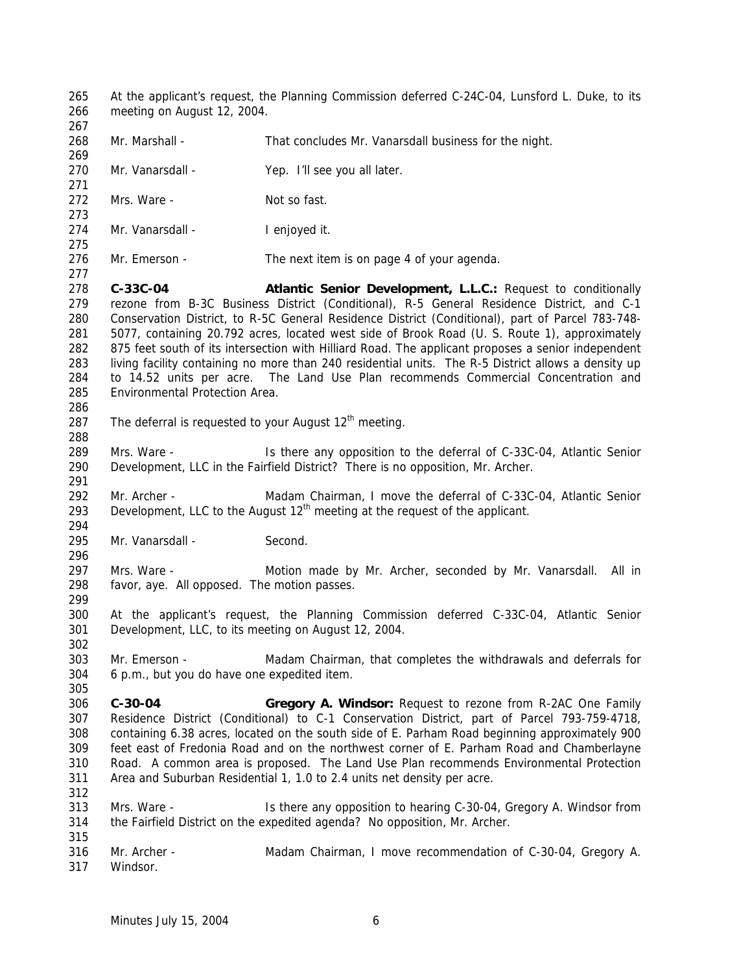At the applicant's request, the Planning Commission deferred C-24C-04, Lunsford L. Duke, to its meeting on August 12, 2004. 268 Mr. Marshall - That concludes Mr. Vanarsdall business for the night. 270 Mr. Vanarsdall - Yep. I'll see you all later. 272 Mrs. Ware - Not so fast. 274 Mr. Vanarsdall - I enjoyed it. Mr. Emerson - The next item is on page 4 of your agenda. **C-33C-04 Atlantic Senior Development, L.L.C.:** Request to conditionally rezone from B-3C Business District (Conditional), R-5 General Residence District, and C-1 Conservation District, to R-5C General Residence District (Conditional), part of Parcel 783-748- 5077, containing 20.792 acres, located west side of Brook Road (U. S. Route 1), approximately 875 feet south of its intersection with Hilliard Road. The applicant proposes a senior independent living facility containing no more than 240 residential units. The R-5 District allows a density up to 14.52 units per acre. The Land Use Plan recommends Commercial Concentration and Environmental Protection Area. 287 The deferral is requested to your August  $12<sup>th</sup>$  meeting. 289 Mrs. Ware - Is there any opposition to the deferral of C-33C-04, Atlantic Senior Development, LLC in the Fairfield District? There is no opposition, Mr. Archer. Mr. Archer - Madam Chairman, I move the deferral of C-33C-04, Atlantic Senior 293 Development, LLC to the August  $12<sup>th</sup>$  meeting at the request of the applicant. 295 Mr. Vanarsdall - Second. 297 Mrs. Ware - Motion made by Mr. Archer, seconded by Mr. Vanarsdall. All in favor, aye. All opposed. The motion passes. At the applicant's request, the Planning Commission deferred C-33C-04, Atlantic Senior Development, LLC, to its meeting on August 12, 2004. Mr. Emerson - Madam Chairman, that completes the withdrawals and deferrals for 6 p.m., but you do have one expedited item. **C-30-04 Gregory A. Windsor:** Request to rezone from R-2AC One Family Residence District (Conditional) to C-1 Conservation District, part of Parcel 793-759-4718, containing 6.38 acres, located on the south side of E. Parham Road beginning approximately 900 feet east of Fredonia Road and on the northwest corner of E. Parham Road and Chamberlayne Road. A common area is proposed. The Land Use Plan recommends Environmental Protection Area and Suburban Residential 1, 1.0 to 2.4 units net density per acre. Mrs. Ware - Is there any opposition to hearing C-30-04, Gregory A. Windsor from the Fairfield District on the expedited agenda? No opposition, Mr. Archer. Mr. Archer - Madam Chairman, I move recommendation of C-30-04, Gregory A. Windsor.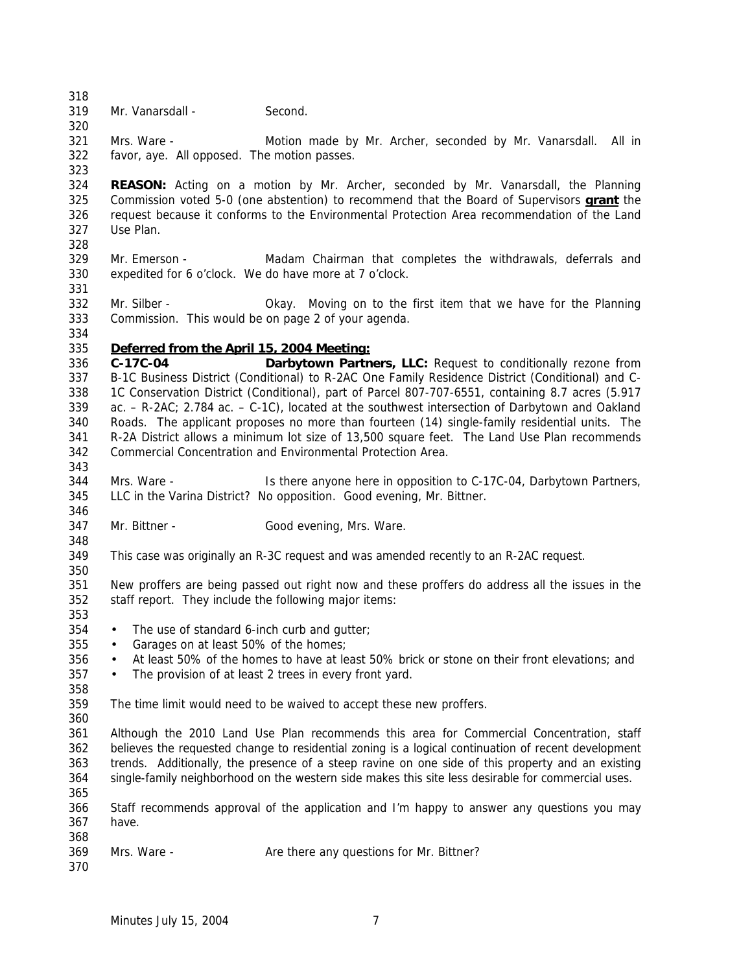Mr. Vanarsdall - Second.

 Mrs. Ware - Motion made by Mr. Archer, seconded by Mr. Vanarsdall. All in favor, aye. All opposed. The motion passes. 

 **REASON:** Acting on a motion by Mr. Archer, seconded by Mr. Vanarsdall, the Planning Commission voted 5-0 (one abstention) to recommend that the Board of Supervisors **grant** the request because it conforms to the Environmental Protection Area recommendation of the Land Use Plan. 

- Mr. Emerson Madam Chairman that completes the withdrawals, deferrals and expedited for 6 o'clock. We do have more at 7 o'clock.
- Mr. Silber Okay. Moving on to the first item that we have for the Planning Commission. This would be on page 2 of your agenda.
- *Deferred from the April 15, 2004 Meeting:*
- **C-17C-04 Darbytown Partners, LLC:** Request to conditionally rezone from B-1C Business District (Conditional) to R-2AC One Family Residence District (Conditional) and C- 1C Conservation District (Conditional), part of Parcel 807-707-6551, containing 8.7 acres (5.917 ac. – R-2AC; 2.784 ac. – C-1C), located at the southwest intersection of Darbytown and Oakland Roads. The applicant proposes no more than fourteen (14) single-family residential units. The R-2A District allows a minimum lot size of 13,500 square feet. The Land Use Plan recommends Commercial Concentration and Environmental Protection Area.
- Mrs. Ware Is there anyone here in opposition to C-17C-04, Darbytown Partners, LLC in the Varina District? No opposition. Good evening, Mr. Bittner.
- 347 Mr. Bittner Good evening, Mrs. Ware.
- This case was originally an R-3C request and was amended recently to an R-2AC request.
- 

- New proffers are being passed out right now and these proffers do address all the issues in the staff report. They include the following major items:
- 
- The use of standard 6-inch curb and gutter;
- 355 Garages on at least 50% of the homes:
- At least 50% of the homes to have at least 50% brick or stone on their front elevations; and
- The provision of at least 2 trees in every front yard.
- 
- The time limit would need to be waived to accept these new proffers.
- 

 Although the 2010 Land Use Plan recommends this area for Commercial Concentration, staff believes the requested change to residential zoning is a logical continuation of recent development trends. Additionally, the presence of a steep ravine on one side of this property and an existing single-family neighborhood on the western side makes this site less desirable for commercial uses. 

- Staff recommends approval of the application and I'm happy to answer any questions you may have.
- 369 Mrs. Ware Are there any questions for Mr. Bittner?
-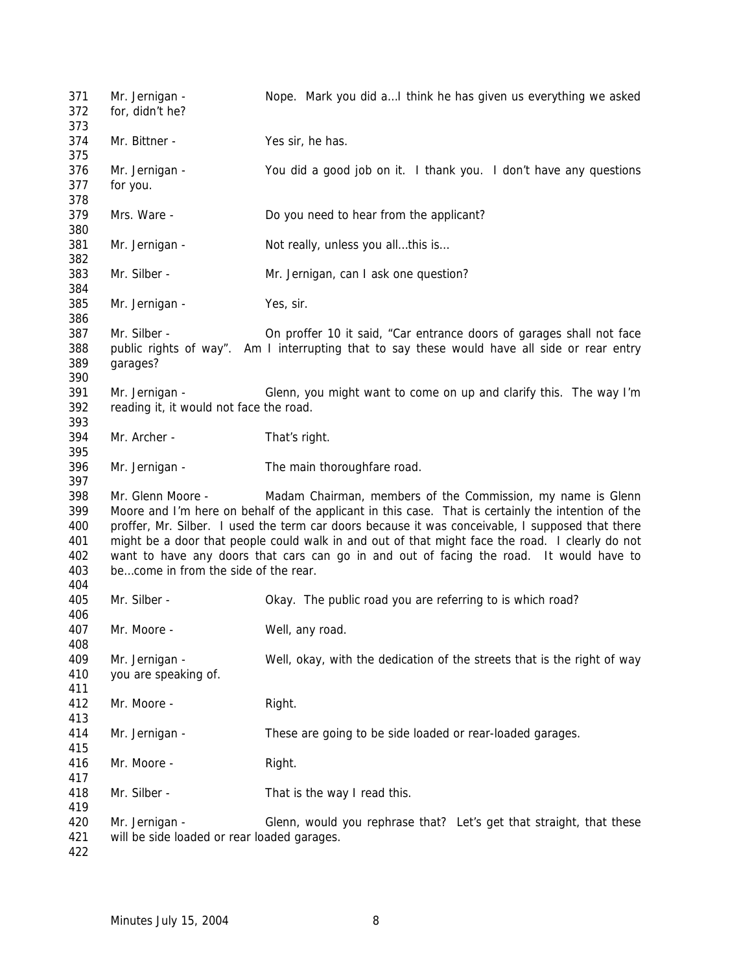Mr. Jernigan - Nope. Mark you did a…I think he has given us everything we asked for, didn't he? Mr. Bittner - Yes sir, he has. Mr. Jernigan - You did a good job on it. I thank you. I don't have any questions for you. Mrs. Ware - Do you need to hear from the applicant? 381 Mr. Jernigan - Not really, unless you all...this is... Mr. Silber - Mr. Jernigan, can I ask one question? Mr. Jernigan - Yes, sir. Mr. Silber - On proffer 10 it said, "Car entrance doors of garages shall not face public rights of way". Am I interrupting that to say these would have all side or rear entry garages? Mr. Jernigan - Glenn, you might want to come on up and clarify this. The way I'm reading it, it would not face the road. Mr. Archer - That's right. Mr. Jernigan - The main thoroughfare road. Mr. Glenn Moore - Madam Chairman, members of the Commission, my name is Glenn Moore and I'm here on behalf of the applicant in this case. That is certainly the intention of the proffer, Mr. Silber. I used the term car doors because it was conceivable, I supposed that there might be a door that people could walk in and out of that might face the road. I clearly do not want to have any doors that cars can go in and out of facing the road. It would have to be…come in from the side of the rear. Mr. Silber - Okay. The public road you are referring to is which road? Mr. Moore - Well, any road. Mr. Jernigan - Well, okay, with the dedication of the streets that is the right of way you are speaking of. 412 Mr. Moore - Right. Mr. Jernigan - These are going to be side loaded or rear-loaded garages. 416 Mr. Moore - Right. Mr. Silber - That is the way I read this. Mr. Jernigan - Glenn, would you rephrase that? Let's get that straight, that these will be side loaded or rear loaded garages.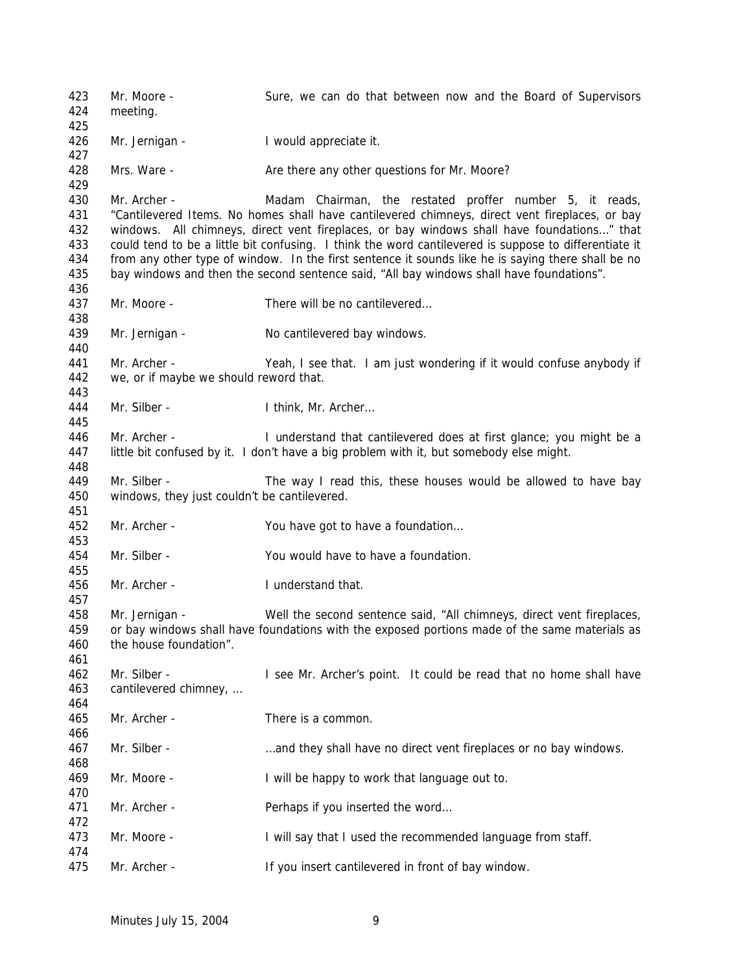Mr. Moore - Sure, we can do that between now and the Board of Supervisors meeting. 426 Mr. Jernigan - I would appreciate it. 428 Mrs. Ware - **Are there any other questions for Mr. Moore?**  Mr. Archer - Madam Chairman, the restated proffer number 5, it reads, "Cantilevered Items. No homes shall have cantilevered chimneys, direct vent fireplaces, or bay windows. All chimneys, direct vent fireplaces, or bay windows shall have foundations…" that could tend to be a little bit confusing. I think the word cantilevered is suppose to differentiate it from any other type of window. In the first sentence it sounds like he is saying there shall be no bay windows and then the second sentence said, "All bay windows shall have foundations". Mr. Moore - There will be no cantilevered… Mr. Jernigan - No cantilevered bay windows. Mr. Archer - Yeah, I see that. I am just wondering if it would confuse anybody if we, or if maybe we should reword that. Mr. Silber - I think, Mr. Archer… Mr. Archer - I understand that cantilevered does at first glance; you might be a 447 little bit confused by it. I don't have a big problem with it, but somebody else might. Mr. Silber - The way I read this, these houses would be allowed to have bay windows, they just couldn't be cantilevered. Mr. Archer - You have got to have a foundation… Mr. Silber - You would have to have a foundation. Mr. Archer - I understand that. Mr. Jernigan - Well the second sentence said, "All chimneys, direct vent fireplaces, or bay windows shall have foundations with the exposed portions made of the same materials as the house foundation". Mr. Silber - I see Mr. Archer's point. It could be read that no home shall have cantilevered chimney, … Mr. Archer - There is a common. Mr. Silber - …and they shall have no direct vent fireplaces or no bay windows. Mr. Moore - I will be happy to work that language out to. 471 Mr. Archer - Perhaps if you inserted the word... 473 Mr. Moore - I will say that I used the recommended language from staff. Mr. Archer - If you insert cantilevered in front of bay window.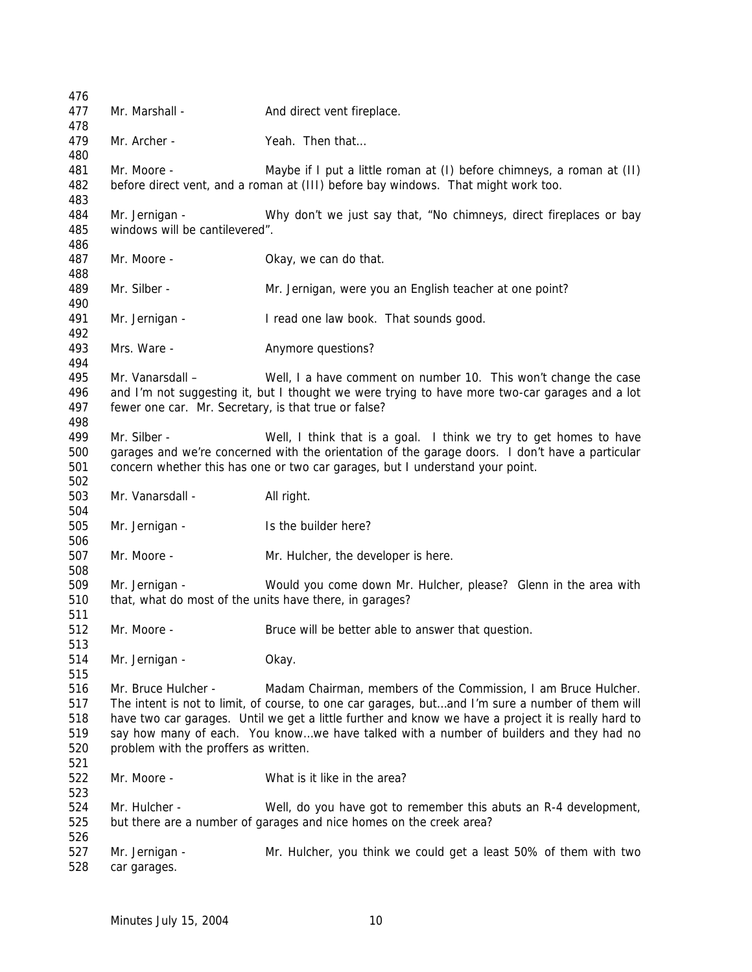| 476        |                                                         |                                                                                                     |
|------------|---------------------------------------------------------|-----------------------------------------------------------------------------------------------------|
| 477        | Mr. Marshall -                                          | And direct vent fireplace.                                                                          |
| 478        |                                                         |                                                                                                     |
| 479<br>480 | Mr. Archer -                                            | Yeah. Then that                                                                                     |
| 481        | Mr. Moore -                                             | Maybe if I put a little roman at (I) before chimneys, a roman at (II)                               |
| 482<br>483 |                                                         | before direct vent, and a roman at (III) before bay windows. That might work too.                   |
| 484        | Mr. Jernigan -                                          | Why don't we just say that, "No chimneys, direct fireplaces or bay                                  |
| 485        | windows will be cantilevered".                          |                                                                                                     |
| 486        |                                                         |                                                                                                     |
| 487        | Mr. Moore -                                             | Okay, we can do that.                                                                               |
| 488        |                                                         |                                                                                                     |
| 489<br>490 | Mr. Silber -                                            | Mr. Jernigan, were you an English teacher at one point?                                             |
| 491        | Mr. Jernigan -                                          | I read one law book. That sounds good.                                                              |
| 492        |                                                         |                                                                                                     |
| 493        | Mrs. Ware -                                             | Anymore questions?                                                                                  |
| 494        |                                                         |                                                                                                     |
| 495        | Mr. Vanarsdall -                                        | Well, I a have comment on number 10. This won't change the case                                     |
| 496        |                                                         | and I'm not suggesting it, but I thought we were trying to have more two-car garages and a lot      |
| 497        | fewer one car. Mr. Secretary, is that true or false?    |                                                                                                     |
| 498        |                                                         |                                                                                                     |
| 499        | Mr. Silber -                                            | Well, I think that is a goal. I think we try to get homes to have                                   |
| 500        |                                                         | garages and we're concerned with the orientation of the garage doors. I don't have a particular     |
| 501<br>502 |                                                         | concern whether this has one or two car garages, but I understand your point.                       |
| 503        | Mr. Vanarsdall -                                        | All right.                                                                                          |
| 504        |                                                         |                                                                                                     |
| 505        | Mr. Jernigan -                                          | Is the builder here?                                                                                |
| 506        |                                                         |                                                                                                     |
| 507        | Mr. Moore -                                             | Mr. Hulcher, the developer is here.                                                                 |
| 508        |                                                         |                                                                                                     |
| 509        | Mr. Jernigan -                                          | Would you come down Mr. Hulcher, please? Glenn in the area with                                     |
| 510<br>511 | that, what do most of the units have there, in garages? |                                                                                                     |
| 512        | Mr. Moore -                                             | Bruce will be better able to answer that question.                                                  |
| 513        |                                                         |                                                                                                     |
| 514        | Mr. Jernigan -                                          | Okay.                                                                                               |
| 515        |                                                         |                                                                                                     |
| 516        | Mr. Bruce Hulcher -                                     | Madam Chairman, members of the Commission, I am Bruce Hulcher.                                      |
| 517        |                                                         | The intent is not to limit, of course, to one car garages, butand I'm sure a number of them will    |
| 518        |                                                         | have two car garages. Until we get a little further and know we have a project it is really hard to |
| 519        |                                                         | say how many of each. You knowwe have talked with a number of builders and they had no              |
| 520<br>521 | problem with the proffers as written.                   |                                                                                                     |
| 522<br>523 | Mr. Moore -                                             | What is it like in the area?                                                                        |
| 524        | Mr. Hulcher -                                           | Well, do you have got to remember this abuts an R-4 development,                                    |
| 525<br>526 |                                                         | but there are a number of garages and nice homes on the creek area?                                 |
| 527        | Mr. Jernigan -                                          | Mr. Hulcher, you think we could get a least 50% of them with two                                    |
| 528        | car garages.                                            |                                                                                                     |
|            |                                                         |                                                                                                     |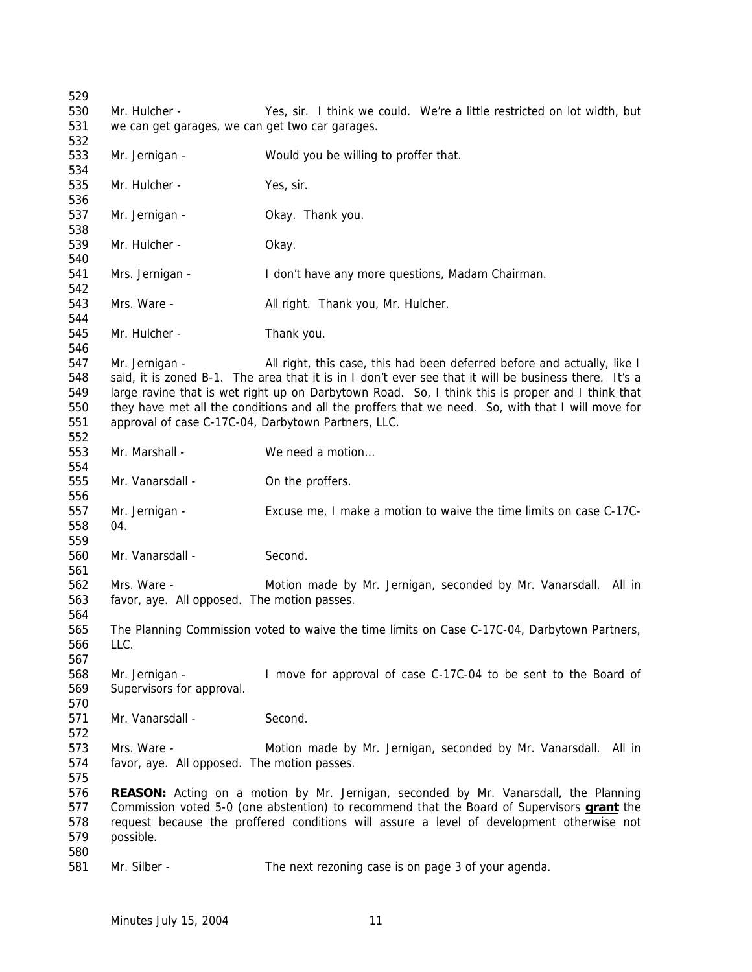Mr. Hulcher - Yes, sir. I think we could. We're a little restricted on lot width, but we can get garages, we can get two car garages. Mr. Jernigan - Would you be willing to proffer that. Mr. Hulcher - Yes, sir. Mr. Jernigan - Okay. Thank you. Mr. Hulcher - Okay. Mrs. Jernigan - I don't have any more questions, Madam Chairman. 543 Mrs. Ware - **All right. Thank you, Mr. Hulcher.**  Mr. Hulcher - Thank you. 547 Mr. Jernigan - All right, this case, this had been deferred before and actually, like I said, it is zoned B-1. The area that it is in I don't ever see that it will be business there. It's a large ravine that is wet right up on Darbytown Road. So, I think this is proper and I think that they have met all the conditions and all the proffers that we need. So, with that I will move for approval of case C-17C-04, Darbytown Partners, LLC. 553 Mr. Marshall - We need a motion... 555 Mr. Vanarsdall - On the proffers. Mr. Jernigan - Excuse me, I make a motion to waive the time limits on case C-17C- 04. Mr. Vanarsdall - Second. Mrs. Ware - Motion made by Mr. Jernigan, seconded by Mr. Vanarsdall. All in favor, aye. All opposed. The motion passes. The Planning Commission voted to waive the time limits on Case C-17C-04, Darbytown Partners, LLC. Mr. Jernigan - I move for approval of case C-17C-04 to be sent to the Board of Supervisors for approval. Mr. Vanarsdall - Second. Mrs. Ware - Motion made by Mr. Jernigan, seconded by Mr. Vanarsdall. All in favor, aye. All opposed. The motion passes. **REASON:** Acting on a motion by Mr. Jernigan, seconded by Mr. Vanarsdall, the Planning Commission voted 5-0 (one abstention) to recommend that the Board of Supervisors **grant** the request because the proffered conditions will assure a level of development otherwise not possible. Mr. Silber - The next rezoning case is on page 3 of your agenda.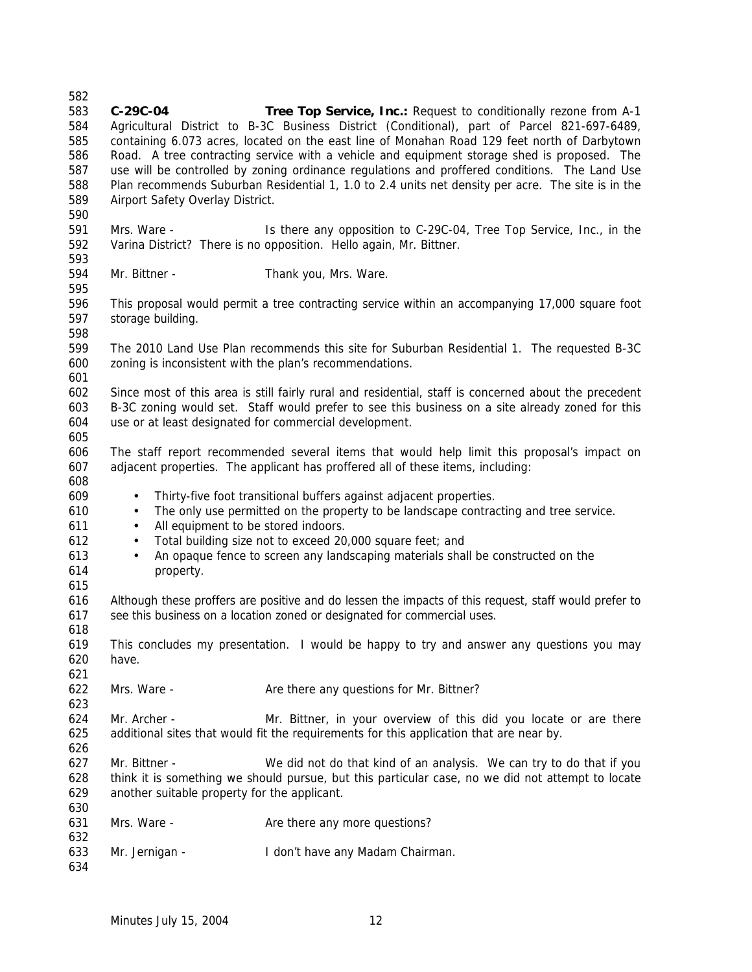**C-29C-04 Tree Top Service, Inc.:** Request to conditionally rezone from A-1 Agricultural District to B-3C Business District (Conditional), part of Parcel 821-697-6489, containing 6.073 acres, located on the east line of Monahan Road 129 feet north of Darbytown Road. A tree contracting service with a vehicle and equipment storage shed is proposed. The use will be controlled by zoning ordinance regulations and proffered conditions. The Land Use Plan recommends Suburban Residential 1, 1.0 to 2.4 units net density per acre. The site is in the Airport Safety Overlay District. Mrs. Ware - Is there any opposition to C-29C-04, Tree Top Service, Inc., in the Varina District? There is no opposition. Hello again, Mr. Bittner. Mr. Bittner - Thank you, Mrs. Ware. This proposal would permit a tree contracting service within an accompanying 17,000 square foot storage building. The 2010 Land Use Plan recommends this site for Suburban Residential 1. The requested B-3C zoning is inconsistent with the plan's recommendations. Since most of this area is still fairly rural and residential, staff is concerned about the precedent B-3C zoning would set. Staff would prefer to see this business on a site already zoned for this use or at least designated for commercial development. The staff report recommended several items that would help limit this proposal's impact on adjacent properties. The applicant has proffered all of these items, including: • Thirty-five foot transitional buffers against adjacent properties. • The only use permitted on the property to be landscape contracting and tree service. • All equipment to be stored indoors. • Total building size not to exceed 20,000 square feet; and • An opaque fence to screen any landscaping materials shall be constructed on the property. Although these proffers are positive and do lessen the impacts of this request, staff would prefer to see this business on a location zoned or designated for commercial uses. This concludes my presentation. I would be happy to try and answer any questions you may have. 622 Mrs. Ware - Are there any questions for Mr. Bittner? Mr. Archer - Mr. Bittner, in your overview of this did you locate or are there additional sites that would fit the requirements for this application that are near by. 627 Mr. Bittner - We did not do that kind of an analysis. We can try to do that if you think it is something we should pursue, but this particular case, no we did not attempt to locate another suitable property for the applicant. 631 Mrs. Ware - Are there any more questions? Mr. Jernigan - I don't have any Madam Chairman.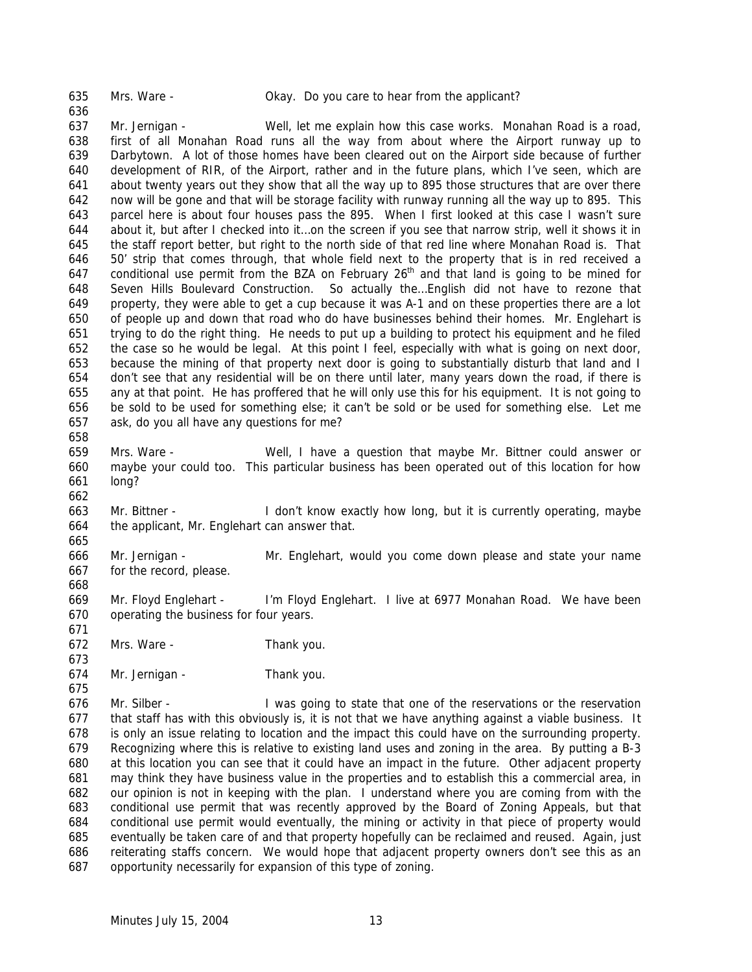Mrs. Ware - Okay. Do you care to hear from the applicant?

 Mr. Jernigan - Well, let me explain how this case works. Monahan Road is a road, first of all Monahan Road runs all the way from about where the Airport runway up to Darbytown. A lot of those homes have been cleared out on the Airport side because of further development of RIR, of the Airport, rather and in the future plans, which I've seen, which are about twenty years out they show that all the way up to 895 those structures that are over there now will be gone and that will be storage facility with runway running all the way up to 895. This parcel here is about four houses pass the 895. When I first looked at this case I wasn't sure about it, but after I checked into it…on the screen if you see that narrow strip, well it shows it in the staff report better, but right to the north side of that red line where Monahan Road is. That 50' strip that comes through, that whole field next to the property that is in red received a 647 conditional use permit from the BZA on February  $26<sup>th</sup>$  and that land is going to be mined for Seven Hills Boulevard Construction. So actually the…English did not have to rezone that property, they were able to get a cup because it was A-1 and on these properties there are a lot of people up and down that road who do have businesses behind their homes. Mr. Englehart is trying to do the right thing. He needs to put up a building to protect his equipment and he filed the case so he would be legal. At this point I feel, especially with what is going on next door, because the mining of that property next door is going to substantially disturb that land and I don't see that any residential will be on there until later, many years down the road, if there is any at that point. He has proffered that he will only use this for his equipment. It is not going to be sold to be used for something else; it can't be sold or be used for something else. Let me ask, do you all have any questions for me? 

 Mrs. Ware - Well, I have a question that maybe Mr. Bittner could answer or maybe your could too. This particular business has been operated out of this location for how long?

 Mr. Bittner - I don't know exactly how long, but it is currently operating, maybe the applicant, Mr. Englehart can answer that.

 Mr. Jernigan - Mr. Englehart, would you come down please and state your name for the record, please.

- Mr. Floyd Englehart I'm Floyd Englehart. I live at 6977 Monahan Road. We have been operating the business for four years.
- Mrs. Ware Thank you.
- Mr. Jernigan Thank you.

 Mr. Silber - I was going to state that one of the reservations or the reservation that staff has with this obviously is, it is not that we have anything against a viable business. It is only an issue relating to location and the impact this could have on the surrounding property. Recognizing where this is relative to existing land uses and zoning in the area. By putting a B-3 at this location you can see that it could have an impact in the future. Other adjacent property may think they have business value in the properties and to establish this a commercial area, in our opinion is not in keeping with the plan. I understand where you are coming from with the conditional use permit that was recently approved by the Board of Zoning Appeals, but that conditional use permit would eventually, the mining or activity in that piece of property would eventually be taken care of and that property hopefully can be reclaimed and reused. Again, just reiterating staffs concern. We would hope that adjacent property owners don't see this as an opportunity necessarily for expansion of this type of zoning.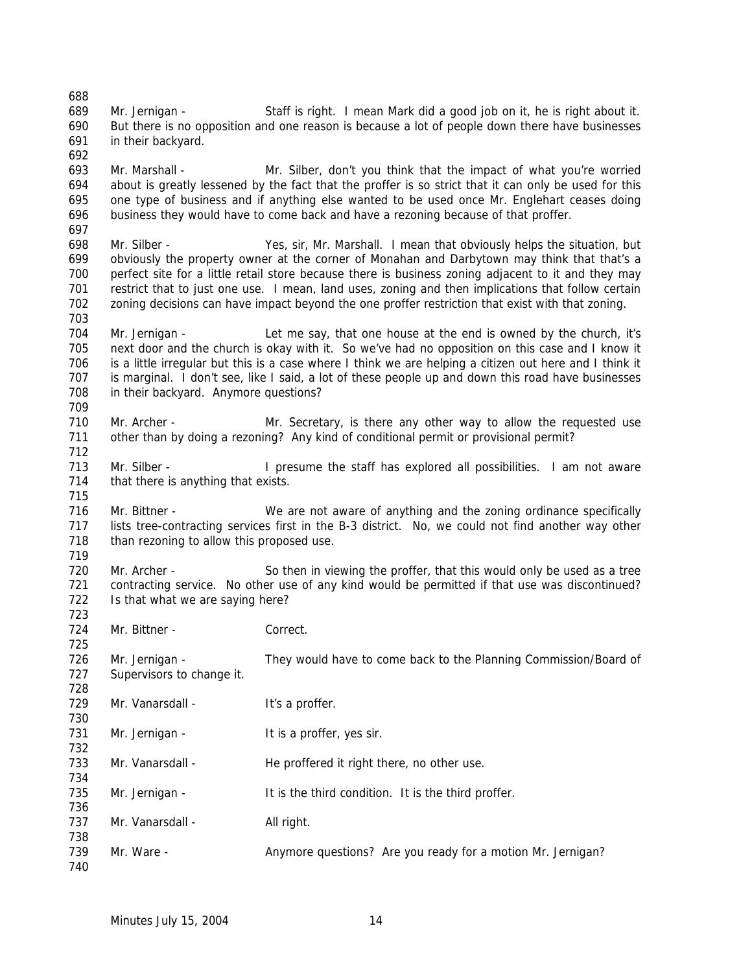Mr. Jernigan - Staff is right. I mean Mark did a good job on it, he is right about it. But there is no opposition and one reason is because a lot of people down there have businesses in their backyard. Mr. Marshall - Mr. Silber, don't you think that the impact of what you're worried about is greatly lessened by the fact that the proffer is so strict that it can only be used for this one type of business and if anything else wanted to be used once Mr. Englehart ceases doing business they would have to come back and have a rezoning because of that proffer. Mr. Silber - Yes, sir, Mr. Marshall. I mean that obviously helps the situation, but 699 obviously the property owner at the corner of Monahan and Darbytown may think that that's a perfect site for a little retail store because there is business zoning adjacent to it and they may restrict that to just one use. I mean, land uses, zoning and then implications that follow certain zoning decisions can have impact beyond the one proffer restriction that exist with that zoning. Mr. Jernigan - Let me say, that one house at the end is owned by the church, it's next door and the church is okay with it. So we've had no opposition on this case and I know it is a little irregular but this is a case where I think we are helping a citizen out here and I think it is marginal. I don't see, like I said, a lot of these people up and down this road have businesses in their backyard. Anymore questions? Mr. Archer - Mr. Secretary, is there any other way to allow the requested use other than by doing a rezoning? Any kind of conditional permit or provisional permit? Mr. Silber - I presume the staff has explored all possibilities. I am not aware 714 that there is anything that exists. Mr. Bittner - We are not aware of anything and the zoning ordinance specifically lists tree-contracting services first in the B-3 district. No, we could not find another way other 718 than rezoning to allow this proposed use. Mr. Archer - So then in viewing the proffer, that this would only be used as a tree contracting service. No other use of any kind would be permitted if that use was discontinued? 722 Is that what we are saying here? 724 Mr. Bittner - Correct. Mr. Jernigan - They would have to come back to the Planning Commission/Board of 727 Supervisors to change it. 729 Mr. Vanarsdall - It's a proffer. 731 Mr. Jernigan - It is a proffer, yes sir. 733 Mr. Vanarsdall - He proffered it right there, no other use. 735 Mr. Jernigan - It is the third condition. It is the third proffer. 737 Mr. Vanarsdall - All right. Mr. Ware - Anymore questions? Are you ready for a motion Mr. Jernigan?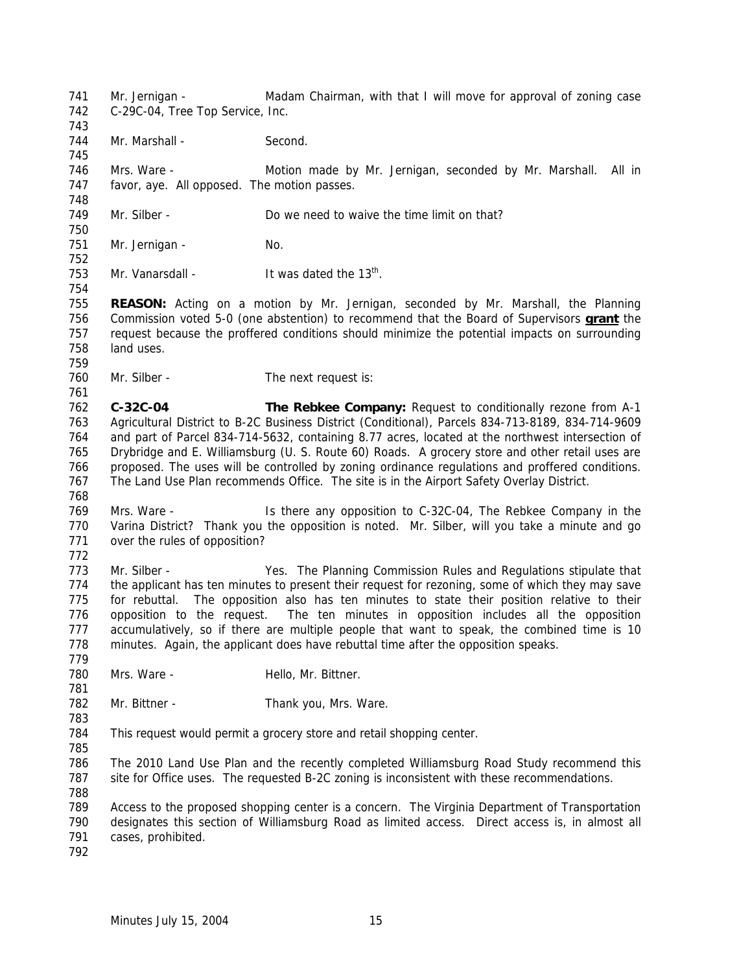Mr. Jernigan - Madam Chairman, with that I will move for approval of zoning case C-29C-04, Tree Top Service, Inc. 744 Mr. Marshall - Second. Mrs. Ware - Motion made by Mr. Jernigan, seconded by Mr. Marshall. All in favor, aye. All opposed. The motion passes. Mr. Silber - Do we need to waive the time limit on that? 751 Mr. Jernigan - No. 753 Mr. Vanarsdall - It was dated the  $13<sup>th</sup>$ . **REASON:** Acting on a motion by Mr. Jernigan, seconded by Mr. Marshall, the Planning Commission voted 5-0 (one abstention) to recommend that the Board of Supervisors **grant** the request because the proffered conditions should minimize the potential impacts on surrounding land uses. 760 Mr. Silber - The next request is: **C-32C-04 The Rebkee Company:** Request to conditionally rezone from A-1 Agricultural District to B-2C Business District (Conditional), Parcels 834-713-8189, 834-714-9609 and part of Parcel 834-714-5632, containing 8.77 acres, located at the northwest intersection of Drybridge and E. Williamsburg (U. S. Route 60) Roads. A grocery store and other retail uses are proposed. The uses will be controlled by zoning ordinance regulations and proffered conditions. The Land Use Plan recommends Office. The site is in the Airport Safety Overlay District. Mrs. Ware - Is there any opposition to C-32C-04, The Rebkee Company in the 770 Varina District? Thank you the opposition is noted. Mr. Silber, will you take a minute and go over the rules of opposition? Mr. Silber - Yes. The Planning Commission Rules and Regulations stipulate that the applicant has ten minutes to present their request for rezoning, some of which they may save for rebuttal. The opposition also has ten minutes to state their position relative to their opposition to the request. The ten minutes in opposition includes all the opposition accumulatively, so if there are multiple people that want to speak, the combined time is 10 minutes. Again, the applicant does have rebuttal time after the opposition speaks. 780 Mrs. Ware - Hello, Mr. Bittner. 782 Mr. Bittner - Thank you, Mrs. Ware. This request would permit a grocery store and retail shopping center. The 2010 Land Use Plan and the recently completed Williamsburg Road Study recommend this site for Office uses. The requested B-2C zoning is inconsistent with these recommendations. Access to the proposed shopping center is a concern. The Virginia Department of Transportation designates this section of Williamsburg Road as limited access. Direct access is, in almost all cases, prohibited.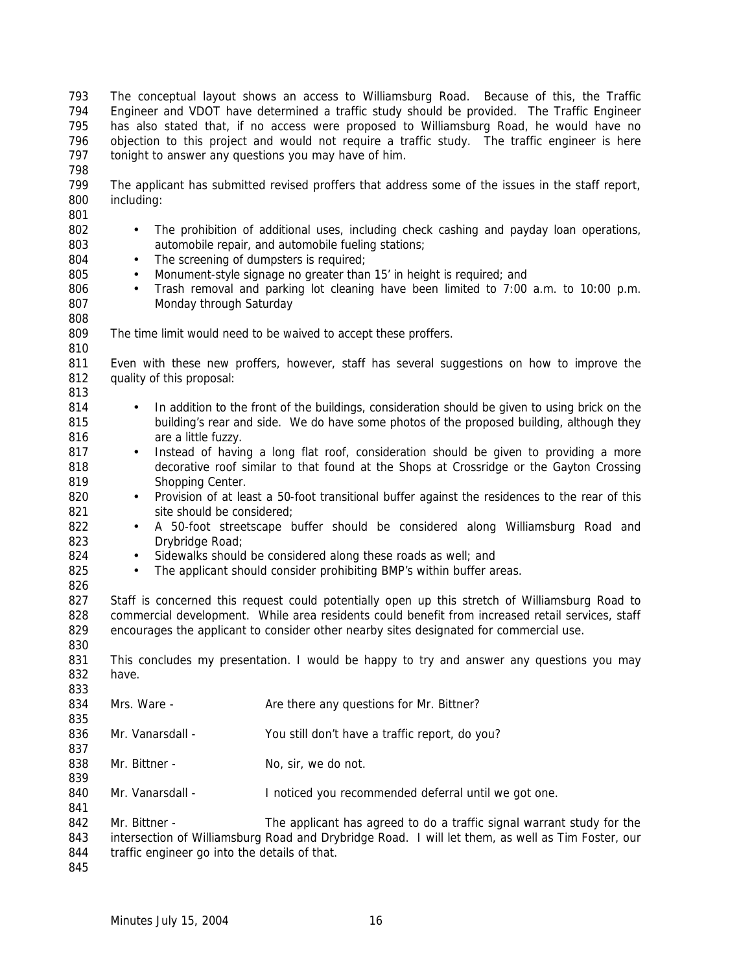The conceptual layout shows an access to Williamsburg Road. Because of this, the Traffic Engineer and VDOT have determined a traffic study should be provided. The Traffic Engineer has also stated that, if no access were proposed to Williamsburg Road, he would have no objection to this project and would not require a traffic study. The traffic engineer is here tonight to answer any questions you may have of him. 

- The applicant has submitted revised proffers that address some of the issues in the staff report, including:
- The prohibition of additional uses, including check cashing and payday loan operations, automobile repair, and automobile fueling stations;
- 804 The screening of dumpsters is required;

- 805 Monument-style signage no greater than 15' in height is required; and
- Trash removal and parking lot cleaning have been limited to 7:00 a.m. to 10:00 p.m. Monday through Saturday
- The time limit would need to be waived to accept these proffers.
- Even with these new proffers, however, staff has several suggestions on how to improve the quality of this proposal:
- 814 In addition to the front of the buildings, consideration should be given to using brick on the building's rear and side. We do have some photos of the proposed building, although they **are a little fuzzy**.
- 817 Instead of having a long flat roof, consideration should be given to providing a more decorative roof similar to that found at the Shops at Crossridge or the Gayton Crossing 819 Shopping Center.
- 820 Provision of at least a 50-foot transitional buffer against the residences to the rear of this 821 site should be considered;
- A 50-foot streetscape buffer should be considered along Williamsburg Road and 823 Drybridge Road;
- 824 Sidewalks should be considered along these roads as well; and
- 825 The applicant should consider prohibiting BMP's within buffer areas.
- 827 Staff is concerned this request could potentially open up this stretch of Williamsburg Road to commercial development. While area residents could benefit from increased retail services, staff encourages the applicant to consider other nearby sites designated for commercial use.
- This concludes my presentation. I would be happy to try and answer any questions you may have.  $0.33$

| 833 |                                               |                                                                                                   |
|-----|-----------------------------------------------|---------------------------------------------------------------------------------------------------|
| 834 | Mrs. Ware -                                   | Are there any questions for Mr. Bittner?                                                          |
| 835 |                                               |                                                                                                   |
| 836 | Mr. Vanarsdall -                              | You still don't have a traffic report, do you?                                                    |
| 837 |                                               |                                                                                                   |
| 838 | Mr. Bittner -                                 | No, sir, we do not.                                                                               |
| 839 |                                               |                                                                                                   |
| 840 | Mr. Vanarsdall -                              | I noticed you recommended deferral until we got one.                                              |
| 841 |                                               |                                                                                                   |
| 842 | Mr. Bittner -                                 | The applicant has agreed to do a traffic signal warrant study for the                             |
| 843 |                                               | intersection of Williamsburg Road and Drybridge Road. I will let them, as well as Tim Foster, our |
| 844 | traffic engineer go into the details of that. |                                                                                                   |
| 845 |                                               |                                                                                                   |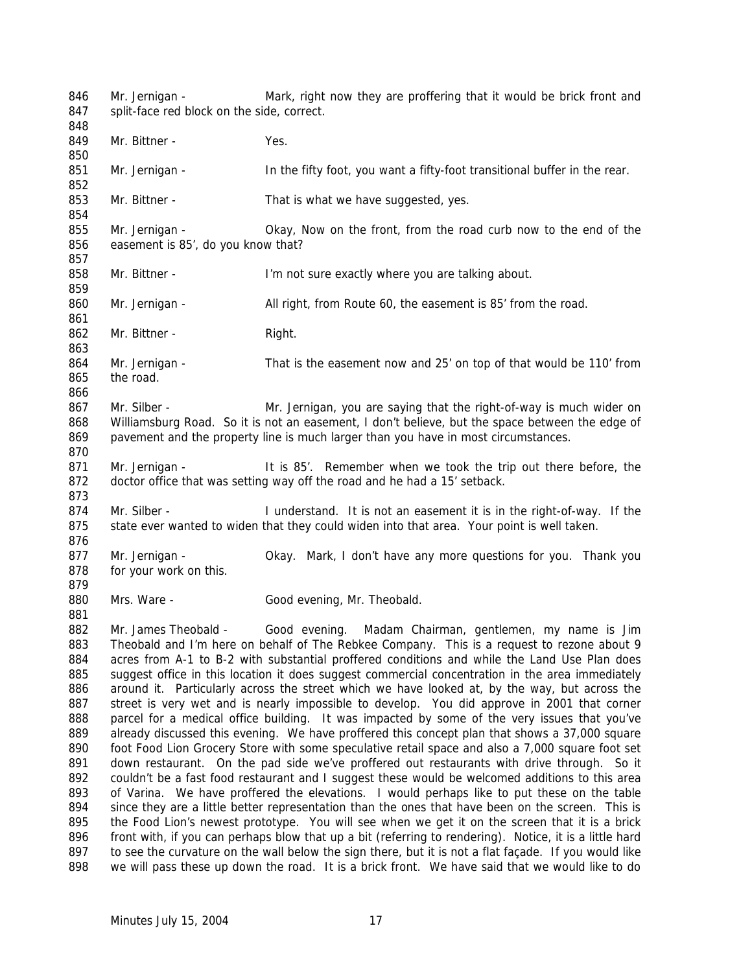846 Mr. Jernigan - Mark, right now they are proffering that it would be brick front and 847 split-face red block on the side, correct. 849 Mr. Bittner - Yes. 851 Mr. Jernigan - In the fifty foot, you want a fifty-foot transitional buffer in the rear. Mr. Bittner - That is what we have suggested, yes. Mr. Jernigan - Okay, Now on the front, from the road curb now to the end of the easement is 85', do you know that? 858 Mr. Bittner - I'm not sure exactly where you are talking about. 860 Mr. Jernigan - All right, from Route 60, the easement is 85' from the road. 862 Mr. Bittner - Right. Mr. Jernigan - That is the easement now and 25' on top of that would be 110' from the road. Mr. Silber - Mr. Jernigan, you are saying that the right-of-way is much wider on Williamsburg Road. So it is not an easement, I don't believe, but the space between the edge of pavement and the property line is much larger than you have in most circumstances. Mr. Jernigan - It is 85'. Remember when we took the trip out there before, the doctor office that was setting way off the road and he had a 15' setback. Mr. Silber - I understand. It is not an easement it is in the right-of-way. If the 875 state ever wanted to widen that they could widen into that area. Your point is well taken. Mr. Jernigan - Okay. Mark, I don't have any more questions for you. Thank you for your work on this. 880 Mrs. Ware - Good evening, Mr. Theobald. Mr. James Theobald - Good evening. Madam Chairman, gentlemen, my name is Jim Theobald and I'm here on behalf of The Rebkee Company. This is a request to rezone about 9 acres from A-1 to B-2 with substantial proffered conditions and while the Land Use Plan does suggest office in this location it does suggest commercial concentration in the area immediately 886 around it. Particularly across the street which we have looked at, by the way, but across the street is very wet and is nearly impossible to develop. You did approve in 2001 that corner parcel for a medical office building. It was impacted by some of the very issues that you've 889 already discussed this evening. We have proffered this concept plan that shows a 37,000 square 890 foot Food Lion Grocery Store with some speculative retail space and also a 7,000 square foot set 891 down restaurant. On the pad side we've proffered out restaurants with drive through. So it 892 couldn't be a fast food restaurant and I suggest these would be welcomed additions to this area of Varina. We have proffered the elevations. I would perhaps like to put these on the table since they are a little better representation than the ones that have been on the screen. This is the Food Lion's newest prototype. You will see when we get it on the screen that it is a brick 896 front with, if you can perhaps blow that up a bit (referring to rendering). Notice, it is a little hard 897 to see the curvature on the wall below the sign there, but it is not a flat façade. If you would like we will pass these up down the road. It is a brick front. We have said that we would like to do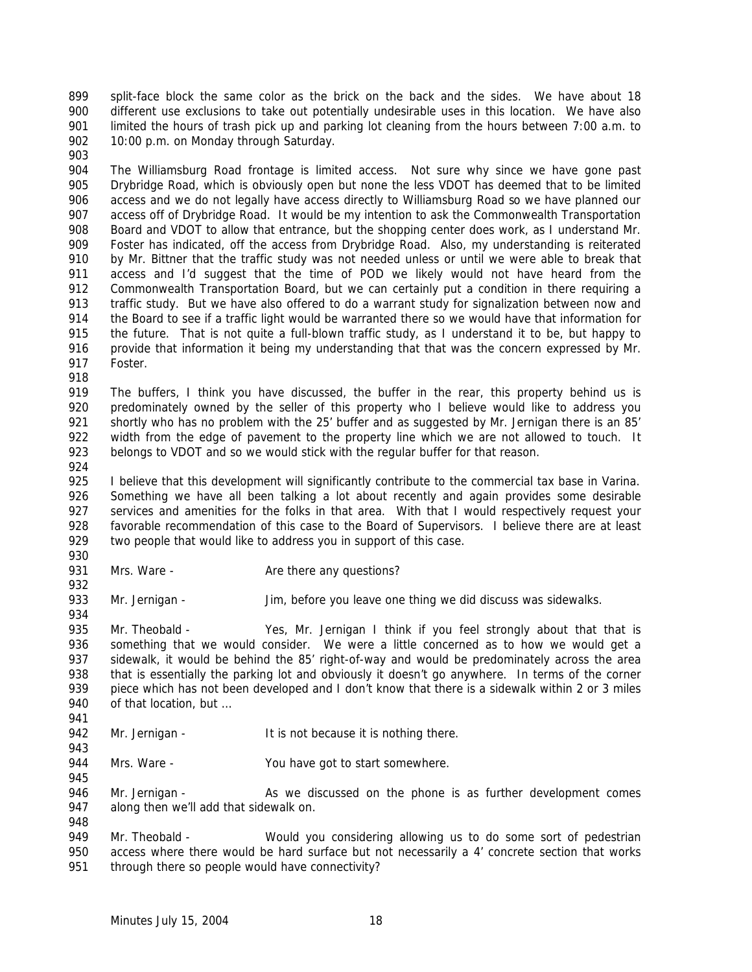split-face block the same color as the brick on the back and the sides. We have about 18 different use exclusions to take out potentially undesirable uses in this location. We have also limited the hours of trash pick up and parking lot cleaning from the hours between 7:00 a.m. to 902 10:00 p.m. on Monday through Saturday.

 The Williamsburg Road frontage is limited access. Not sure why since we have gone past Drybridge Road, which is obviously open but none the less VDOT has deemed that to be limited access and we do not legally have access directly to Williamsburg Road so we have planned our access off of Drybridge Road. It would be my intention to ask the Commonwealth Transportation Board and VDOT to allow that entrance, but the shopping center does work, as I understand Mr. Foster has indicated, off the access from Drybridge Road. Also, my understanding is reiterated 910 by Mr. Bittner that the traffic study was not needed unless or until we were able to break that access and I'd suggest that the time of POD we likely would not have heard from the Commonwealth Transportation Board, but we can certainly put a condition in there requiring a traffic study. But we have also offered to do a warrant study for signalization between now and the Board to see if a traffic light would be warranted there so we would have that information for the future. That is not quite a full-blown traffic study, as I understand it to be, but happy to provide that information it being my understanding that that was the concern expressed by Mr. Foster.

 The buffers, I think you have discussed, the buffer in the rear, this property behind us is 920 predominately owned by the seller of this property who I believe would like to address you shortly who has no problem with the 25' buffer and as suggested by Mr. Jernigan there is an 85' width from the edge of pavement to the property line which we are not allowed to touch. It 923 belongs to VDOT and so we would stick with the regular buffer for that reason.

924<br>925 I believe that this development will significantly contribute to the commercial tax base in Varina. Something we have all been talking a lot about recently and again provides some desirable services and amenities for the folks in that area. With that I would respectively request your favorable recommendation of this case to the Board of Supervisors. I believe there are at least 929 two people that would like to address you in support of this case.

- 931 Mrs. Ware Are there any questions?
- 933 Mr. Jernigan Jim, before you leave one thing we did discuss was sidewalks.

 Mr. Theobald - Yes, Mr. Jernigan I think if you feel strongly about that that is something that we would consider. We were a little concerned as to how we would get a sidewalk, it would be behind the 85' right-of-way and would be predominately across the area that is essentially the parking lot and obviously it doesn't go anywhere. In terms of the corner 939 piece which has not been developed and I don't know that there is a sidewalk within 2 or 3 miles 940 of that location, but ...

- 942 Mr. Jernigan It is not because it is nothing there.
- 944 Mrs. Ware You have got to start somewhere.
- 946 Mr. Jernigan As we discussed on the phone is as further development comes along then we'll add that sidewalk on.

949 Mr. Theobald - Would you considering allowing us to do some sort of pedestrian access where there would be hard surface but not necessarily a 4' concrete section that works through there so people would have connectivity?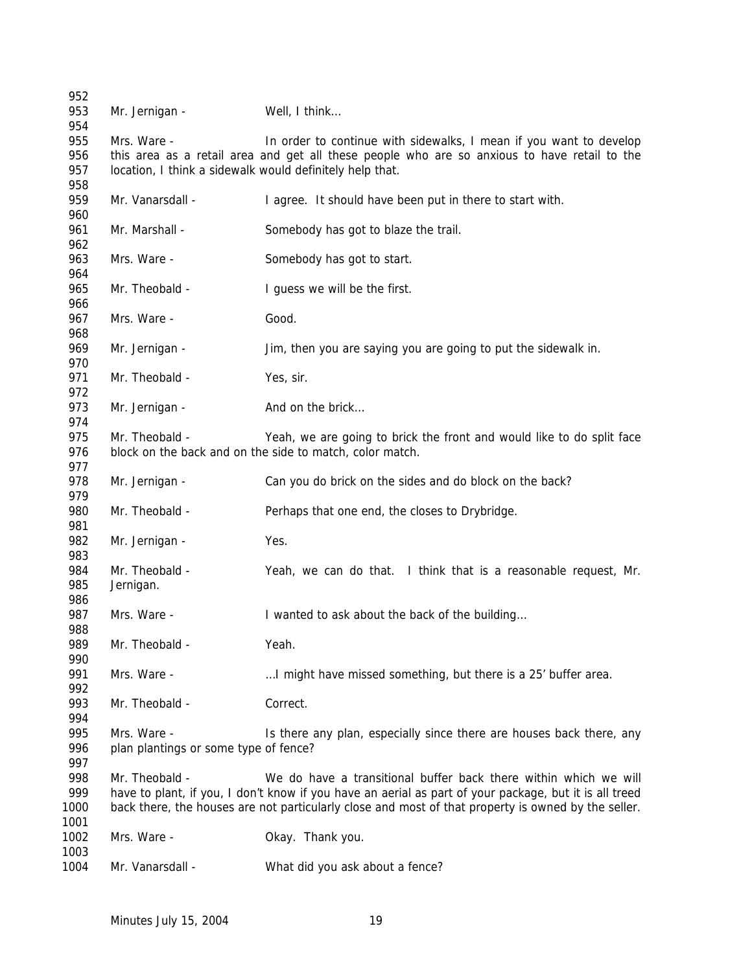| 952        |                                                          |                                                                                                        |
|------------|----------------------------------------------------------|--------------------------------------------------------------------------------------------------------|
| 953<br>954 | Mr. Jernigan -                                           | Well, I think                                                                                          |
| 955        | Mrs. Ware -                                              | In order to continue with sidewalks, I mean if you want to develop                                     |
| 956        |                                                          | this area as a retail area and get all these people who are so anxious to have retail to the           |
| 957        | location, I think a sidewalk would definitely help that. |                                                                                                        |
| 958        |                                                          |                                                                                                        |
| 959        | Mr. Vanarsdall -                                         | I agree. It should have been put in there to start with.                                               |
| 960        |                                                          |                                                                                                        |
| 961        | Mr. Marshall -                                           | Somebody has got to blaze the trail.                                                                   |
| 962        |                                                          |                                                                                                        |
| 963        | Mrs. Ware -                                              | Somebody has got to start.                                                                             |
| 964        |                                                          |                                                                                                        |
| 965        | Mr. Theobald -                                           | I guess we will be the first.                                                                          |
| 966        |                                                          |                                                                                                        |
| 967        | Mrs. Ware -                                              | Good.                                                                                                  |
| 968<br>969 |                                                          |                                                                                                        |
| 970        | Mr. Jernigan -                                           | Jim, then you are saying you are going to put the sidewalk in.                                         |
| 971        | Mr. Theobald -                                           | Yes, sir.                                                                                              |
| 972        |                                                          |                                                                                                        |
| 973        | Mr. Jernigan -                                           | And on the brick                                                                                       |
| 974        |                                                          |                                                                                                        |
| 975        | Mr. Theobald -                                           | Yeah, we are going to brick the front and would like to do split face                                  |
| 976        |                                                          | block on the back and on the side to match, color match.                                               |
| 977        |                                                          |                                                                                                        |
| 978        | Mr. Jernigan -                                           | Can you do brick on the sides and do block on the back?                                                |
| 979        |                                                          |                                                                                                        |
| 980        | Mr. Theobald -                                           | Perhaps that one end, the closes to Drybridge.                                                         |
| 981        |                                                          |                                                                                                        |
| 982        | Mr. Jernigan -                                           | Yes.                                                                                                   |
| 983        |                                                          |                                                                                                        |
| 984        | Mr. Theobald -                                           | Yeah, we can do that. I think that is a reasonable request, Mr.                                        |
| 985        | Jernigan.                                                |                                                                                                        |
| 986        |                                                          |                                                                                                        |
| 987        | Mrs. Ware -                                              | I wanted to ask about the back of the building                                                         |
| 988        |                                                          |                                                                                                        |
| 989        | Mr. Theobald -                                           | Yeah.                                                                                                  |
| 990        |                                                          |                                                                                                        |
| 991        | Mrs. Ware -                                              | I might have missed something, but there is a 25' buffer area.                                         |
| 992        |                                                          | Correct.                                                                                               |
| 993<br>994 | Mr. Theobald -                                           |                                                                                                        |
| 995        | Mrs. Ware -                                              | Is there any plan, especially since there are houses back there, any                                   |
| 996        | plan plantings or some type of fence?                    |                                                                                                        |
| 997        |                                                          |                                                                                                        |
| 998        | Mr. Theobald -                                           | We do have a transitional buffer back there within which we will                                       |
| 999        |                                                          | have to plant, if you, I don't know if you have an aerial as part of your package, but it is all treed |
| 1000       |                                                          | back there, the houses are not particularly close and most of that property is owned by the seller.    |
| 1001       |                                                          |                                                                                                        |
| 1002       | Mrs. Ware -                                              | Okay. Thank you.                                                                                       |
| 1003       |                                                          |                                                                                                        |
| 1004       | Mr. Vanarsdall -                                         | What did you ask about a fence?                                                                        |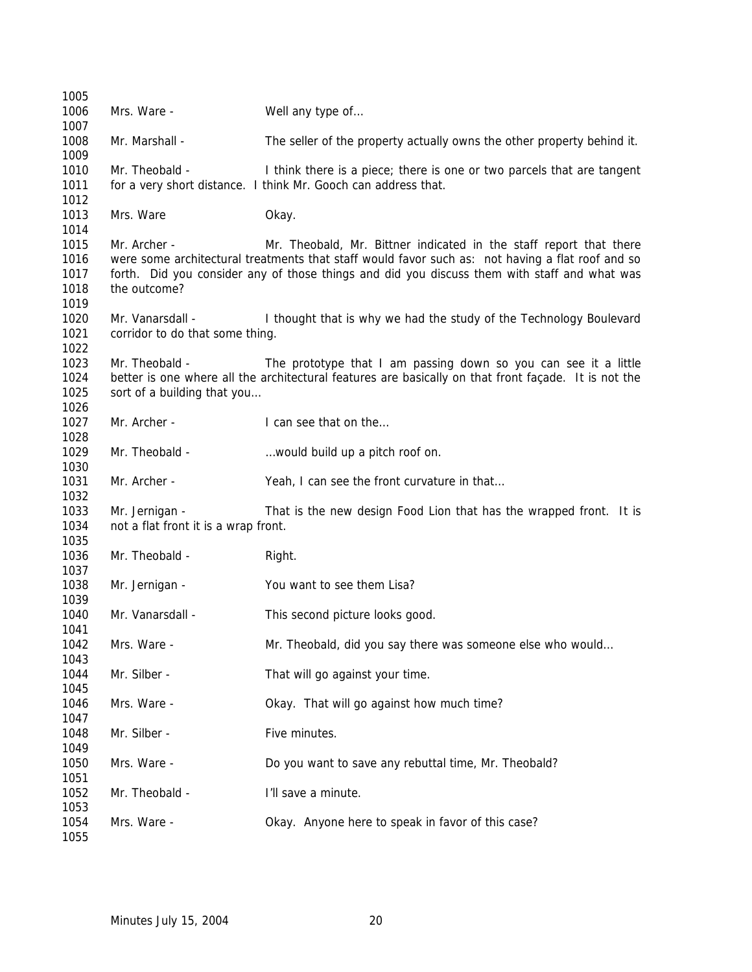| 1005         |                                      |                                                                                                      |
|--------------|--------------------------------------|------------------------------------------------------------------------------------------------------|
| 1006         | Mrs. Ware -                          | Well any type of                                                                                     |
| 1007         |                                      |                                                                                                      |
| 1008         | Mr. Marshall -                       | The seller of the property actually owns the other property behind it.                               |
| 1009         |                                      |                                                                                                      |
| 1010         | Mr. Theobald -                       | I think there is a piece; there is one or two parcels that are tangent                               |
| 1011<br>1012 |                                      | for a very short distance. I think Mr. Gooch can address that.                                       |
| 1013         | Mrs. Ware                            | Okay.                                                                                                |
| 1014         |                                      |                                                                                                      |
| 1015         | Mr. Archer -                         | Mr. Theobald, Mr. Bittner indicated in the staff report that there                                   |
| 1016         |                                      | were some architectural treatments that staff would favor such as: not having a flat roof and so     |
| 1017         |                                      | forth. Did you consider any of those things and did you discuss them with staff and what was         |
| 1018         | the outcome?                         |                                                                                                      |
| 1019         |                                      |                                                                                                      |
| 1020         | Mr. Vanarsdall -                     | I thought that is why we had the study of the Technology Boulevard                                   |
| 1021         | corridor to do that some thing.      |                                                                                                      |
| 1022         |                                      |                                                                                                      |
| 1023         | Mr. Theobald -                       | The prototype that I am passing down so you can see it a little                                      |
| 1024         |                                      | better is one where all the architectural features are basically on that front façade. It is not the |
| 1025         | sort of a building that you          |                                                                                                      |
| 1026<br>1027 | Mr. Archer -                         | I can see that on the                                                                                |
| 1028         |                                      |                                                                                                      |
| 1029         | Mr. Theobald -                       | would build up a pitch roof on.                                                                      |
| 1030         |                                      |                                                                                                      |
| 1031         | Mr. Archer -                         | Yeah, I can see the front curvature in that                                                          |
| 1032         |                                      |                                                                                                      |
| 1033         | Mr. Jernigan -                       | That is the new design Food Lion that has the wrapped front. It is                                   |
| 1034         | not a flat front it is a wrap front. |                                                                                                      |
| 1035         |                                      |                                                                                                      |
| 1036         | Mr. Theobald -                       | Right.                                                                                               |
| 1037         |                                      |                                                                                                      |
| 1038         | Mr. Jernigan -                       | You want to see them Lisa?                                                                           |
| 1039<br>1040 | Mr. Vanarsdall -                     |                                                                                                      |
| 1041         |                                      | This second picture looks good.                                                                      |
| 1042         | Mrs. Ware -                          | Mr. Theobald, did you say there was someone else who would                                           |
| 1043         |                                      |                                                                                                      |
| 1044         | Mr. Silber -                         | That will go against your time.                                                                      |
| 1045         |                                      |                                                                                                      |
| 1046         | Mrs. Ware -                          | Okay. That will go against how much time?                                                            |
| 1047         |                                      |                                                                                                      |
| 1048         | Mr. Silber -                         | Five minutes.                                                                                        |
| 1049         |                                      |                                                                                                      |
| 1050         | Mrs. Ware -                          | Do you want to save any rebuttal time, Mr. Theobald?                                                 |
| 1051         |                                      |                                                                                                      |
| 1052         | Mr. Theobald -                       | I'll save a minute.                                                                                  |
| 1053<br>1054 | Mrs. Ware -                          | Okay. Anyone here to speak in favor of this case?                                                    |
| 1055         |                                      |                                                                                                      |
|              |                                      |                                                                                                      |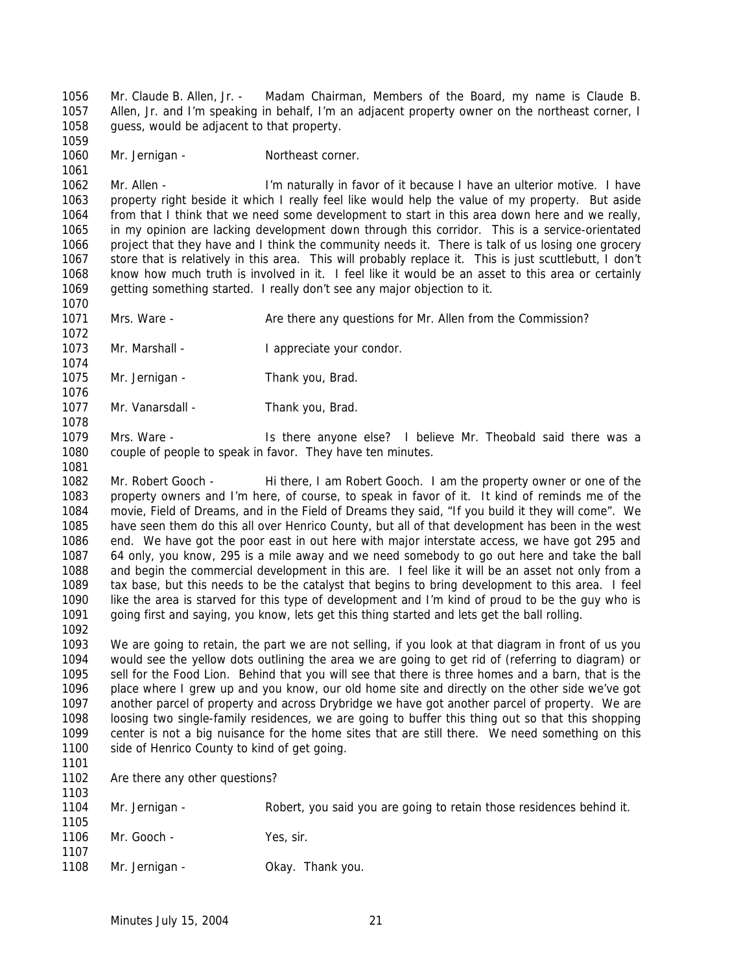Mr. Claude B. Allen, Jr. - Madam Chairman, Members of the Board, my name is Claude B. Allen, Jr. and I'm speaking in behalf, I'm an adjacent property owner on the northeast corner, I guess, would be adjacent to that property. 

1060 Mr. Jernigan - Northeast corner.

 Mr. Allen - I'm naturally in favor of it because I have an ulterior motive. I have property right beside it which I really feel like would help the value of my property. But aside from that I think that we need some development to start in this area down here and we really, in my opinion are lacking development down through this corridor. This is a service-orientated project that they have and I think the community needs it. There is talk of us losing one grocery store that is relatively in this area. This will probably replace it. This is just scuttlebutt, I don't know how much truth is involved in it. I feel like it would be an asset to this area or certainly getting something started. I really don't see any major objection to it.

1071 Mrs. Ware - Are there any questions for Mr. Allen from the Commission? 

1073 Mr. Marshall - I appreciate your condor.

- 1075 Mr. Jernigan Thank you, Brad.
- 1077 Mr. Vanarsdall Thank you, Brad.

 Mrs. Ware - Is there anyone else? I believe Mr. Theobald said there was a couple of people to speak in favor. They have ten minutes.

 Mr. Robert Gooch - Hi there, I am Robert Gooch. I am the property owner or one of the property owners and I'm here, of course, to speak in favor of it. It kind of reminds me of the movie, *Field of Dreams*, and in the *Field of Dreams* they said, "If you build it they will come". We have seen them do this all over Henrico County, but all of that development has been in the west end. We have got the poor east in out here with major interstate access, we have got 295 and 64 only, you know, 295 is a mile away and we need somebody to go out here and take the ball and begin the commercial development in this are. I feel like it will be an asset not only from a tax base, but this needs to be the catalyst that begins to bring development to this area. I feel like the area is starved for this type of development and I'm kind of proud to be the guy who is going first and saying, you know, lets get this thing started and lets get the ball rolling. 

 We are going to retain, the part we are not selling, if you look at that diagram in front of us you would see the yellow dots outlining the area we are going to get rid of (referring to diagram) or sell for the Food Lion. Behind that you will see that there is three homes and a barn, that is the place where I grew up and you know, our old home site and directly on the other side we've got another parcel of property and across Drybridge we have got another parcel of property. We are loosing two single-family residences, we are going to buffer this thing out so that this shopping center is not a big nuisance for the home sites that are still there. We need something on this 1100 side of Henrico County to kind of get going.

 Are there any other questions? 

| .<br>1104<br>1105 | Mr. Jernigan - | Robert, you said you are going to retain those residences behind it. |
|-------------------|----------------|----------------------------------------------------------------------|
| 1106<br>1107      | Mr. Gooch -    | Yes, sir.                                                            |
| 1108              | Mr. Jernigan - | Okay. Thank you.                                                     |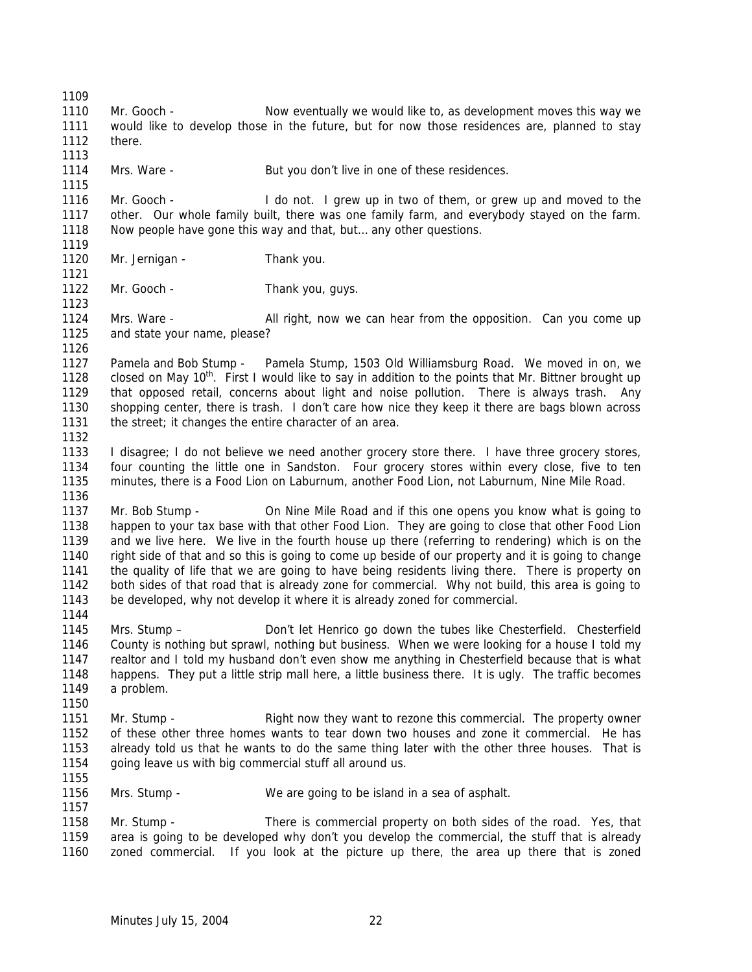Mr. Gooch - Now eventually we would like to, as development moves this way we would like to develop those in the future, but for now those residences are, planned to stay there. 1114 Mrs. Ware - But you don't live in one of these residences. Mr. Gooch - I do not. I grew up in two of them, or grew up and moved to the other. Our whole family built, there was one family farm, and everybody stayed on the farm. Now people have gone this way and that, but… any other questions. 1120 Mr. Jernigan - Thank you. 1122 Mr. Gooch - Thank you, guys. Mrs. Ware - All right, now we can hear from the opposition. Can you come up and state your name, please? Pamela and Bob Stump - Pamela Stump, 1503 Old Williamsburg Road. We moved in on, we 1128 closed on May 10<sup>th</sup>. First I would like to say in addition to the points that Mr. Bittner brought up that opposed retail, concerns about light and noise pollution. There is always trash. Any shopping center, there is trash. I don't care how nice they keep it there are bags blown across the street; it changes the entire character of an area. I disagree; I do not believe we need another grocery store there. I have three grocery stores, four counting the little one in Sandston. Four grocery stores within every close, five to ten minutes, there is a Food Lion on Laburnum, another Food Lion, not Laburnum, Nine Mile Road. Mr. Bob Stump - On Nine Mile Road and if this one opens you know what is going to happen to your tax base with that other Food Lion. They are going to close that other Food Lion and we live here. We live in the fourth house up there (referring to rendering) which is on the right side of that and so this is going to come up beside of our property and it is going to change the quality of life that we are going to have being residents living there. There is property on both sides of that road that is already zone for commercial. Why not build, this area is going to be developed, why not develop it where it is already zoned for commercial. Mrs. Stump – Don't let Henrico go down the tubes like Chesterfield. Chesterfield County is nothing but sprawl, nothing but business. When we were looking for a house I told my realtor and I told my husband don't even show me anything in Chesterfield because that is what happens. They put a little strip mall here, a little business there. It is ugly. The traffic becomes a problem. Mr. Stump - Right now they want to rezone this commercial. The property owner of these other three homes wants to tear down two houses and zone it commercial. He has already told us that he wants to do the same thing later with the other three houses. That is going leave us with big commercial stuff all around us. Mrs. Stump - We are going to be island in a sea of asphalt. Mr. Stump - There is commercial property on both sides of the road. Yes, that area is going to be developed why don't you develop the commercial, the stuff that is already zoned commercial. If you look at the picture up there, the area up there that is zoned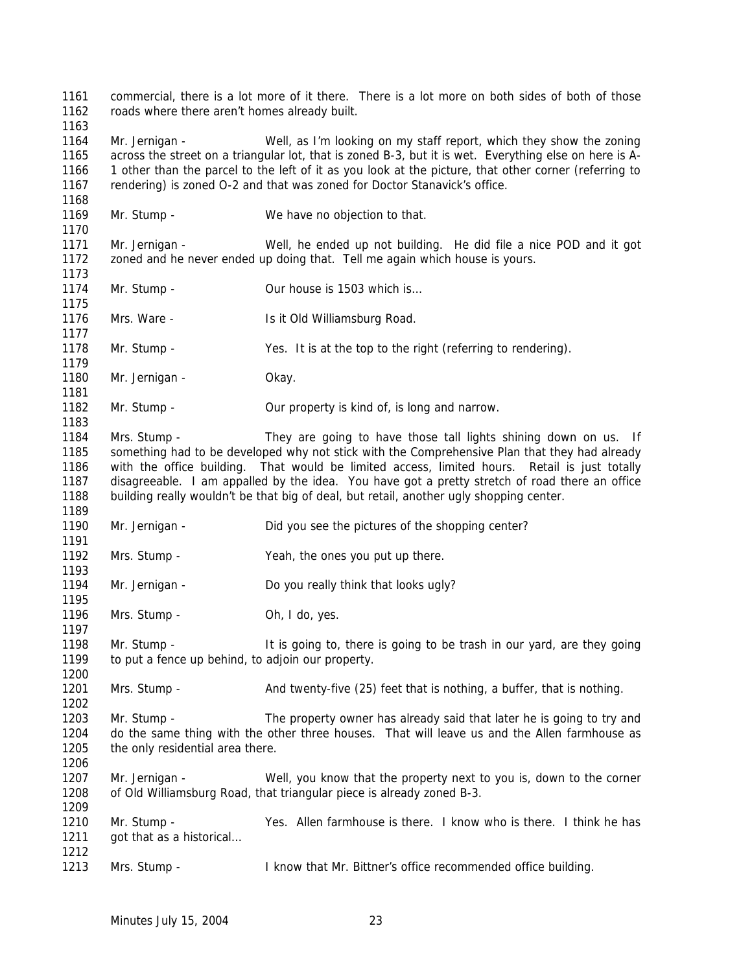commercial, there is a lot more of it there. There is a lot more on both sides of both of those roads where there aren't homes already built. Mr. Jernigan - Well, as I'm looking on my staff report, which they show the zoning across the street on a triangular lot, that is zoned B-3, but it is wet. Everything else on here is A- 1 other than the parcel to the left of it as you look at the picture, that other corner (referring to rendering) is zoned O-2 and that was zoned for Doctor Stanavick's office. 1169 Mr. Stump - We have no objection to that. Mr. Jernigan - Well, he ended up not building. He did file a nice POD and it got zoned and he never ended up doing that. Tell me again which house is yours. 1174 Mr. Stump - Our house is 1503 which is... 1176 Mrs. Ware - Is it Old Williamsburg Road. 1178 Mr. Stump - Yes. It is at the top to the right (referring to rendering). 1180 Mr. Jernigan - Okay. Mr. Stump - Our property is kind of, is long and narrow. Mrs. Stump - They are going to have those tall lights shining down on us. If something had to be developed why not stick with the Comprehensive Plan that they had already with the office building. That would be limited access, limited hours. Retail is just totally disagreeable. I am appalled by the idea. You have got a pretty stretch of road there an office building really wouldn't be that big of deal, but retail, another ugly shopping center. 1190 Mr. Jernigan - Did you see the pictures of the shopping center? Mrs. Stump - Yeah, the ones you put up there. 1194 Mr. Jernigan - Do you really think that looks ugly? 1196 Mrs. Stump - Oh, I do, yes. Mr. Stump - It is going to, there is going to be trash in our yard, are they going 1199 to put a fence up behind, to adjoin our property. 1201 Mrs. Stump - And twenty-five (25) feet that is nothing, a buffer, that is nothing. Mr. Stump - The property owner has already said that later he is going to try and do the same thing with the other three houses. That will leave us and the Allen farmhouse as 1205 the only residential area there. Mr. Jernigan - Well, you know that the property next to you is, down to the corner of Old Williamsburg Road, that triangular piece is already zoned B-3. Mr. Stump - Yes. Allen farmhouse is there. I know who is there. I think he has 1211 got that as a historical... Mrs. Stump - I know that Mr. Bittner's office recommended office building.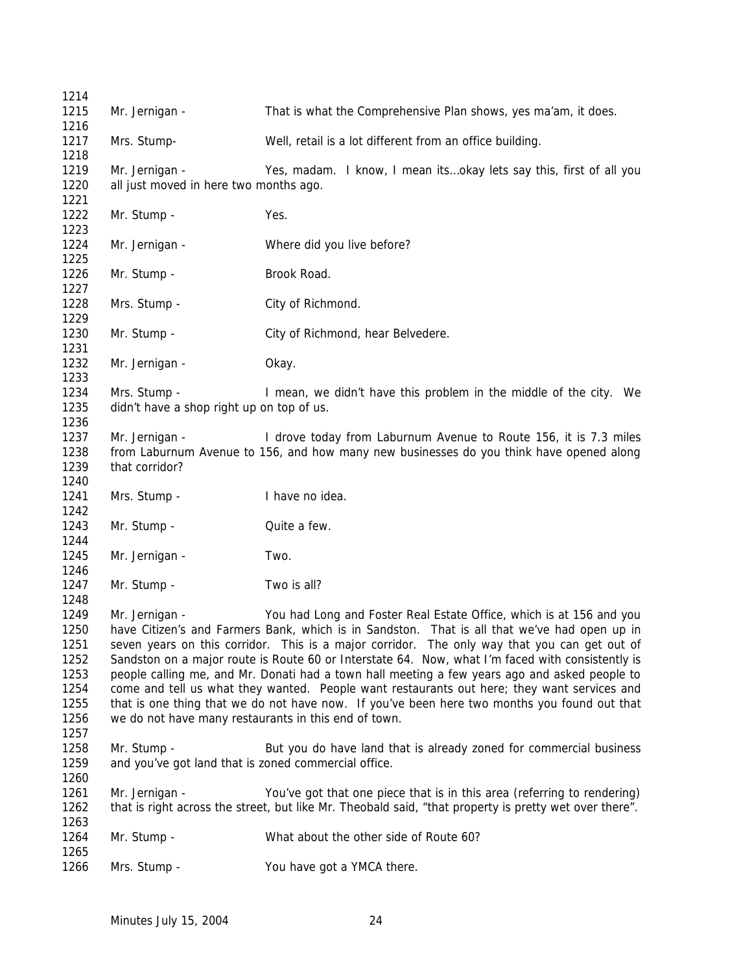| 1214                                                                 |                                                                                                                                                                                                                                                                                                                                                                                                                                                                                                                                                                                                                                                                                                                                                   |                                                                                                                                                                                   |
|----------------------------------------------------------------------|---------------------------------------------------------------------------------------------------------------------------------------------------------------------------------------------------------------------------------------------------------------------------------------------------------------------------------------------------------------------------------------------------------------------------------------------------------------------------------------------------------------------------------------------------------------------------------------------------------------------------------------------------------------------------------------------------------------------------------------------------|-----------------------------------------------------------------------------------------------------------------------------------------------------------------------------------|
| 1215                                                                 | Mr. Jernigan -                                                                                                                                                                                                                                                                                                                                                                                                                                                                                                                                                                                                                                                                                                                                    | That is what the Comprehensive Plan shows, yes ma'am, it does.                                                                                                                    |
| 1216<br>1217                                                         | Mrs. Stump-                                                                                                                                                                                                                                                                                                                                                                                                                                                                                                                                                                                                                                                                                                                                       | Well, retail is a lot different from an office building.                                                                                                                          |
| 1218<br>1219<br>1220<br>1221                                         | Mr. Jernigan -<br>all just moved in here two months ago.                                                                                                                                                                                                                                                                                                                                                                                                                                                                                                                                                                                                                                                                                          | Yes, madam. I know, I mean itsokay lets say this, first of all you                                                                                                                |
| 1222<br>1223                                                         | Mr. Stump -                                                                                                                                                                                                                                                                                                                                                                                                                                                                                                                                                                                                                                                                                                                                       | Yes.                                                                                                                                                                              |
| 1224<br>1225                                                         | Mr. Jernigan -                                                                                                                                                                                                                                                                                                                                                                                                                                                                                                                                                                                                                                                                                                                                    | Where did you live before?                                                                                                                                                        |
| 1226<br>1227                                                         | Mr. Stump -                                                                                                                                                                                                                                                                                                                                                                                                                                                                                                                                                                                                                                                                                                                                       | Brook Road.                                                                                                                                                                       |
| 1228<br>1229                                                         | Mrs. Stump -                                                                                                                                                                                                                                                                                                                                                                                                                                                                                                                                                                                                                                                                                                                                      | City of Richmond.                                                                                                                                                                 |
| 1230<br>1231                                                         | Mr. Stump -                                                                                                                                                                                                                                                                                                                                                                                                                                                                                                                                                                                                                                                                                                                                       | City of Richmond, hear Belvedere.                                                                                                                                                 |
| 1232<br>1233                                                         | Mr. Jernigan -                                                                                                                                                                                                                                                                                                                                                                                                                                                                                                                                                                                                                                                                                                                                    | Okay.                                                                                                                                                                             |
| 1234<br>1235<br>1236                                                 | Mrs. Stump -<br>didn't have a shop right up on top of us.                                                                                                                                                                                                                                                                                                                                                                                                                                                                                                                                                                                                                                                                                         | I mean, we didn't have this problem in the middle of the city. We                                                                                                                 |
| 1237<br>1238<br>1239<br>1240                                         | Mr. Jernigan -<br>that corridor?                                                                                                                                                                                                                                                                                                                                                                                                                                                                                                                                                                                                                                                                                                                  | I drove today from Laburnum Avenue to Route 156, it is 7.3 miles<br>from Laburnum Avenue to 156, and how many new businesses do you think have opened along                       |
| 1241<br>1242                                                         | Mrs. Stump -                                                                                                                                                                                                                                                                                                                                                                                                                                                                                                                                                                                                                                                                                                                                      | I have no idea.                                                                                                                                                                   |
| 1243<br>1244                                                         | Mr. Stump -                                                                                                                                                                                                                                                                                                                                                                                                                                                                                                                                                                                                                                                                                                                                       | Quite a few.                                                                                                                                                                      |
| 1245<br>1246                                                         | Mr. Jernigan -                                                                                                                                                                                                                                                                                                                                                                                                                                                                                                                                                                                                                                                                                                                                    | Two.                                                                                                                                                                              |
| 1247<br>1248                                                         | Mr. Stump -                                                                                                                                                                                                                                                                                                                                                                                                                                                                                                                                                                                                                                                                                                                                       | Two is all?                                                                                                                                                                       |
| 1249<br>1250<br>1251<br>1252<br>1253<br>1254<br>1255<br>1256<br>1257 | You had Long and Foster Real Estate Office, which is at 156 and you<br>Mr. Jernigan -<br>have Citizen's and Farmers Bank, which is in Sandston. That is all that we've had open up in<br>seven years on this corridor. This is a major corridor. The only way that you can get out of<br>Sandston on a major route is Route 60 or Interstate 64. Now, what I'm faced with consistently is<br>people calling me, and Mr. Donati had a town hall meeting a few years ago and asked people to<br>come and tell us what they wanted. People want restaurants out here; they want services and<br>that is one thing that we do not have now. If you've been here two months you found out that<br>we do not have many restaurants in this end of town. |                                                                                                                                                                                   |
| 1258<br>1259<br>1260                                                 | Mr. Stump -<br>and you've got land that is zoned commercial office.                                                                                                                                                                                                                                                                                                                                                                                                                                                                                                                                                                                                                                                                               | But you do have land that is already zoned for commercial business                                                                                                                |
| 1261<br>1262<br>1263                                                 | Mr. Jernigan -                                                                                                                                                                                                                                                                                                                                                                                                                                                                                                                                                                                                                                                                                                                                    | You've got that one piece that is in this area (referring to rendering)<br>that is right across the street, but like Mr. Theobald said, "that property is pretty wet over there". |
| 1264<br>1265                                                         | Mr. Stump -                                                                                                                                                                                                                                                                                                                                                                                                                                                                                                                                                                                                                                                                                                                                       | What about the other side of Route 60?                                                                                                                                            |
| 1266                                                                 | Mrs. Stump -                                                                                                                                                                                                                                                                                                                                                                                                                                                                                                                                                                                                                                                                                                                                      | You have got a YMCA there.                                                                                                                                                        |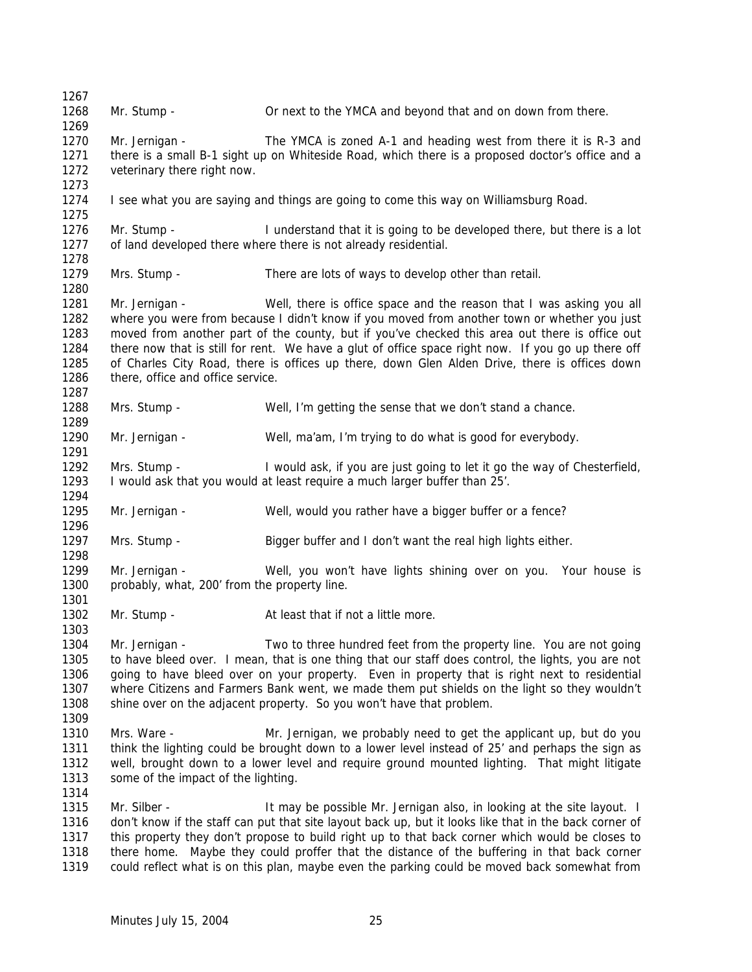Mr. Stump - Or next to the YMCA and beyond that and on down from there. Mr. Jernigan - The YMCA is zoned A-1 and heading west from there it is R-3 and there is a small B-1 sight up on Whiteside Road, which there is a proposed doctor's office and a 1272 veterinary there right now. I see what you are saying and things are going to come this way on Williamsburg Road. Mr. Stump - I understand that it is going to be developed there, but there is a lot of land developed there where there is not already residential. Mrs. Stump - There are lots of ways to develop other than retail. Mr. Jernigan - Well, there is office space and the reason that I was asking you all where you were from because I didn't know if you moved from another town or whether you just moved from another part of the county, but if you've checked this area out there is office out there now that is still for rent. We have a glut of office space right now. If you go up there off of Charles City Road, there is offices up there, down Glen Alden Drive, there is offices down there, office and office service. Mrs. Stump - Well, I'm getting the sense that we don't stand a chance. Mr. Jernigan - Well, ma'am, I'm trying to do what is good for everybody. Mrs. Stump - I would ask, if you are just going to let it go the way of Chesterfield, I would ask that you would at least require a much larger buffer than 25'. Mr. Jernigan - Well, would you rather have a bigger buffer or a fence? Mrs. Stump - Bigger buffer and I don't want the real high lights either. Mr. Jernigan - Well, you won't have lights shining over on you. Your house is 1300 probably, what, 200' from the property line. 1302 Mr. Stump - At least that if not a little more. Mr. Jernigan - Two to three hundred feet from the property line. You are not going to have bleed over. I mean, that is one thing that our staff does control, the lights, you are not going to have bleed over on your property. Even in property that is right next to residential where Citizens and Farmers Bank went, we made them put shields on the light so they wouldn't shine over on the adjacent property. So you won't have that problem. Mrs. Ware - Mr. Jernigan, we probably need to get the applicant up, but do you think the lighting could be brought down to a lower level instead of 25' and perhaps the sign as well, brought down to a lower level and require ground mounted lighting. That might litigate some of the impact of the lighting. 1315 Mr. Silber - It may be possible Mr. Jernigan also, in looking at the site layout. I don't know if the staff can put that site layout back up, but it looks like that in the back corner of this property they don't propose to build right up to that back corner which would be closes to there home. Maybe they could proffer that the distance of the buffering in that back corner could reflect what is on this plan, maybe even the parking could be moved back somewhat from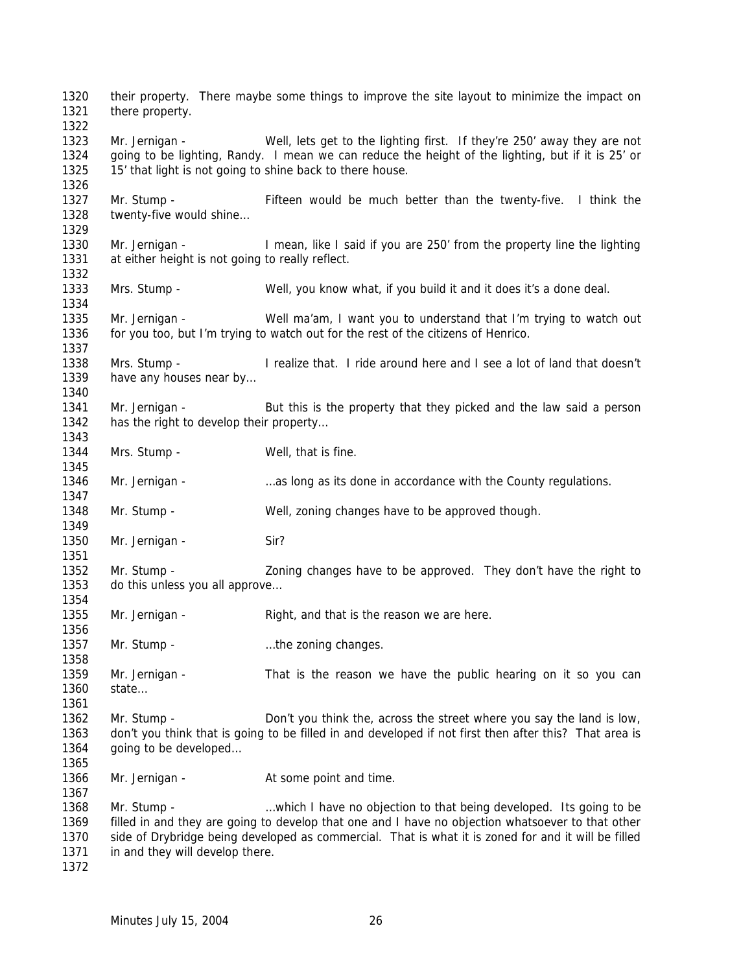their property. There maybe some things to improve the site layout to minimize the impact on there property. Mr. Jernigan - Well, lets get to the lighting first. If they're 250' away they are not going to be lighting, Randy. I mean we can reduce the height of the lighting, but if it is 25' or 15' that light is not going to shine back to there house. Mr. Stump - Fifteen would be much better than the twenty-five. I think the twenty-five would shine… Mr. Jernigan - I mean, like I said if you are 250' from the property line the lighting at either height is not going to really reflect. Mrs. Stump - Well, you know what, if you build it and it does it's a done deal. Mr. Jernigan - Well ma'am, I want you to understand that I'm trying to watch out for you too, but I'm trying to watch out for the rest of the citizens of Henrico. Mrs. Stump - I realize that. I ride around here and I see a lot of land that doesn't 1339 have any houses near by... Mr. Jernigan - But this is the property that they picked and the law said a person 1342 has the right to develop their property... 1344 Mrs. Stump - Well, that is fine. 1346 Mr. Jernigan - ... ... ... ... as long as its done in accordance with the County regulations. Mr. Stump - Well, zoning changes have to be approved though. 1350 Mr. Jernigan - Sir? Mr. Stump - Zoning changes have to be approved. They don't have the right to 1353 do this unless you all approve... Mr. Jernigan - Right, and that is the reason we are here. 1357 Mr. Stump - matches in the zoning changes. 1359 Mr. Jernigan - That is the reason we have the public hearing on it so you can state… 1362 Mr. Stump - Don't you think the, across the street where you say the land is low, don't you think that is going to be filled in and developed if not first then after this? That area is going to be developed… 1366 Mr. Jernigan - At some point and time. Mr. Stump - …which I have no objection to that being developed. Its going to be filled in and they are going to develop that one and I have no objection whatsoever to that other side of Drybridge being developed as commercial. That is what it is zoned for and it will be filled 1371 in and they will develop there.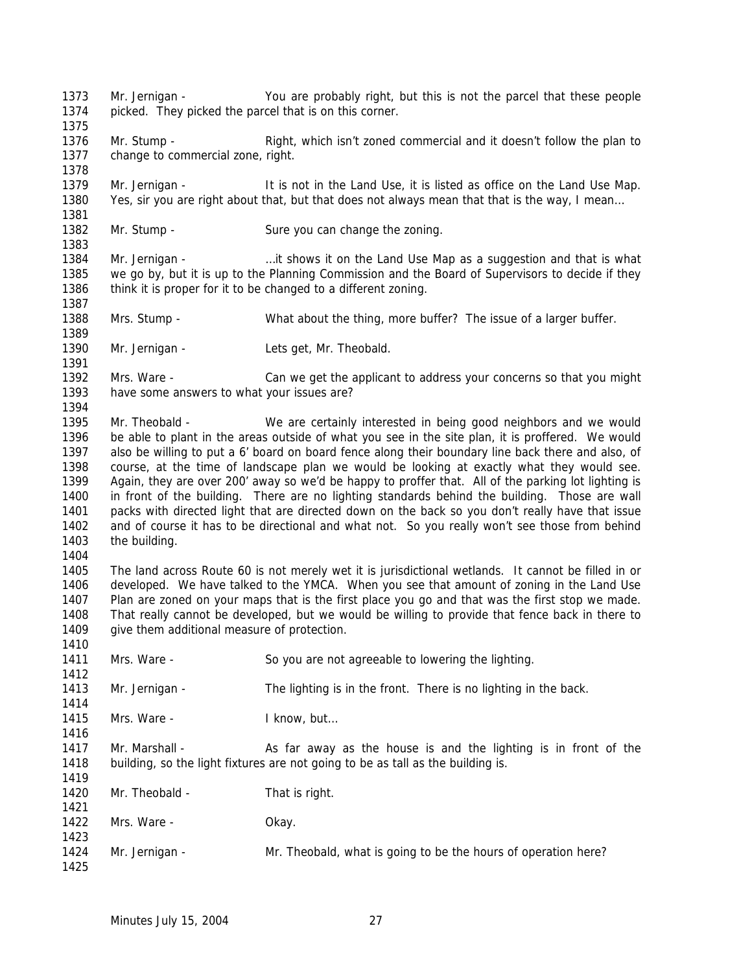Mr. Jernigan - You are probably right, but this is not the parcel that these people picked. They picked the parcel that is on this corner. 1376 Mr. Stump - Right, which isn't zoned commercial and it doesn't follow the plan to 1377 change to commercial zone, right. Mr. Jernigan - It is not in the Land Use, it is listed as office on the Land Use Map. Yes, sir you are right about that, but that does not always mean that that is the way, I mean… 1382 Mr. Stump - Sure you can change the zoning. Mr. Jernigan - …it shows it on the Land Use Map as a suggestion and that is what we go by, but it is up to the Planning Commission and the Board of Supervisors to decide if they 1386 think it is proper for it to be changed to a different zoning. Mrs. Stump - What about the thing, more buffer? The issue of a larger buffer. 1390 Mr. Jernigan - Lets get, Mr. Theobald. Mrs. Ware - Can we get the applicant to address your concerns so that you might have some answers to what your issues are? Mr. Theobald - We are certainly interested in being good neighbors and we would be able to plant in the areas outside of what you see in the site plan, it is proffered. We would also be willing to put a 6' board on board fence along their boundary line back there and also, of course, at the time of landscape plan we would be looking at exactly what they would see. Again, they are over 200' away so we'd be happy to proffer that. All of the parking lot lighting is in front of the building. There are no lighting standards behind the building. Those are wall packs with directed light that are directed down on the back so you don't really have that issue and of course it has to be directional and what not. So you really won't see those from behind 1403 the building. The land across Route 60 is not merely wet it is jurisdictional wetlands. It cannot be filled in or developed. We have talked to the YMCA. When you see that amount of zoning in the Land Use Plan are zoned on your maps that is the first place you go and that was the first stop we made. That really cannot be developed, but we would be willing to provide that fence back in there to 1409 give them additional measure of protection. Mrs. Ware - So you are not agreeable to lowering the lighting. 1413 Mr. Jernigan - The lighting is in the front. There is no lighting in the back. 1415 Mrs. Ware - Iknow, but... 1417 Mr. Marshall - As far away as the house is and the lighting is in front of the building, so the light fixtures are not going to be as tall as the building is. 1420 Mr. Theobald - That is right. 1422 Mrs. Ware - Chay. Mr. Jernigan - Mr. Theobald, what is going to be the hours of operation here?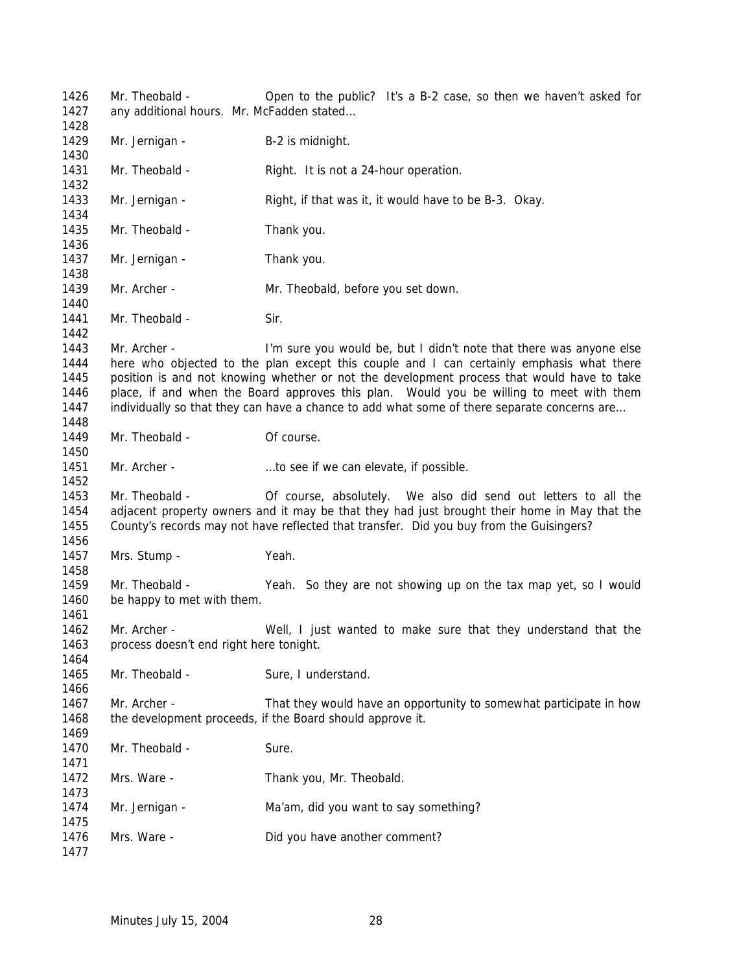Mr. Theobald - Open to the public? It's a B-2 case, so then we haven't asked for 1427 any additional hours. Mr. McFadden stated... 1429 Mr. Jernigan - B-2 is midnight. 1431 Mr. Theobald - Right. It is not a 24-hour operation. Mr. Jernigan - Right, if that was it, it would have to be B-3. Okay. 1435 Mr. Theobald - Thank you. 1437 Mr. Jernigan - Thank you. 1439 Mr. Archer - Mr. Theobald, before you set down. 1441 Mr. Theobald - Sir. 1443 Mr. Archer - I'm sure you would be, but I didn't note that there was anyone else here who objected to the plan except this couple and I can certainly emphasis what there position is and not knowing whether or not the development process that would have to take place, if and when the Board approves this plan. Would you be willing to meet with them 1447 individually so that they can have a chance to add what some of there separate concerns are... 1449 Mr. Theobald - Of course. 1451 Mr. Archer - ...to see if we can elevate, if possible. Mr. Theobald - Of course, absolutely. We also did send out letters to all the adjacent property owners and it may be that they had just brought their home in May that the County's records may not have reflected that transfer. Did you buy from the Guisingers? Mrs. Stump - Yeah. Mr. Theobald - Yeah. So they are not showing up on the tax map yet, so I would be happy to met with them. Mr. Archer - Well, I just wanted to make sure that they understand that the process doesn't end right here tonight. 1465 Mr. Theobald - Sure, I understand. Mr. Archer - That they would have an opportunity to somewhat participate in how 1468 the development proceeds, if the Board should approve it. 1470 Mr. Theobald - Sure. 1472 Mrs. Ware - Thank you, Mr. Theobald. 1474 Mr. Jernigan - Ma'am, did you want to say something? 1476 Mrs. Ware - Did you have another comment?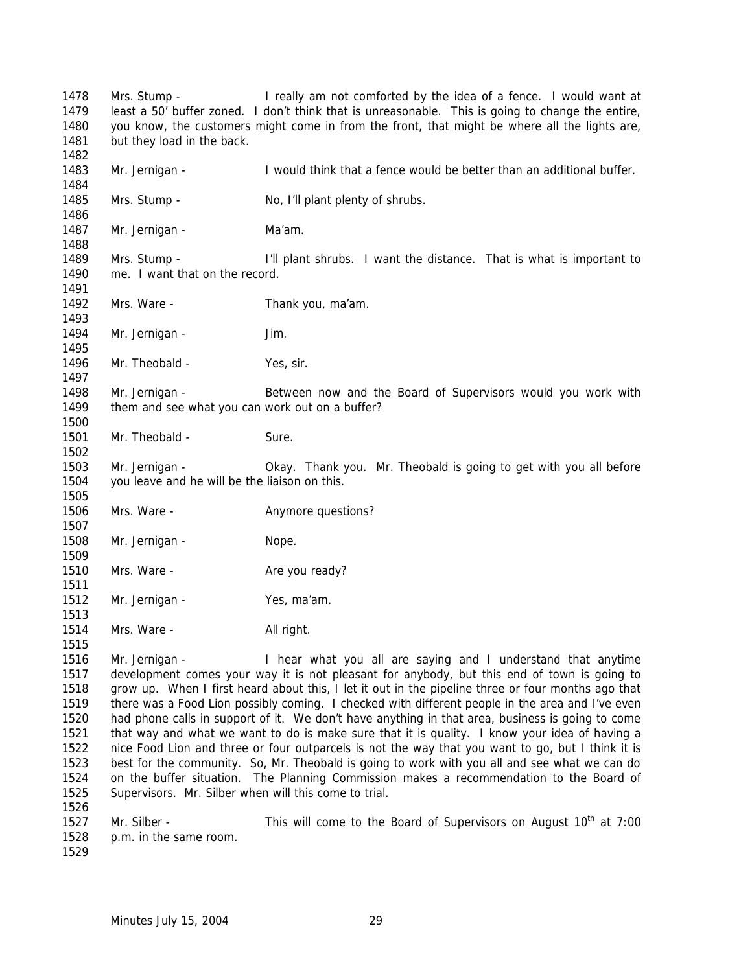Mrs. Stump - I really am not comforted by the idea of a fence. I would want at least a 50' buffer zoned. I don't think that is unreasonable. This is going to change the entire, you know, the customers might come in from the front, that might be where all the lights are, 1481 but they load in the back. Mr. Jernigan - I would think that a fence would be better than an additional buffer. 1485 Mrs. Stump - No, I'll plant plenty of shrubs. 1487 Mr. Jernigan - Ma'am. Mrs. Stump - I'll plant shrubs. I want the distance. That is what is important to 1490 me. I want that on the record. 1492 Mrs. Ware - Thank you, ma'am. 1494 Mr. Jernigan - Jim. 1496 Mr. Theobald - Yes, sir. Mr. Jernigan - Between now and the Board of Supervisors would you work with 1499 them and see what you can work out on a buffer? 1501 Mr. Theobald - Sure. Mr. Jernigan - Okay. Thank you. Mr. Theobald is going to get with you all before you leave and he will be the liaison on this. 1506 Mrs. Ware - **Anymore questions?**  1508 Mr. Jernigan - Nope. 1510 Mrs. Ware - Are you ready? 1512 Mr. Jernigan - Yes, ma'am. 1514 Mrs. Ware - All right. Mr. Jernigan - I hear what you all are saying and I understand that anytime development comes your way it is not pleasant for anybody, but this end of town is going to grow up. When I first heard about this, I let it out in the pipeline three or four months ago that there was a Food Lion possibly coming. I checked with different people in the area and I've even had phone calls in support of it. We don't have anything in that area, business is going to come that way and what we want to do is make sure that it is quality. I know your idea of having a nice Food Lion and three or four outparcels is not the way that you want to go, but I think it is best for the community. So, Mr. Theobald is going to work with you all and see what we can do on the buffer situation. The Planning Commission makes a recommendation to the Board of Supervisors. Mr. Silber when will this come to trial. 1527 Mr. Silber - This will come to the Board of Supervisors on August  $10^{th}$  at 7:00 p.m. in the same room.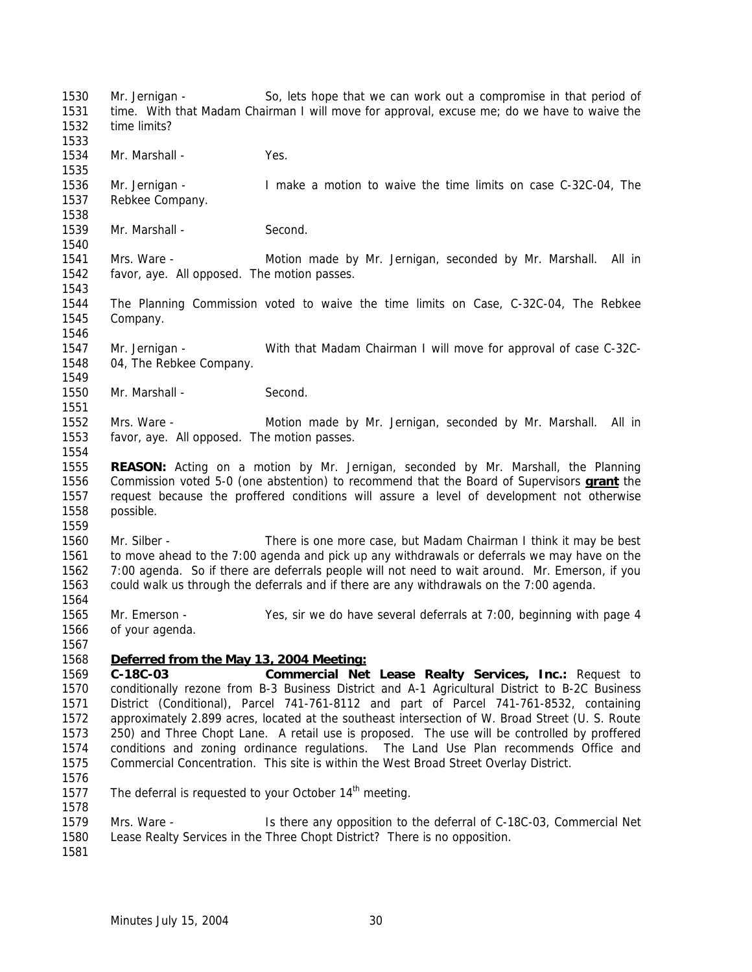Mr. Jernigan - So, lets hope that we can work out a compromise in that period of time. With that Madam Chairman I will move for approval, excuse me; do we have to waive the time limits? 1534 Mr. Marshall - Yes. Mr. Jernigan - I make a motion to waive the time limits on case C-32C-04, The Rebkee Company. 1539 Mr. Marshall - Second. Mrs. Ware - Motion made by Mr. Jernigan, seconded by Mr. Marshall. All in favor, aye. All opposed. The motion passes. The Planning Commission voted to waive the time limits on Case, C-32C-04, The Rebkee Company. Mr. Jernigan - With that Madam Chairman I will move for approval of case C-32C- 04, The Rebkee Company. 1550 Mr. Marshall - Second. Mrs. Ware - Motion made by Mr. Jernigan, seconded by Mr. Marshall. All in favor, aye. All opposed. The motion passes. **REASON:** Acting on a motion by Mr. Jernigan, seconded by Mr. Marshall, the Planning Commission voted 5-0 (one abstention) to recommend that the Board of Supervisors **grant** the request because the proffered conditions will assure a level of development not otherwise possible. Mr. Silber - There is one more case, but Madam Chairman I think it may be best to move ahead to the 7:00 agenda and pick up any withdrawals or deferrals we may have on the 7:00 agenda. So if there are deferrals people will not need to wait around. Mr. Emerson, if you could walk us through the deferrals and if there are any withdrawals on the 7:00 agenda. Mr. Emerson - Yes, sir we do have several deferrals at 7:00, beginning with page 4 of your agenda. *Deferred from the May 13, 2004 Meeting:* **C-18C-03 Commercial Net Lease Realty Services, Inc.:** Request to conditionally rezone from B-3 Business District and A-1 Agricultural District to B-2C Business District (Conditional), Parcel 741-761-8112 and part of Parcel 741-761-8532, containing approximately 2.899 acres, located at the southeast intersection of W. Broad Street (U. S. Route 250) and Three Chopt Lane. A retail use is proposed. The use will be controlled by proffered conditions and zoning ordinance regulations. The Land Use Plan recommends Office and Commercial Concentration. This site is within the West Broad Street Overlay District. 1577 The deferral is requested to your October  $14<sup>th</sup>$  meeting. Mrs. Ware - Is there any opposition to the deferral of C-18C-03, Commercial Net Lease Realty Services in the Three Chopt District? There is no opposition.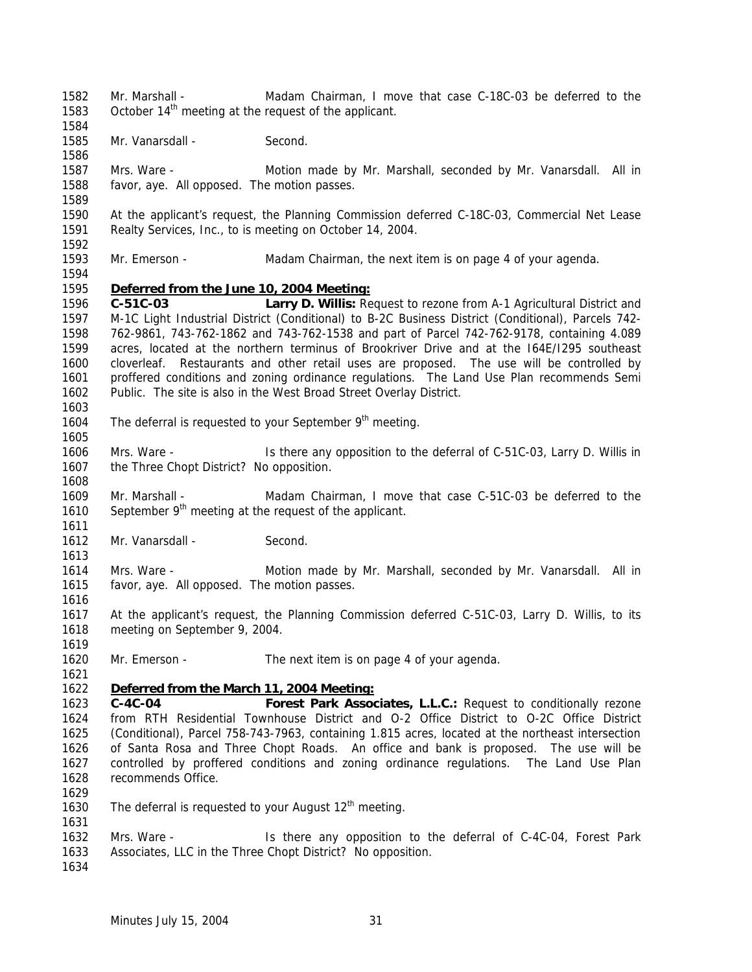- Mr. Marshall Madam Chairman, I move that case C-18C-03 be deferred to the 1583 October  $14<sup>th</sup>$  meeting at the request of the applicant.
- 1585 Mr. Vanarsdall Second.
- Mrs. Ware Motion made by Mr. Marshall, seconded by Mr. Vanarsdall. All in favor, aye. All opposed. The motion passes.
- At the applicant's request, the Planning Commission deferred C-18C-03, Commercial Net Lease Realty Services, Inc., to is meeting on October 14, 2004.
- Mr. Emerson Madam Chairman, the next item is on page 4 of your agenda.

## *Deferred from the June 10, 2004 Meeting:*

- **C-51C-03 Larry D. Willis:** Request to rezone from A-1 Agricultural District and M-1C Light Industrial District (Conditional) to B-2C Business District (Conditional), Parcels 742- 762-9861, 743-762-1862 and 743-762-1538 and part of Parcel 742-762-9178, containing 4.089 acres, located at the northern terminus of Brookriver Drive and at the I64E/I295 southeast cloverleaf. Restaurants and other retail uses are proposed. The use will be controlled by proffered conditions and zoning ordinance regulations. The Land Use Plan recommends Semi Public. The site is also in the West Broad Street Overlay District.
- 

- 1604 The deferral is requested to your September  $9<sup>th</sup>$  meeting.
- Mrs. Ware Is there any opposition to the deferral of C-51C-03, Larry D. Willis in 1607 the Three Chopt District? No opposition.
- Mr. Marshall Madam Chairman, I move that case C-51C-03 be deferred to the 1610 September  $9<sup>th</sup>$  meeting at the request of the applicant.
- 1612 Mr. Vanarsdall Second.
- Mrs. Ware Motion made by Mr. Marshall, seconded by Mr. Vanarsdall. All in favor, aye. All opposed. The motion passes.
- At the applicant's request, the Planning Commission deferred C-51C-03, Larry D. Willis, to its meeting on September 9, 2004.
- Mr. Emerson The next item is on page 4 of your agenda.

# *Deferred from the March 11, 2004 Meeting:*

- **C-4C-04 Forest Park Associates, L.L.C.:** Request to conditionally rezone from RTH Residential Townhouse District and O-2 Office District to O-2C Office District (Conditional), Parcel 758-743-7963, containing 1.815 acres, located at the northeast intersection of Santa Rosa and Three Chopt Roads. An office and bank is proposed. The use will be controlled by proffered conditions and zoning ordinance regulations. The Land Use Plan recommends Office.
- 
- 1630 The deferral is requested to your August  $12<sup>th</sup>$  meeting.
- Mrs. Ware Is there any opposition to the deferral of C-4C-04, Forest Park Associates, LLC in the Three Chopt District? No opposition.
-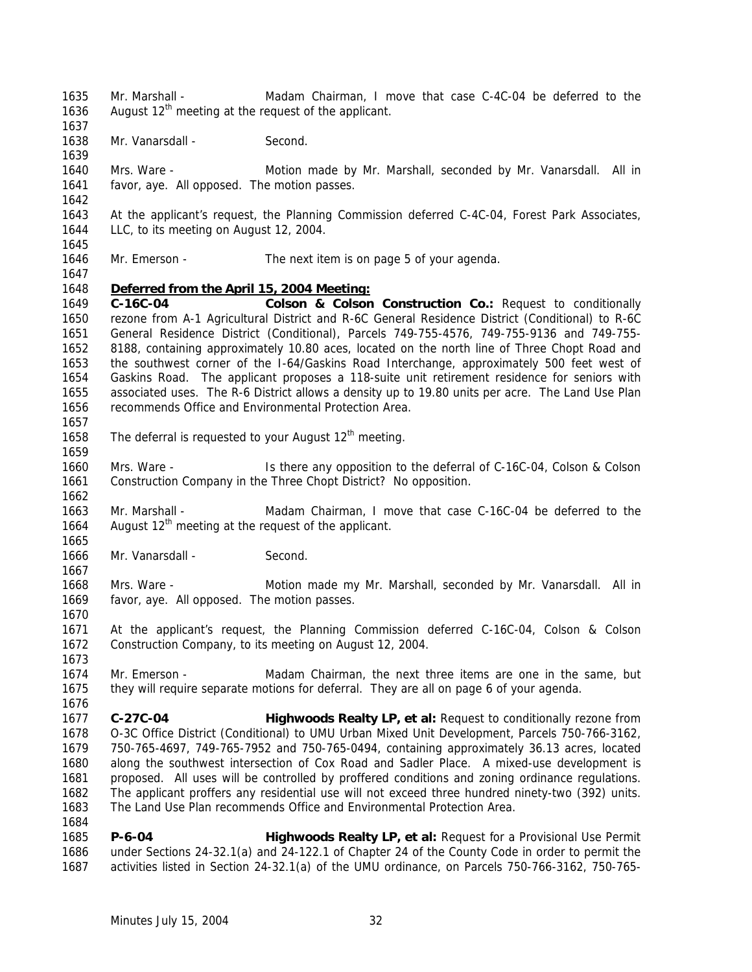- 1635 Mr. Marshall Madam Chairman, I move that case C-4C-04 be deferred to the 1636 August  $12<sup>th</sup>$  meeting at the request of the applicant.
- 1638 Mr. Vanarsdall Second.
- Mrs. Ware Motion made by Mr. Marshall, seconded by Mr. Vanarsdall. All in favor, aye. All opposed. The motion passes.
- At the applicant's request, the Planning Commission deferred C-4C-04, Forest Park Associates, LLC, to its meeting on August 12, 2004.
- Mr. Emerson The next item is on page 5 of your agenda.

### *Deferred from the April 15, 2004 Meeting:*

 **C-16C-04 Colson & Colson Construction Co.:** Request to conditionally rezone from A-1 Agricultural District and R-6C General Residence District (Conditional) to R-6C General Residence District (Conditional), Parcels 749-755-4576, 749-755-9136 and 749-755- 8188, containing approximately 10.80 aces, located on the north line of Three Chopt Road and the southwest corner of the I-64/Gaskins Road Interchange, approximately 500 feet west of Gaskins Road. The applicant proposes a 118-suite unit retirement residence for seniors with associated uses. The R-6 District allows a density up to 19.80 units per acre. The Land Use Plan recommends Office and Environmental Protection Area.

- 1658 The deferral is requested to your August  $12<sup>th</sup>$  meeting.
- Mrs. Ware Is there any opposition to the deferral of C-16C-04, Colson & Colson Construction Company in the Three Chopt District? No opposition.
- Mr. Marshall Madam Chairman, I move that case C-16C-04 be deferred to the 1664 August  $12<sup>th</sup>$  meeting at the request of the applicant.
- Mr. Vanarsdall Second.
- Mrs. Ware Motion made my Mr. Marshall, seconded by Mr. Vanarsdall. All in favor, aye. All opposed. The motion passes.
- At the applicant's request, the Planning Commission deferred C-16C-04, Colson & Colson Construction Company, to its meeting on August 12, 2004.
- Mr. Emerson Madam Chairman, the next three items are one in the same, but they will require separate motions for deferral. They are all on page 6 of your agenda.
- **C-27C-04 Highwoods Realty LP, et al:** Request to conditionally rezone from O-3C Office District (Conditional) to UMU Urban Mixed Unit Development, Parcels 750-766-3162, 750-765-4697, 749-765-7952 and 750-765-0494, containing approximately 36.13 acres, located along the southwest intersection of Cox Road and Sadler Place. A mixed-use development is proposed. All uses will be controlled by proffered conditions and zoning ordinance regulations. The applicant proffers any residential use will not exceed three hundred ninety-two (392) units. The Land Use Plan recommends Office and Environmental Protection Area.
- **P-6-04 Highwoods Realty LP, et al:** Request for a Provisional Use Permit under Sections 24-32.1(a) and 24-122.1 of Chapter 24 of the County Code in order to permit the activities listed in Section 24-32.1(a) of the UMU ordinance, on Parcels 750-766-3162, 750-765-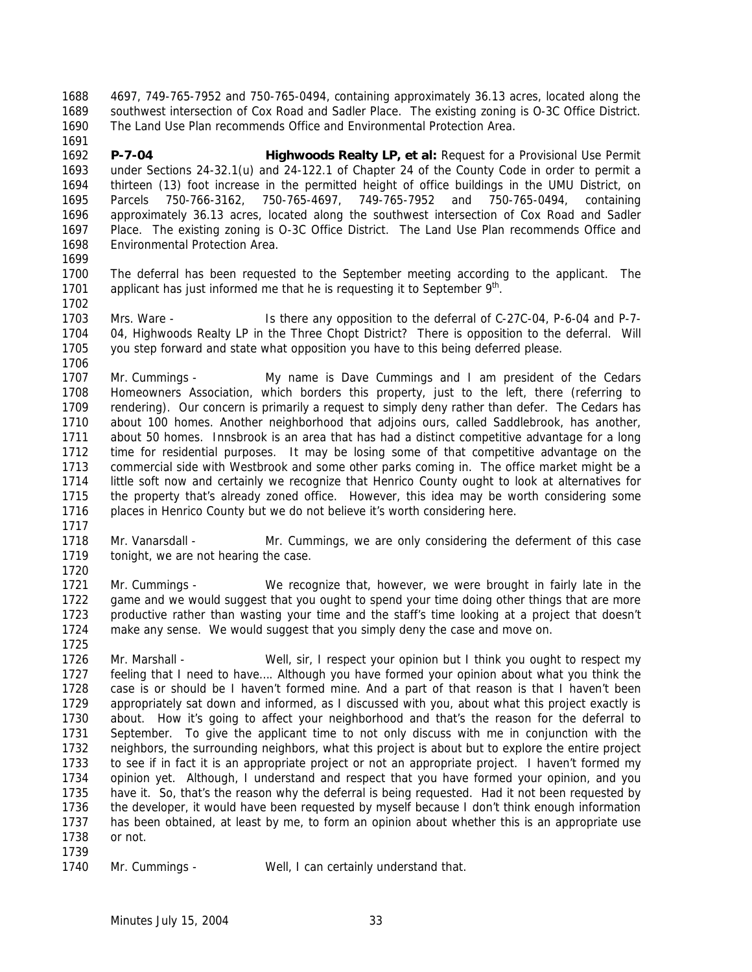4697, 749-765-7952 and 750-765-0494, containing approximately 36.13 acres, located along the southwest intersection of Cox Road and Sadler Place. The existing zoning is O-3C Office District. The Land Use Plan recommends Office and Environmental Protection Area. 

 **P-7-04 Highwoods Realty LP, et al:** Request for a Provisional Use Permit under Sections 24-32.1(u) and 24-122.1 of Chapter 24 of the County Code in order to permit a thirteen (13) foot increase in the permitted height of office buildings in the UMU District, on Parcels 750-766-3162, 750-765-4697, 749-765-7952 and 750-765-0494, containing approximately 36.13 acres, located along the southwest intersection of Cox Road and Sadler Place. The existing zoning is O-3C Office District. The Land Use Plan recommends Office and Environmental Protection Area.

 The deferral has been requested to the September meeting according to the applicant. The 1701 applicant has just informed me that he is requesting it to September  $9<sup>th</sup>$ . 

 Mrs. Ware - Is there any opposition to the deferral of C-27C-04, P-6-04 and P-7- 04, Highwoods Realty LP in the Three Chopt District? There is opposition to the deferral. Will you step forward and state what opposition you have to this being deferred please.

 Mr. Cummings - My name is Dave Cummings and I am president of the Cedars Homeowners Association, which borders this property, just to the left, there (referring to rendering). Our concern is primarily a request to simply deny rather than defer. The Cedars has about 100 homes. Another neighborhood that adjoins ours, called Saddlebrook, has another, about 50 homes. Innsbrook is an area that has had a distinct competitive advantage for a long time for residential purposes. It may be losing some of that competitive advantage on the commercial side with Westbrook and some other parks coming in. The office market might be a little soft now and certainly we recognize that Henrico County ought to look at alternatives for the property that's already zoned office. However, this idea may be worth considering some places in Henrico County but we do not believe it's worth considering here. 

 Mr. Vanarsdall - Mr. Cummings, we are only considering the deferment of this case 1719 tonight, we are not hearing the case. 

 Mr. Cummings - We recognize that, however, we were brought in fairly late in the game and we would suggest that you ought to spend your time doing other things that are more productive rather than wasting your time and the staff's time looking at a project that doesn't make any sense. We would suggest that you simply deny the case and move on.

 Mr. Marshall - Well, sir, I respect your opinion but I think you ought to respect my feeling that I need to have…. Although you have formed your opinion about what you think the case is or should be I haven't formed mine. And a part of that reason is that I haven't been appropriately sat down and informed, as I discussed with you, about what this project exactly is about. How it's going to affect your neighborhood and that's the reason for the deferral to September. To give the applicant time to not only discuss with me in conjunction with the neighbors, the surrounding neighbors, what this project is about but to explore the entire project to see if in fact it is an appropriate project or not an appropriate project. I haven't formed my opinion yet. Although, I understand and respect that you have formed your opinion, and you have it. So, that's the reason why the deferral is being requested. Had it not been requested by the developer, it would have been requested by myself because I don't think enough information has been obtained, at least by me, to form an opinion about whether this is an appropriate use or not. 

```
1740 Mr. Cummings - Well, I can certainly understand that.
```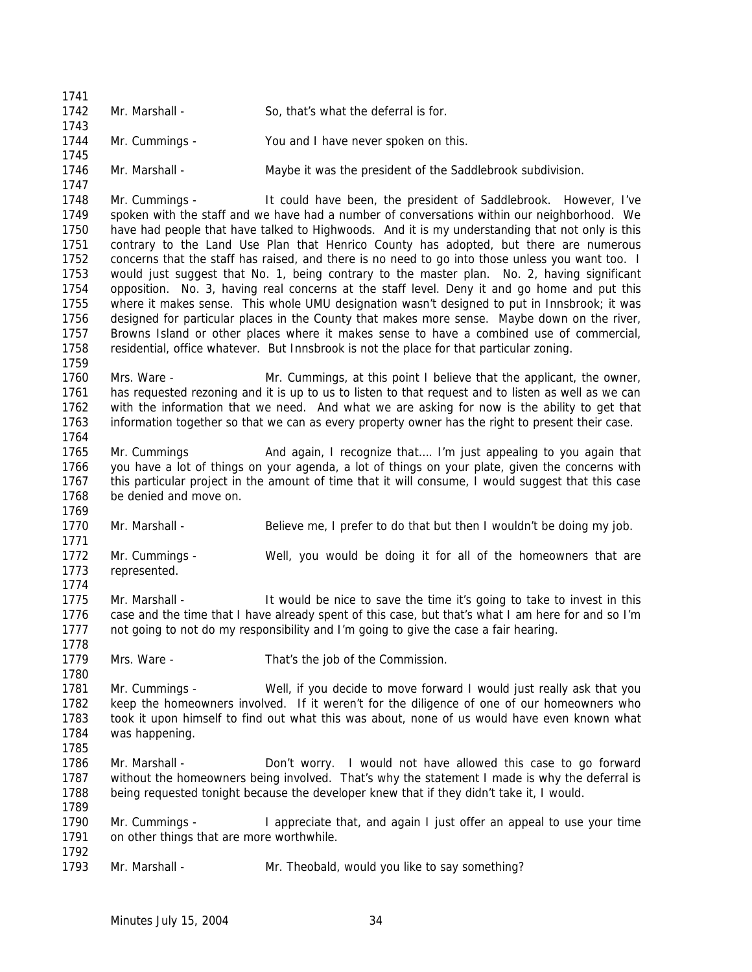| 1741         |                                           |                                                                                                     |
|--------------|-------------------------------------------|-----------------------------------------------------------------------------------------------------|
| 1742         | Mr. Marshall -                            | So, that's what the deferral is for.                                                                |
| 1743<br>1744 | Mr. Cummings -                            | You and I have never spoken on this.                                                                |
| 1745         |                                           |                                                                                                     |
| 1746<br>1747 | Mr. Marshall -                            | Maybe it was the president of the Saddlebrook subdivision.                                          |
| 1748         | Mr. Cummings -                            | It could have been, the president of Saddlebrook. However, I've                                     |
| 1749         |                                           | spoken with the staff and we have had a number of conversations within our neighborhood. We         |
| 1750         |                                           | have had people that have talked to Highwoods. And it is my understanding that not only is this     |
| 1751         |                                           | contrary to the Land Use Plan that Henrico County has adopted, but there are numerous               |
| 1752         |                                           | concerns that the staff has raised, and there is no need to go into those unless you want too. I    |
| 1753         |                                           | would just suggest that No. 1, being contrary to the master plan. No. 2, having significant         |
| 1754         |                                           | opposition. No. 3, having real concerns at the staff level. Deny it and go home and put this        |
| 1755         |                                           | where it makes sense. This whole UMU designation wasn't designed to put in Innsbrook; it was        |
| 1756         |                                           | designed for particular places in the County that makes more sense. Maybe down on the river,        |
| 1757         |                                           | Browns Island or other places where it makes sense to have a combined use of commercial,            |
| 1758         |                                           | residential, office whatever. But Innsbrook is not the place for that particular zoning.            |
| 1759         |                                           |                                                                                                     |
| 1760         | Mrs. Ware -                               | Mr. Cummings, at this point I believe that the applicant, the owner,                                |
| 1761         |                                           | has requested rezoning and it is up to us to listen to that request and to listen as well as we can |
| 1762         |                                           | with the information that we need. And what we are asking for now is the ability to get that        |
| 1763         |                                           | information together so that we can as every property owner has the right to present their case.    |
| 1764         |                                           |                                                                                                     |
| 1765         | Mr. Cummings                              | And again, I recognize that I'm just appealing to you again that                                    |
| 1766         |                                           | you have a lot of things on your agenda, a lot of things on your plate, given the concerns with     |
| 1767         |                                           | this particular project in the amount of time that it will consume, I would suggest that this case  |
| 1768         | be denied and move on.                    |                                                                                                     |
| 1769         |                                           |                                                                                                     |
| 1770         | Mr. Marshall -                            | Believe me, I prefer to do that but then I wouldn't be doing my job.                                |
| 1771         |                                           |                                                                                                     |
| 1772         | Mr. Cummings -                            | Well, you would be doing it for all of the homeowners that are                                      |
| 1773         | represented.                              |                                                                                                     |
| 1774         |                                           |                                                                                                     |
| 1775         | Mr. Marshall -                            | It would be nice to save the time it's going to take to invest in this                              |
| 1776         |                                           | case and the time that I have already spent of this case, but that's what I am here for and so I'm  |
| 1777         |                                           | not going to not do my responsibility and I'm going to give the case a fair hearing.                |
| 1778         |                                           |                                                                                                     |
| 1779<br>1780 | Mrs. Ware -                               | That's the job of the Commission.                                                                   |
| 1781         | Mr. Cummings -                            | Well, if you decide to move forward I would just really ask that you                                |
| 1782         |                                           |                                                                                                     |
|              |                                           | keep the homeowners involved. If it weren't for the diligence of one of our homeowners who          |
| 1783<br>1784 |                                           | took it upon himself to find out what this was about, none of us would have even known what         |
| 1785         | was happening.                            |                                                                                                     |
| 1786         | Mr. Marshall -                            | Don't worry. I would not have allowed this case to go forward                                       |
| 1787         |                                           | without the homeowners being involved. That's why the statement I made is why the deferral is       |
| 1788         |                                           | being requested tonight because the developer knew that if they didn't take it, I would.            |
| 1789         |                                           |                                                                                                     |
| 1790         | Mr. Cummings -                            | I appreciate that, and again I just offer an appeal to use your time                                |
| 1791         | on other things that are more worthwhile. |                                                                                                     |
| 1792         |                                           |                                                                                                     |
| 1793         | Mr. Marshall -                            | Mr. Theobald, would you like to say something?                                                      |
|              |                                           |                                                                                                     |
|              |                                           |                                                                                                     |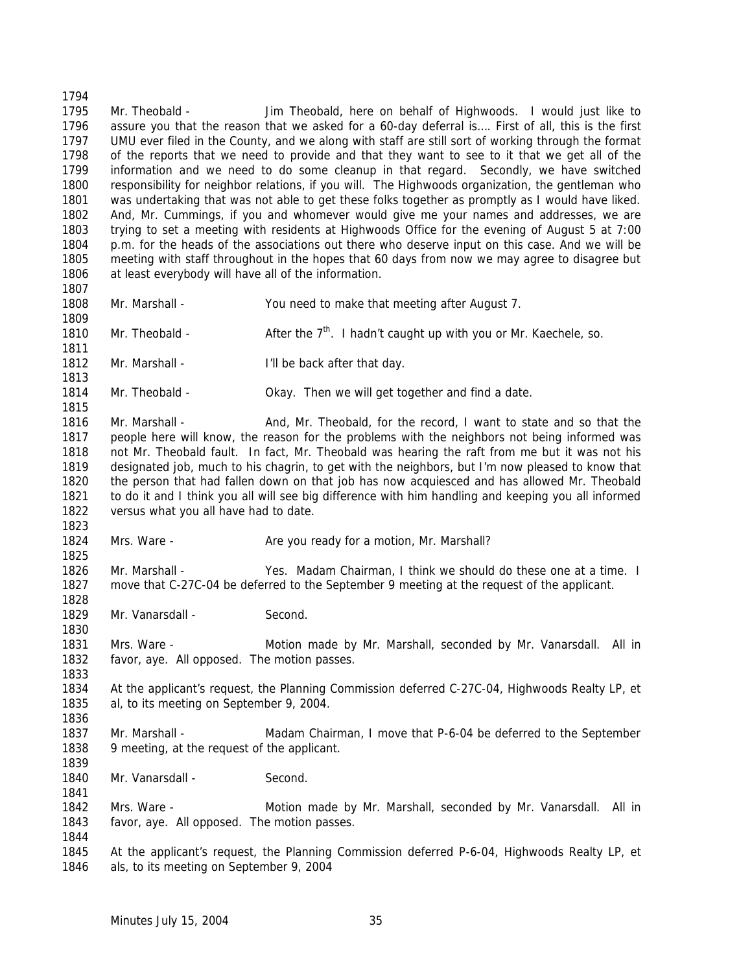Mr. Theobald - Jim Theobald, here on behalf of Highwoods. I would just like to assure you that the reason that we asked for a 60-day deferral is…. First of all, this is the first UMU ever filed in the County, and we along with staff are still sort of working through the format of the reports that we need to provide and that they want to see to it that we get all of the information and we need to do some cleanup in that regard. Secondly, we have switched responsibility for neighbor relations, if you will. The Highwoods organization, the gentleman who was undertaking that was not able to get these folks together as promptly as I would have liked. And, Mr. Cummings, if you and whomever would give me your names and addresses, we are trying to set a meeting with residents at Highwoods Office for the evening of August 5 at 7:00 p.m. for the heads of the associations out there who deserve input on this case. And we will be meeting with staff throughout in the hopes that 60 days from now we may agree to disagree but at least everybody will have all of the information. Mr. Marshall - You need to make that meeting after August 7. 1810 Mr. Theobald -  $\overline{A}$  After the 7<sup>th</sup>. I hadn't caught up with you or Mr. Kaechele, so. 1812 Mr. Marshall - I'll be back after that day.

 Mr. Theobald - Okay. Then we will get together and find a date. 

1816 Mr. Marshall - And, Mr. Theobald, for the record, I want to state and so that the people here will know, the reason for the problems with the neighbors not being informed was not Mr. Theobald fault. In fact, Mr. Theobald was hearing the raft from me but it was not his designated job, much to his chagrin, to get with the neighbors, but I'm now pleased to know that the person that had fallen down on that job has now acquiesced and has allowed Mr. Theobald to do it and I think you all will see big difference with him handling and keeping you all informed versus what you all have had to date.

1824 Mrs. Ware - Are you ready for a motion, Mr. Marshall?

 Mr. Marshall - Yes. Madam Chairman, I think we should do these one at a time. I move that C-27C-04 be deferred to the September 9 meeting at the request of the applicant.

1829 Mr. Vanarsdall - Second.

 Mrs. Ware - Motion made by Mr. Marshall, seconded by Mr. Vanarsdall. All in favor, aye. All opposed. The motion passes.

 At the applicant's request, the Planning Commission deferred C-27C-04, Highwoods Realty LP, et al, to its meeting on September 9, 2004.

 Mr. Marshall - Madam Chairman, I move that P-6-04 be deferred to the September 9 meeting, at the request of the applicant.

1840 Mr. Vanarsdall - Second.

 Mrs. Ware - Motion made by Mr. Marshall, seconded by Mr. Vanarsdall. All in favor, aye. All opposed. The motion passes.

 At the applicant's request, the Planning Commission deferred P-6-04, Highwoods Realty LP, et als, to its meeting on September 9, 2004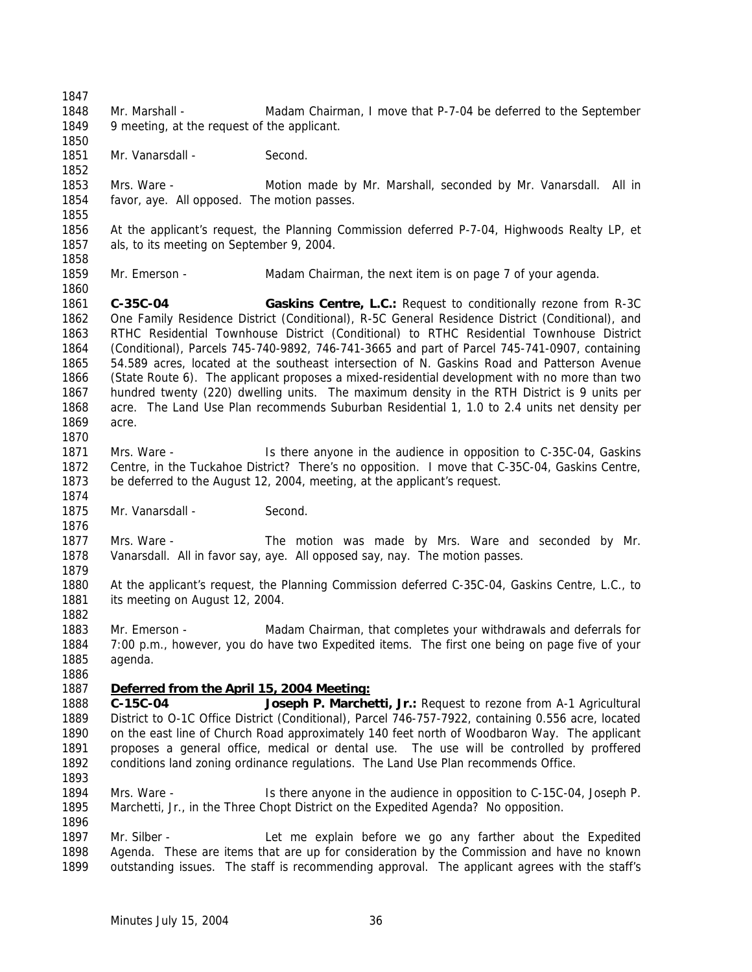Mr. Marshall - Madam Chairman, I move that P-7-04 be deferred to the September 9 meeting, at the request of the applicant. 1851 Mr. Vanarsdall - Second. Mrs. Ware - Motion made by Mr. Marshall, seconded by Mr. Vanarsdall. All in favor, aye. All opposed. The motion passes. At the applicant's request, the Planning Commission deferred P-7-04, Highwoods Realty LP, et als, to its meeting on September 9, 2004. Mr. Emerson - Madam Chairman, the next item is on page 7 of your agenda. **C-35C-04 Gaskins Centre, L.C.:** Request to conditionally rezone from R-3C One Family Residence District (Conditional), R-5C General Residence District (Conditional), and RTHC Residential Townhouse District (Conditional) to RTHC Residential Townhouse District (Conditional), Parcels 745-740-9892, 746-741-3665 and part of Parcel 745-741-0907, containing 54.589 acres, located at the southeast intersection of N. Gaskins Road and Patterson Avenue (State Route 6). The applicant proposes a mixed-residential development with no more than two hundred twenty (220) dwelling units. The maximum density in the RTH District is 9 units per acre. The Land Use Plan recommends Suburban Residential 1, 1.0 to 2.4 units net density per acre. Mrs. Ware - Is there anyone in the audience in opposition to C-35C-04, Gaskins Centre, in the Tuckahoe District? There's no opposition. I move that C-35C-04, Gaskins Centre, be deferred to the August 12, 2004, meeting, at the applicant's request. 1875 Mr. Vanarsdall - Second. Mrs. Ware - The motion was made by Mrs. Ware and seconded by Mr. Vanarsdall. All in favor say, aye. All opposed say, nay. The motion passes. At the applicant's request, the Planning Commission deferred C-35C-04, Gaskins Centre, L.C., to 1881 its meeting on August 12, 2004. Mr. Emerson - Madam Chairman, that completes your withdrawals and deferrals for 7:00 p.m., however, you do have two Expedited items. The first one being on page five of your agenda. *Deferred from the April 15, 2004 Meeting:* **C-15C-04 Joseph P. Marchetti, Jr.:** Request to rezone from A-1 Agricultural District to O-1C Office District (Conditional), Parcel 746-757-7922, containing 0.556 acre, located on the east line of Church Road approximately 140 feet north of Woodbaron Way. The applicant proposes a general office, medical or dental use. The use will be controlled by proffered conditions land zoning ordinance regulations. The Land Use Plan recommends Office. Mrs. Ware - Is there anyone in the audience in opposition to C-15C-04, Joseph P. Marchetti, Jr., in the Three Chopt District on the Expedited Agenda? No opposition. 1897 Mr. Silber - Let me explain before we go any farther about the Expedited Agenda. These are items that are up for consideration by the Commission and have no known outstanding issues. The staff is recommending approval. The applicant agrees with the staff's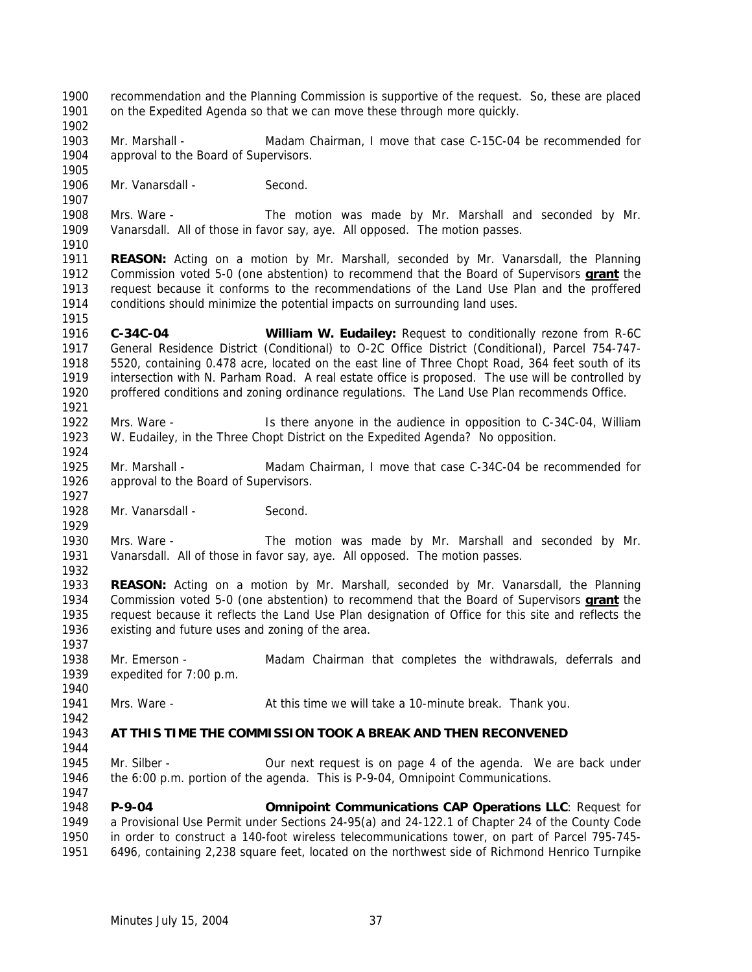recommendation and the Planning Commission is supportive of the request. So, these are placed on the Expedited Agenda so that we can move these through more quickly. Mr. Marshall - Madam Chairman, I move that case C-15C-04 be recommended for 1904 approval to the Board of Supervisors. Mr. Vanarsdall - Second. Mrs. Ware - The motion was made by Mr. Marshall and seconded by Mr. Vanarsdall. All of those in favor say, aye. All opposed. The motion passes. **REASON:** Acting on a motion by Mr. Marshall, seconded by Mr. Vanarsdall, the Planning Commission voted 5-0 (one abstention) to recommend that the Board of Supervisors **grant** the request because it conforms to the recommendations of the Land Use Plan and the proffered conditions should minimize the potential impacts on surrounding land uses. **C-34C-04 William W. Eudailey:** Request to conditionally rezone from R-6C General Residence District (Conditional) to O-2C Office District (Conditional), Parcel 754-747- 5520, containing 0.478 acre, located on the east line of Three Chopt Road, 364 feet south of its intersection with N. Parham Road. A real estate office is proposed. The use will be controlled by proffered conditions and zoning ordinance regulations. The Land Use Plan recommends Office. Mrs. Ware - Is there anyone in the audience in opposition to C-34C-04, William W. Eudailey, in the Three Chopt District on the Expedited Agenda? No opposition. Mr. Marshall - Madam Chairman, I move that case C-34C-04 be recommended for 1926 approval to the Board of Supervisors. 1928 Mr. Vanarsdall - Second. Mrs. Ware - The motion was made by Mr. Marshall and seconded by Mr. Vanarsdall. All of those in favor say, aye. All opposed. The motion passes. **REASON:** Acting on a motion by Mr. Marshall, seconded by Mr. Vanarsdall, the Planning Commission voted 5-0 (one abstention) to recommend that the Board of Supervisors **grant** the request because it reflects the Land Use Plan designation of Office for this site and reflects the existing and future uses and zoning of the area. Mr. Emerson - Madam Chairman that completes the withdrawals, deferrals and expedited for 7:00 p.m. Mrs. Ware - At this time we will take a 10-minute break. Thank you. **AT THIS TIME THE COMMISSION TOOK A BREAK AND THEN RECONVENED** 1945 Mr. Silber - **Our next request is on page 4 of the agenda**. We are back under the 6:00 p.m. portion of the agenda. This is P-9-04, Omnipoint Communications. **P-9-04 Omnipoint Communications CAP Operations LLC**: Request for a Provisional Use Permit under Sections 24-95(a) and 24-122.1 of Chapter 24 of the County Code in order to construct a 140-foot wireless telecommunications tower, on part of Parcel 795-745- 6496, containing 2,238 square feet, located on the northwest side of Richmond Henrico Turnpike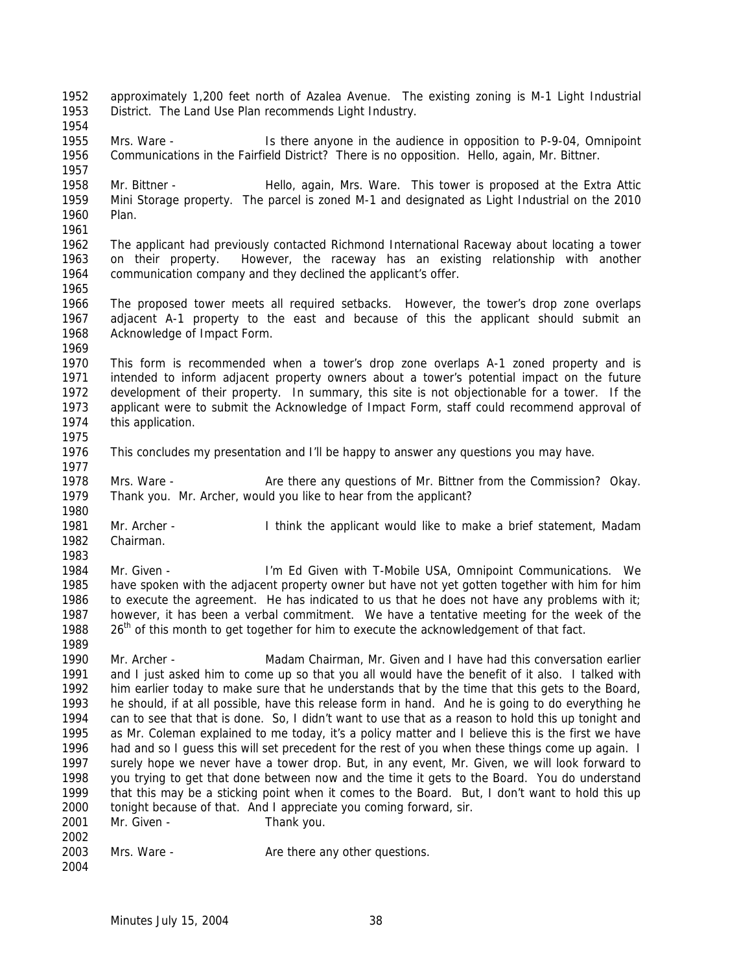approximately 1,200 feet north of Azalea Avenue. The existing zoning is M-1 Light Industrial District. The Land Use Plan recommends Light Industry. Mrs. Ware - Is there anyone in the audience in opposition to P-9-04, Omnipoint Communications in the Fairfield District? There is no opposition. Hello, again, Mr. Bittner. Mr. Bittner - Hello, again, Mrs. Ware. This tower is proposed at the Extra Attic Mini Storage property. The parcel is zoned M-1 and designated as Light Industrial on the 2010 Plan. The applicant had previously contacted Richmond International Raceway about locating a tower on their property. However, the raceway has an existing relationship with another communication company and they declined the applicant's offer. The proposed tower meets all required setbacks. However, the tower's drop zone overlaps adjacent A-1 property to the east and because of this the applicant should submit an Acknowledge of Impact Form. This form is recommended when a tower's drop zone overlaps A-1 zoned property and is intended to inform adjacent property owners about a tower's potential impact on the future development of their property. In summary, this site is not objectionable for a tower. If the applicant were to submit the Acknowledge of Impact Form, staff could recommend approval of this application. This concludes my presentation and I'll be happy to answer any questions you may have. Mrs. Ware - Are there any questions of Mr. Bittner from the Commission? Okay. Thank you. Mr. Archer, would you like to hear from the applicant? Mr. Archer - I think the applicant would like to make a brief statement, Madam Chairman. Mr. Given - I'm Ed Given with T-Mobile USA, Omnipoint Communications. We have spoken with the adjacent property owner but have not yet gotten together with him for him to execute the agreement. He has indicated to us that he does not have any problems with it; however, it has been a verbal commitment. We have a tentative meeting for the week of the  $26<sup>th</sup>$  of this month to get together for him to execute the acknowledgement of that fact. Mr. Archer - Madam Chairman, Mr. Given and I have had this conversation earlier and I just asked him to come up so that you all would have the benefit of it also. I talked with him earlier today to make sure that he understands that by the time that this gets to the Board, he should, if at all possible, have this release form in hand. And he is going to do everything he can to see that that is done. So, I didn't want to use that as a reason to hold this up tonight and as Mr. Coleman explained to me today, it's a policy matter and I believe this is the first we have had and so I guess this will set precedent for the rest of you when these things come up again. I surely hope we never have a tower drop. But, in any event, Mr. Given, we will look forward to you trying to get that done between now and the time it gets to the Board. You do understand that this may be a sticking point when it comes to the Board. But, I don't want to hold this up tonight because of that. And I appreciate you coming forward, sir. 2001 Mr. Given - Thank you. 2003 Mrs. Ware - Are there any other questions.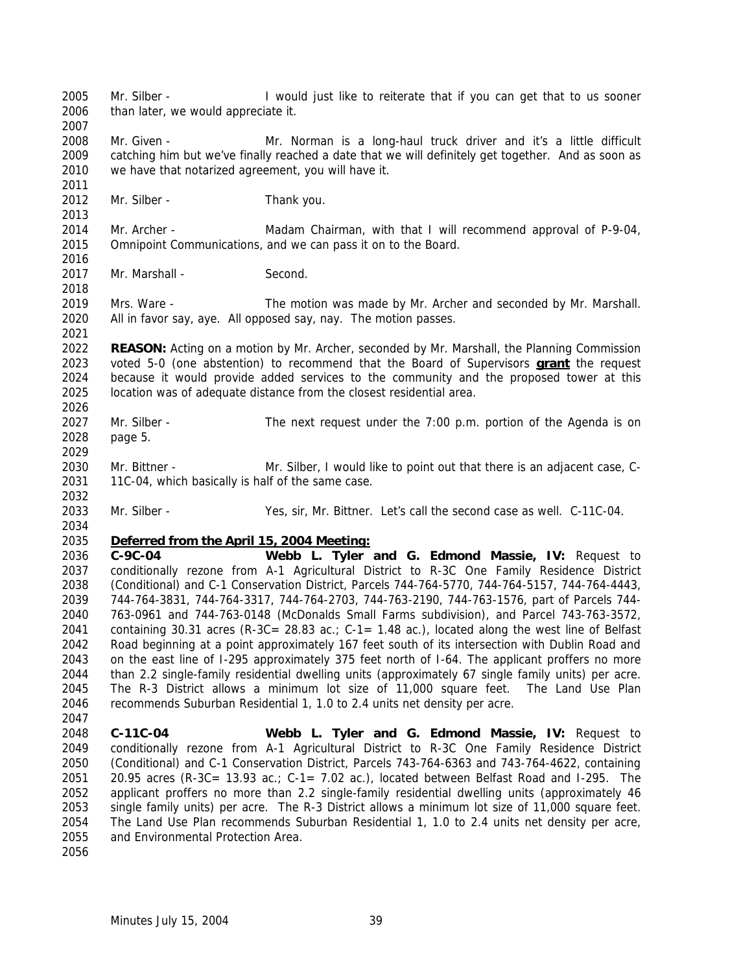Mr. Silber - I would just like to reiterate that if you can get that to us sooner than later, we would appreciate it. 2008 Mr. Given - Mr. Norman is a long-haul truck driver and it's a little difficult catching him but we've finally reached a date that we will definitely get together. And as soon as we have that notarized agreement, you will have it. 2012 Mr. Silber - Thank you. Mr. Archer - Madam Chairman, with that I will recommend approval of P-9-04, Omnipoint Communications, and we can pass it on to the Board. 2017 Mr. Marshall - Second. Mrs. Ware - The motion was made by Mr. Archer and seconded by Mr. Marshall. All in favor say, aye. All opposed say, nay. The motion passes. **REASON:** Acting on a motion by Mr. Archer, seconded by Mr. Marshall, the Planning Commission voted 5-0 (one abstention) to recommend that the Board of Supervisors **grant** the request because it would provide added services to the community and the proposed tower at this location was of adequate distance from the closest residential area. Mr. Silber - The next request under the 7:00 p.m. portion of the Agenda is on page 5. Mr. Bittner - Mr. Silber, I would like to point out that there is an adjacent case, C- 11C-04, which basically is half of the same case. Mr. Silber - Yes, sir, Mr. Bittner. Let's call the second case as well. C-11C-04. *Deferred from the April 15, 2004 Meeting:* **C-9C-04 Webb L. Tyler and G. Edmond Massie, IV:** Request to conditionally rezone from A-1 Agricultural District to R-3C One Family Residence District (Conditional) and C-1 Conservation District, Parcels 744-764-5770, 744-764-5157, 744-764-4443, 744-764-3831, 744-764-3317, 744-764-2703, 744-763-2190, 744-763-1576, part of Parcels 744- 763-0961 and 744-763-0148 (McDonalds Small Farms subdivision), and Parcel 743-763-3572, containing 30.31 acres (R-3C= 28.83 ac.; C-1= 1.48 ac.), located along the west line of Belfast Road beginning at a point approximately 167 feet south of its intersection with Dublin Road and on the east line of I-295 approximately 375 feet north of I-64. The applicant proffers no more than 2.2 single-family residential dwelling units (approximately 67 single family units) per acre. The R-3 District allows a minimum lot size of 11,000 square feet. The Land Use Plan recommends Suburban Residential 1, 1.0 to 2.4 units net density per acre. **C-11C-04 Webb L. Tyler and G. Edmond Massie, IV:** Request to conditionally rezone from A-1 Agricultural District to R-3C One Family Residence District (Conditional) and C-1 Conservation District, Parcels 743-764-6363 and 743-764-4622, containing 2051 20.95 acres (R-3C= 13.93 ac.; C-1= 7.02 ac.), located between Belfast Road and I-295. The applicant proffers no more than 2.2 single-family residential dwelling units (approximately 46 single family units) per acre. The R-3 District allows a minimum lot size of 11,000 square feet. The Land Use Plan recommends Suburban Residential 1, 1.0 to 2.4 units net density per acre, and Environmental Protection Area.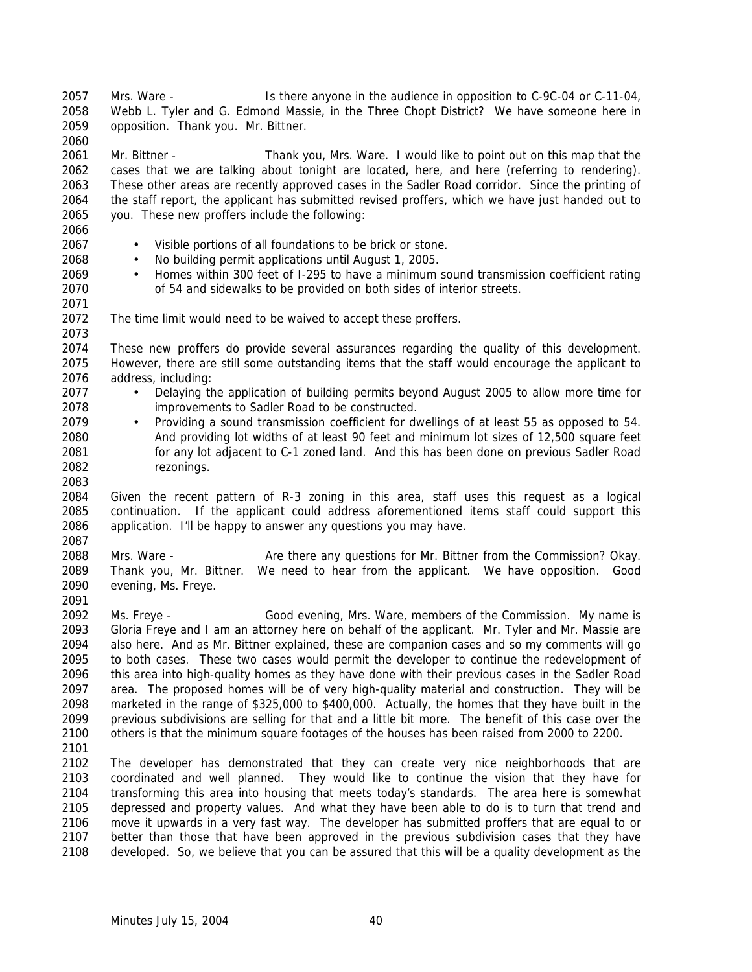Mrs. Ware - Is there anyone in the audience in opposition to C-9C-04 or C-11-04, Webb L. Tyler and G. Edmond Massie, in the Three Chopt District? We have someone here in opposition. Thank you. Mr. Bittner. 

 Mr. Bittner - Thank you, Mrs. Ware. I would like to point out on this map that the cases that we are talking about tonight are located, here, and here (referring to rendering). These other areas are recently approved cases in the Sadler Road corridor. Since the printing of the staff report, the applicant has submitted revised proffers, which we have just handed out to you. These new proffers include the following:

• Visible portions of all foundations to be brick or stone.

- No building permit applications until August 1, 2005.
- Homes within 300 feet of I-295 to have a minimum sound transmission coefficient rating of 54 and sidewalks to be provided on both sides of interior streets.
- 
- 

The time limit would need to be waived to accept these proffers.

 These new proffers do provide several assurances regarding the quality of this development. However, there are still some outstanding items that the staff would encourage the applicant to address, including:

- Delaying the application of building permits beyond August 2005 to allow more time for improvements to Sadler Road to be constructed.
- Providing a sound transmission coefficient for dwellings of at least 55 as opposed to 54. And providing lot widths of at least 90 feet and minimum lot sizes of 12,500 square feet for any lot adjacent to C-1 zoned land. And this has been done on previous Sadler Road rezonings.

 Given the recent pattern of R-3 zoning in this area, staff uses this request as a logical continuation. If the applicant could address aforementioned items staff could support this application. I'll be happy to answer any questions you may have. 

 Mrs. Ware - Are there any questions for Mr. Bittner from the Commission? Okay. Thank you, Mr. Bittner. We need to hear from the applicant. We have opposition. Good evening, Ms. Freye. 

 Ms. Freye - Good evening, Mrs. Ware, members of the Commission. My name is Gloria Freye and I am an attorney here on behalf of the applicant. Mr. Tyler and Mr. Massie are also here. And as Mr. Bittner explained, these are companion cases and so my comments will go to both cases. These two cases would permit the developer to continue the redevelopment of this area into high-quality homes as they have done with their previous cases in the Sadler Road area. The proposed homes will be of very high-quality material and construction. They will be marketed in the range of \$325,000 to \$400,000. Actually, the homes that they have built in the previous subdivisions are selling for that and a little bit more. The benefit of this case over the others is that the minimum square footages of the houses has been raised from 2000 to 2200. 

 The developer has demonstrated that they can create very nice neighborhoods that are coordinated and well planned. They would like to continue the vision that they have for transforming this area into housing that meets today's standards. The area here is somewhat depressed and property values. And what they have been able to do is to turn that trend and move it upwards in a very fast way. The developer has submitted proffers that are equal to or better than those that have been approved in the previous subdivision cases that they have developed. So, we believe that you can be assured that this will be a quality development as the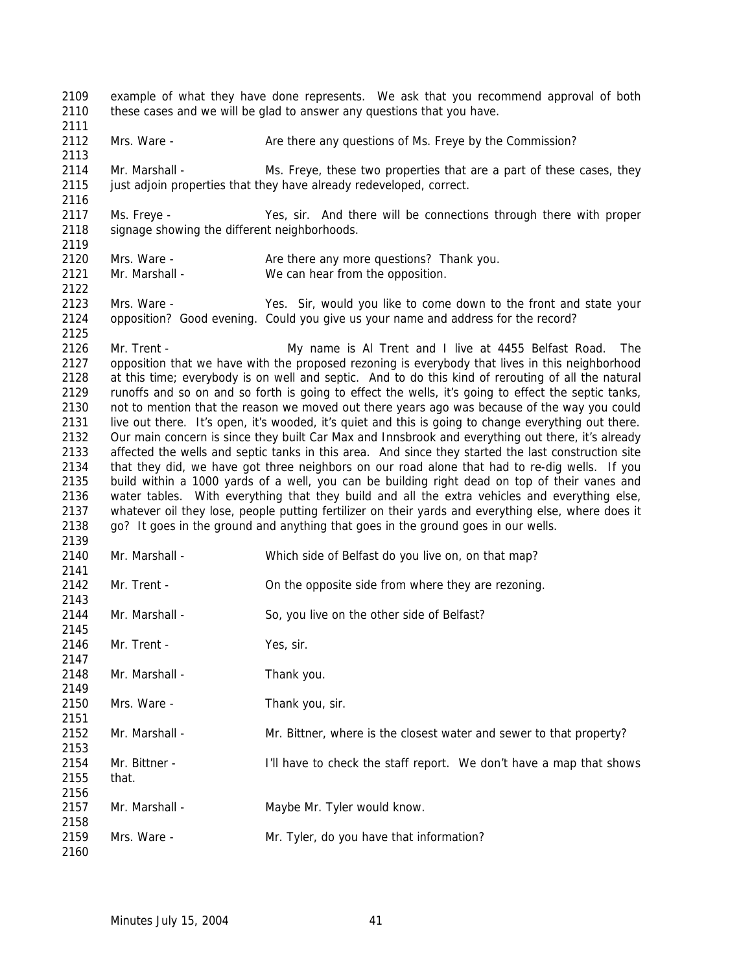example of what they have done represents. We ask that you recommend approval of both 2110 these cases and we will be glad to answer any questions that you have. 2112 Mrs. Ware - Are there any questions of Ms. Freye by the Commission? Mr. Marshall - Ms. Freye, these two properties that are a part of these cases, they 2115 just adjoin properties that they have already redeveloped, correct. Ms. Freye - Yes, sir. And there will be connections through there with proper 2118 signage showing the different neighborhoods. 2120 Mrs. Ware - Are there any more questions? Thank you. Mr. Marshall - We can hear from the opposition. Mrs. Ware - Yes. Sir, would you like to come down to the front and state your opposition? Good evening. Could you give us your name and address for the record? Mr. Trent - My name is Al Trent and I live at 4455 Belfast Road. The opposition that we have with the proposed rezoning is everybody that lives in this neighborhood at this time; everybody is on well and septic. And to do this kind of rerouting of all the natural runoffs and so on and so forth is going to effect the wells, it's going to effect the septic tanks, not to mention that the reason we moved out there years ago was because of the way you could live out there. It's open, it's wooded, it's quiet and this is going to change everything out there. Our main concern is since they built Car Max and Innsbrook and everything out there, it's already affected the wells and septic tanks in this area. And since they started the last construction site that they did, we have got three neighbors on our road alone that had to re-dig wells. If you build within a 1000 yards of a well, you can be building right dead on top of their vanes and water tables. With everything that they build and all the extra vehicles and everything else, whatever oil they lose, people putting fertilizer on their yards and everything else, where does it go? It goes in the ground and anything that goes in the ground goes in our wells. Mr. Marshall - Which side of Belfast do you live on, on that map? Mr. Trent - On the opposite side from where they are rezoning. 2144 Mr. Marshall - So, you live on the other side of Belfast? 2146 Mr. Trent - Yes, sir. 2148 Mr. Marshall - Thank you. 2150 Mrs. Ware - Thank you, sir. Mr. Marshall - Mr. Bittner, where is the closest water and sewer to that property? 2154 Mr. Bittner - I'll have to check the staff report. We don't have a map that shows that. 2157 Mr. Marshall - Maybe Mr. Tyler would know. Mrs. Ware - Mr. Tyler, do you have that information?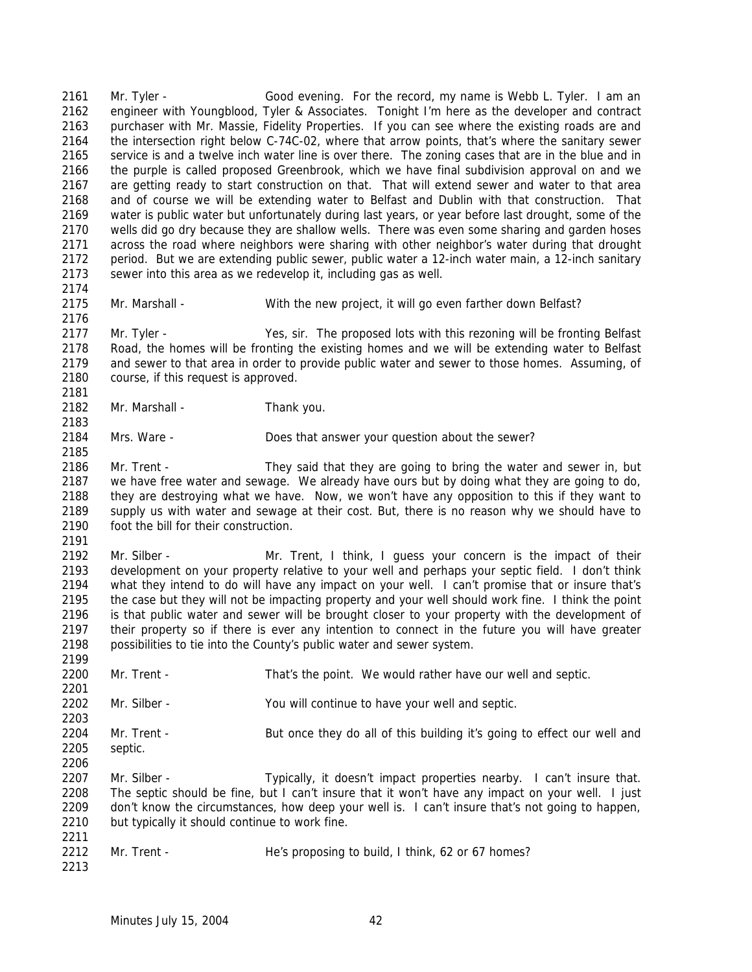Mr. Tyler - Good evening. For the record, my name is Webb L. Tyler. I am an engineer with Youngblood, Tyler & Associates. Tonight I'm here as the developer and contract purchaser with Mr. Massie, Fidelity Properties. If you can see where the existing roads are and the intersection right below C-74C-02, where that arrow points, that's where the sanitary sewer service is and a twelve inch water line is over there. The zoning cases that are in the blue and in the purple is called proposed Greenbrook, which we have final subdivision approval on and we are getting ready to start construction on that. That will extend sewer and water to that area and of course we will be extending water to Belfast and Dublin with that construction. That water is public water but unfortunately during last years, or year before last drought, some of the wells did go dry because they are shallow wells. There was even some sharing and garden hoses across the road where neighbors were sharing with other neighbor's water during that drought period. But we are extending public sewer, public water a 12-inch water main, a 12-inch sanitary sewer into this area as we redevelop it, including gas as well. 

Mr. Marshall - With the new project, it will go even farther down Belfast?

 Mr. Tyler - Yes, sir. The proposed lots with this rezoning will be fronting Belfast Road, the homes will be fronting the existing homes and we will be extending water to Belfast and sewer to that area in order to provide public water and sewer to those homes. Assuming, of course, if this request is approved. 

2182 Mr. Marshall - Thank you.

### Mrs. Ware - Does that answer your question about the sewer?

 Mr. Trent - They said that they are going to bring the water and sewer in, but we have free water and sewage. We already have ours but by doing what they are going to do, they are destroying what we have. Now, we won't have any opposition to this if they want to supply us with water and sewage at their cost. But, there is no reason why we should have to foot the bill for their construction.

 Mr. Silber - Mr. Trent, I think, I guess your concern is the impact of their development on your property relative to your well and perhaps your septic field. I don't think what they intend to do will have any impact on your well. I can't promise that or insure that's the case but they will not be impacting property and your well should work fine. I think the point is that public water and sewer will be brought closer to your property with the development of their property so if there is ever any intention to connect in the future you will have greater possibilities to tie into the County's public water and sewer system.

- Mr. Trent That's the point. We would rather have our well and septic. Mr. Silber - You will continue to have your well and septic. 2204 Mr. Trent - But once they do all of this building it's going to effect our well and septic. 2207 Mr. Silber - Typically, it doesn't impact properties nearby. I can't insure that. The septic should be fine, but I can't insure that it won't have any impact on your well. I just don't know the circumstances, how deep your well is. I can't insure that's not going to happen, but typically it should continue to work fine.
- 2212 Mr. Trent He's proposing to build, I think, 62 or 67 homes?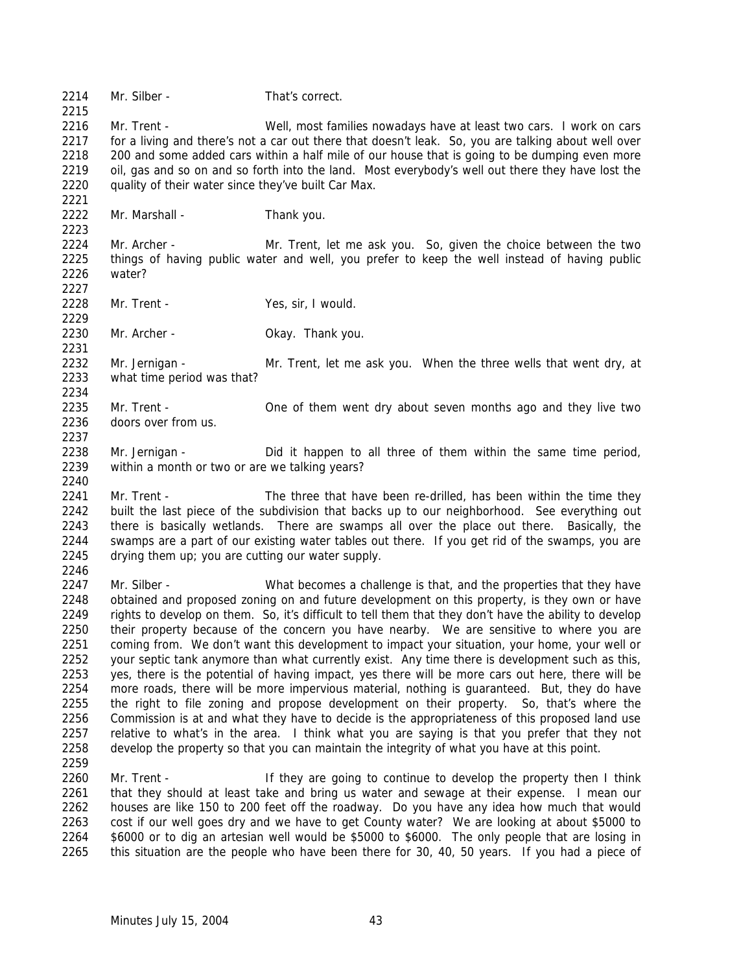2214 Mr. Silber - That's correct. Mr. Trent - Well, most families nowadays have at least two cars. I work on cars 2217 for a living and there's not a car out there that doesn't leak. So, you are talking about well over 2218 200 and some added cars within a half mile of our house that is going to be dumping even more<br>2219 oil, gas and so on and so forth into the land. Most everybody's well out there they have lost the oil, gas and so on and so forth into the land. Most everybody's well out there they have lost the quality of their water since they've built Car Max. Mr. Marshall - Thank you. Mr. Archer - Mr. Trent, let me ask you. So, given the choice between the two things of having public water and well, you prefer to keep the well instead of having public water? Mr. Trent - Yes, sir, I would. Mr. Archer - Okay. Thank you. Mr. Jernigan - Mr. Trent, let me ask you. When the three wells that went dry, at what time period was that? Mr. Trent - One of them went dry about seven months ago and they live two doors over from us. Mr. Jernigan - Did it happen to all three of them within the same time period, within a month or two or are we talking years? 2241 Mr. Trent - The three that have been re-drilled, has been within the time they built the last piece of the subdivision that backs up to our neighborhood. See everything out 2243 there is basically wetlands. There are swamps all over the place out there. Basically, the swamps are a part of our existing water tables out there. If you get rid of the swamps, you are drying them up; you are cutting our water supply. 2247 Mr. Silber - What becomes a challenge is that, and the properties that they have obtained and proposed zoning on and future development on this property, is they own or have rights to develop on them. So, it's difficult to tell them that they don't have the ability to develop 2250 their property because of the concern you have nearby. We are sensitive to where you are coming from. We don't want this development to impact your situation, your home, your well or your septic tank anymore than what currently exist. Any time there is development such as this, yes, there is the potential of having impact, yes there will be more cars out here, there will be more roads, there will be more impervious material, nothing is guaranteed. But, they do have the right to file zoning and propose development on their property. So, that's where the Commission is at and what they have to decide is the appropriateness of this proposed land use relative to what's in the area. I think what you are saying is that you prefer that they not develop the property so that you can maintain the integrity of what you have at this point. 2260 Mr. Trent - If they are going to continue to develop the property then I think that they should at least take and bring us water and sewage at their expense. I mean our houses are like 150 to 200 feet off the roadway. Do you have any idea how much that would cost if our well goes dry and we have to get County water? We are looking at about \$5000 to \$6000 or to dig an artesian well would be \$5000 to \$6000. The only people that are losing in this situation are the people who have been there for 30, 40, 50 years. If you had a piece of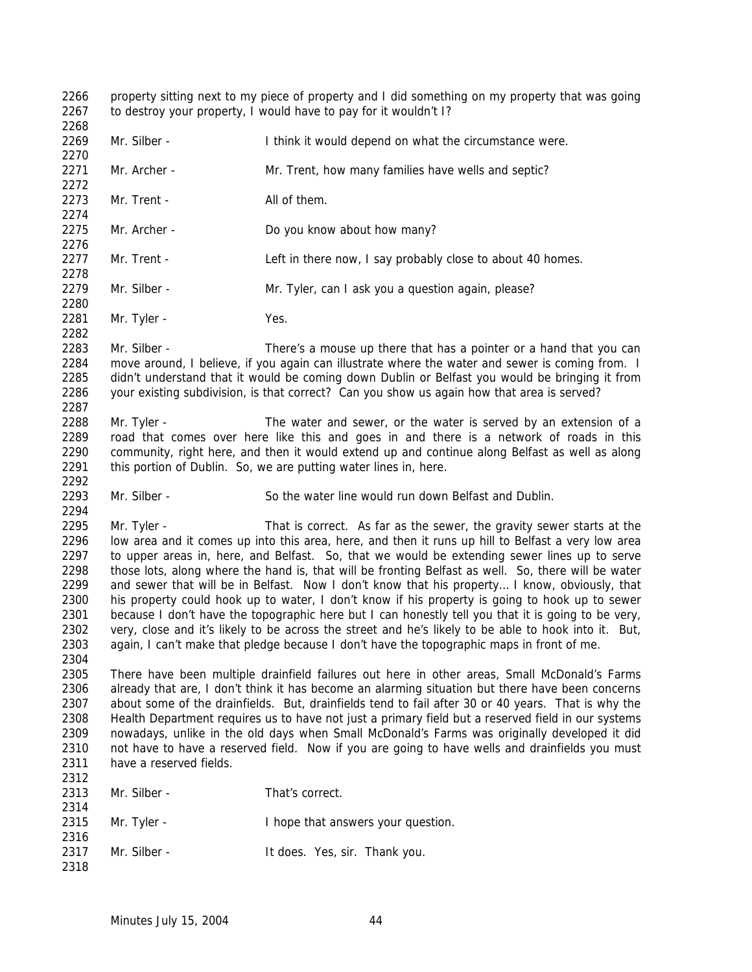property sitting next to my piece of property and I did something on my property that was going 2267 to destroy your property, I would have to pay for it wouldn't I? 2269 Mr. Silber - Think it would depend on what the circumstance were. Mr. Archer - Mr. Trent, how many families have wells and septic? 2273 Mr. Trent - All of them. Mr. Archer - Do you know about how many? 2277 Mr. Trent - Left in there now, I say probably close to about 40 homes. 2279 Mr. Silber - Mr. Tyler, can I ask you a question again, please? 2281 Mr. Tyler - Yes. Mr. Silber - There's a mouse up there that has a pointer or a hand that you can 2284 move around, I believe, if you again can illustrate where the water and sewer is coming from. I didn't understand that it would be coming down Dublin or Belfast you would be bringing it from your existing subdivision, is that correct? Can you show us again how that area is served? 2288 Mr. Tyler - The water and sewer, or the water is served by an extension of a road that comes over here like this and goes in and there is a network of roads in this community, right here, and then it would extend up and continue along Belfast as well as along 2291 this portion of Dublin. So, we are putting water lines in, here. Mr. Silber - So the water line would run down Belfast and Dublin. 2295 Mr. Tyler - That is correct. As far as the sewer, the gravity sewer starts at the low area and it comes up into this area, here, and then it runs up hill to Belfast a very low area to upper areas in, here, and Belfast. So, that we would be extending sewer lines up to serve those lots, along where the hand is, that will be fronting Belfast as well. So, there will be water and sewer that will be in Belfast. Now I don't know that his property… I know, obviously, that his property could hook up to water, I don't know if his property is going to hook up to sewer because I don't have the topographic here but I can honestly tell you that it is going to be very, very, close and it's likely to be across the street and he's likely to be able to hook into it. But, again, I can't make that pledge because I don't have the topographic maps in front of me. There have been multiple drainfield failures out here in other areas, Small McDonald's Farms already that are, I don't think it has become an alarming situation but there have been concerns about some of the drainfields. But, drainfields tend to fail after 30 or 40 years. That is why the Health Department requires us to have not just a primary field but a reserved field in our systems nowadays, unlike in the old days when Small McDonald's Farms was originally developed it did not have to have a reserved field. Now if you are going to have wells and drainfields you must have a reserved fields. 2313 Mr. Silber - That's correct. 2315 Mr. Tyler - I hope that answers your question. 2317 Mr. Silber - It does. Yes, sir. Thank you.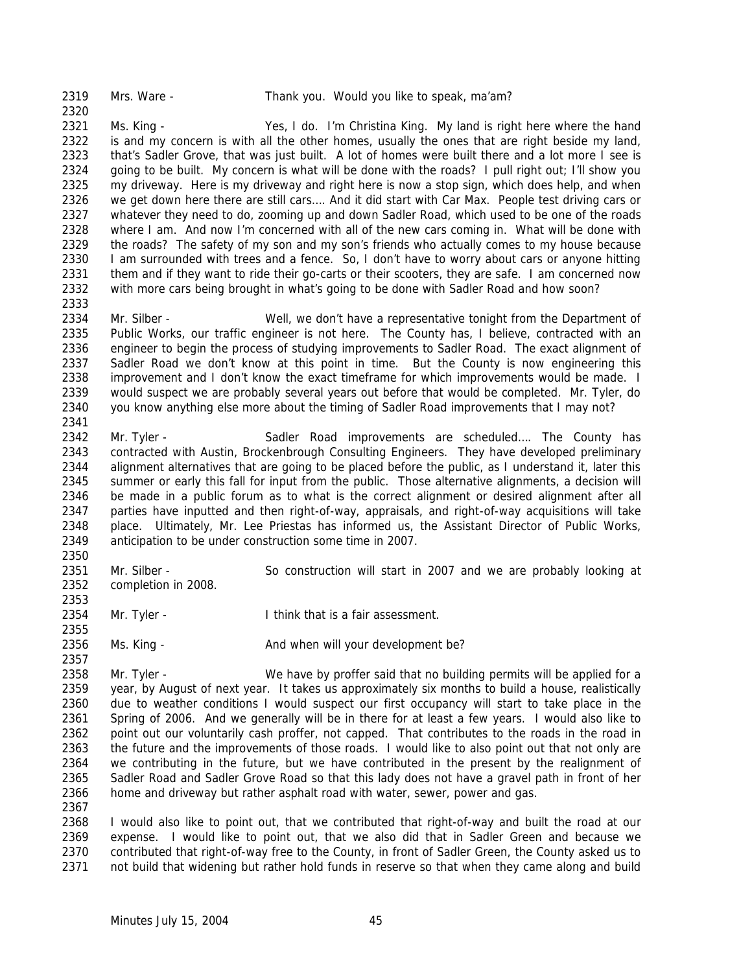Ms. King - Yes, I do. I'm Christina King. My land is right here where the hand 2322 is and my concern is with all the other homes, usually the ones that are right beside my land, 2323 that's Sadler Grove, that was just built. A lot of homes were built there and a lot more I see is going to be built. My concern is what will be done with the roads? I pull right out; I'll show you my driveway. Here is my driveway and right here is now a stop sign, which does help, and when we get down here there are still cars…. And it did start with Car Max. People test driving cars or whatever they need to do, zooming up and down Sadler Road, which used to be one of the roads 2328 where I am. And now I'm concerned with all of the new cars coming in. What will be done with 2329 the roads? The safety of my son and my son's friends who actually comes to my house because the roads? The safety of my son and my son's friends who actually comes to my house because 2330 I am surrounded with trees and a fence. So, I don't have to worry about cars or anyone hitting 2331 them and if they want to ride their go-carts or their scooters, they are safe. I am concerned now with more cars being brought in what's going to be done with Sadler Road and how soon? 

 Mr. Silber - Well, we don't have a representative tonight from the Department of Public Works, our traffic engineer is not here. The County has, I believe, contracted with an engineer to begin the process of studying improvements to Sadler Road. The exact alignment of Sadler Road we don't know at this point in time. But the County is now engineering this 2338 improvement and I don't know the exact timeframe for which improvements would be made. I would suspect we are probably several years out before that would be completed. Mr. Tyler, do you know anything else more about the timing of Sadler Road improvements that I may not?

 Mr. Tyler - Sadler Road improvements are scheduled…. The County has contracted with Austin, Brockenbrough Consulting Engineers. They have developed preliminary alignment alternatives that are going to be placed before the public, as I understand it, later this summer or early this fall for input from the public. Those alternative alignments, a decision will be made in a public forum as to what is the correct alignment or desired alignment after all parties have inputted and then right-of-way, appraisals, and right-of-way acquisitions will take place. Ultimately, Mr. Lee Priestas has informed us, the Assistant Director of Public Works, anticipation to be under construction some time in 2007.

- Mr. Silber So construction will start in 2007 and we are probably looking at completion in 2008.
- Mr. Tyler I think that is a fair assessment.
- 2356 Ms. King - And when will your development be?

2358 Mr. Tyler - We have by proffer said that no building permits will be applied for a year, by August of next year. It takes us approximately six months to build a house, realistically due to weather conditions I would suspect our first occupancy will start to take place in the Spring of 2006. And we generally will be in there for at least a few years. I would also like to point out our voluntarily cash proffer, not capped. That contributes to the roads in the road in 2363 the future and the improvements of those roads. I would like to also point out that not only are we contributing in the future, but we have contributed in the present by the realignment of Sadler Road and Sadler Grove Road so that this lady does not have a gravel path in front of her home and driveway but rather asphalt road with water, sewer, power and gas. 

 I would also like to point out, that we contributed that right-of-way and built the road at our expense. I would like to point out, that we also did that in Sadler Green and because we contributed that right-of-way free to the County, in front of Sadler Green, the County asked us to not build that widening but rather hold funds in reserve so that when they came along and build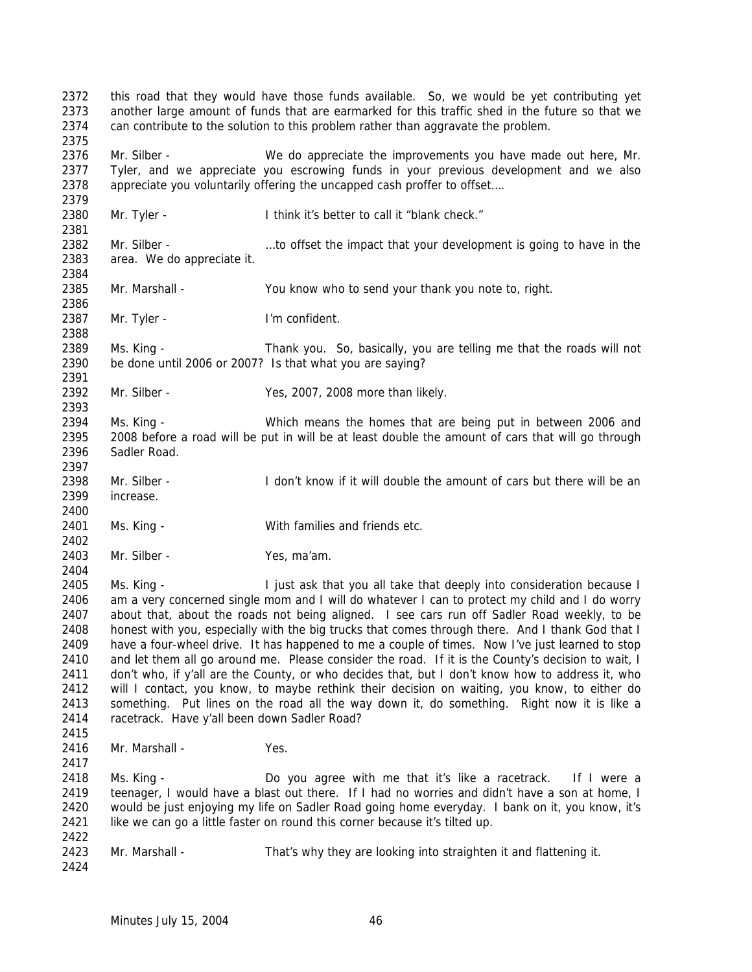this road that they would have those funds available. So, we would be yet contributing yet another large amount of funds that are earmarked for this traffic shed in the future so that we can contribute to the solution to this problem rather than aggravate the problem. Mr. Silber - We do appreciate the improvements you have made out here, Mr. Tyler, and we appreciate you escrowing funds in your previous development and we also appreciate you voluntarily offering the uncapped cash proffer to offset…. Mr. Tyler - I think it's better to call it "blank check." 2382 Mr. Silber - …to offset the impact that your development is going to have in the area. We do appreciate it. Mr. Marshall - You know who to send your thank you note to, right. 2387 Mr. Tyler - I'm confident. Ms. King - Thank you. So, basically, you are telling me that the roads will not be done until 2006 or 2007? Is that what you are saying? Mr. Silber - Yes, 2007, 2008 more than likely. Ms. King - Which means the homes that are being put in between 2006 and 2008 before a road will be put in will be at least double the amount of cars that will go through Sadler Road. 2398 Mr. Silber - I don't know if it will double the amount of cars but there will be an increase. Ms. King - With families and friends etc. Mr. Silber - Yes, ma'am. Ms. King - I just ask that you all take that deeply into consideration because I am a very concerned single mom and I will do whatever I can to protect my child and I do worry about that, about the roads not being aligned. I see cars run off Sadler Road weekly, to be honest with you, especially with the big trucks that comes through there. And I thank God that I have a four-wheel drive. It has happened to me a couple of times. Now I've just learned to stop 2410 and let them all go around me. Please consider the road. If it is the County's decision to wait, I don't who, if y'all are the County, or who decides that, but I don't know how to address it, who will I contact, you know, to maybe rethink their decision on waiting, you know, to either do something. Put lines on the road all the way down it, do something. Right now it is like a racetrack. Have y'all been down Sadler Road? 2416 Mr. Marshall - Yes. Ms. King - Do you agree with me that it's like a racetrack. If I were a teenager, I would have a blast out there. If I had no worries and didn't have a son at home, I would be just enjoying my life on Sadler Road going home everyday. I bank on it, you know, it's like we can go a little faster on round this corner because it's tilted up. Mr. Marshall - That's why they are looking into straighten it and flattening it.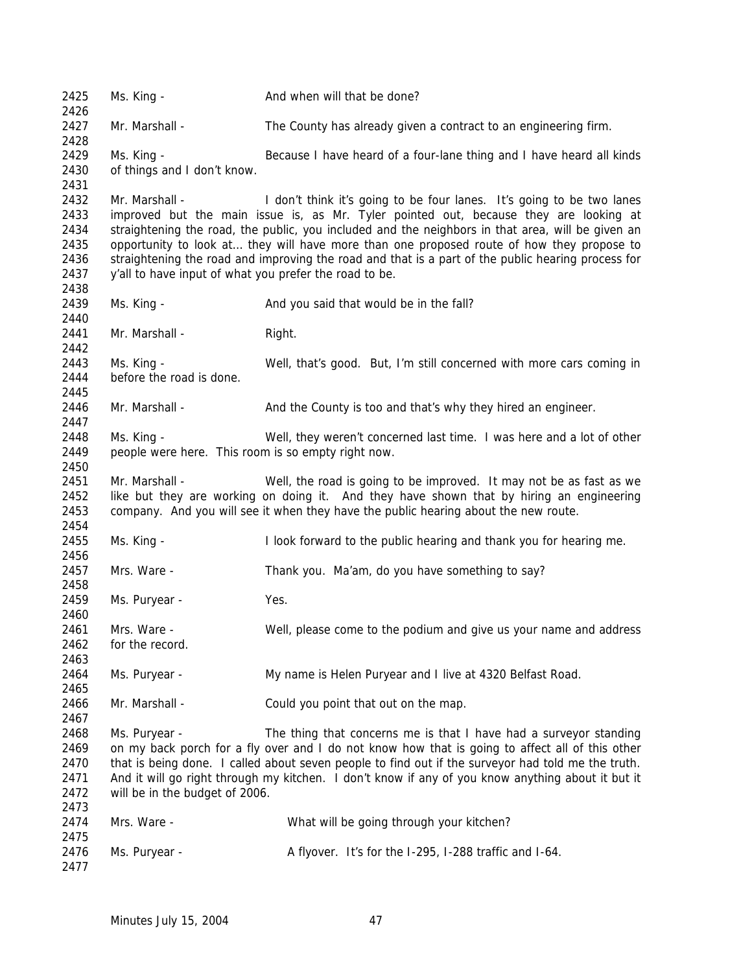| 2425         | Ms. King -                                             | And when will that be done?                                                                        |
|--------------|--------------------------------------------------------|----------------------------------------------------------------------------------------------------|
| 2426         |                                                        |                                                                                                    |
| 2427<br>2428 | Mr. Marshall -                                         | The County has already given a contract to an engineering firm.                                    |
| 2429         | Ms. King -                                             | Because I have heard of a four-lane thing and I have heard all kinds                               |
|              |                                                        |                                                                                                    |
| 2430<br>2431 | of things and I don't know.                            |                                                                                                    |
| 2432         | Mr. Marshall -                                         | I don't think it's going to be four lanes. It's going to be two lanes                              |
| 2433         |                                                        | improved but the main issue is, as Mr. Tyler pointed out, because they are looking at              |
| 2434         |                                                        | straightening the road, the public, you included and the neighbors in that area, will be given an  |
| 2435         |                                                        | opportunity to look at they will have more than one proposed route of how they propose to          |
| 2436         |                                                        | straightening the road and improving the road and that is a part of the public hearing process for |
| 2437         | y'all to have input of what you prefer the road to be. |                                                                                                    |
| 2438         |                                                        |                                                                                                    |
| 2439         | Ms. King -                                             | And you said that would be in the fall?                                                            |
| 2440         |                                                        |                                                                                                    |
| 2441<br>2442 | Mr. Marshall -                                         | Right.                                                                                             |
| 2443         | Ms. King -                                             | Well, that's good. But, I'm still concerned with more cars coming in                               |
| 2444         | before the road is done.                               |                                                                                                    |
| 2445         |                                                        |                                                                                                    |
| 2446         | Mr. Marshall -                                         | And the County is too and that's why they hired an engineer.                                       |
| 2447         |                                                        |                                                                                                    |
| 2448         | Ms. King -                                             | Well, they weren't concerned last time. I was here and a lot of other                              |
| 2449         | people were here. This room is so empty right now.     |                                                                                                    |
| 2450         |                                                        |                                                                                                    |
| 2451         | Mr. Marshall -                                         | Well, the road is going to be improved. It may not be as fast as we                                |
| 2452         |                                                        | like but they are working on doing it. And they have shown that by hiring an engineering           |
| 2453         |                                                        | company. And you will see it when they have the public hearing about the new route.                |
| 2454         |                                                        |                                                                                                    |
| 2455         | Ms. King -                                             | I look forward to the public hearing and thank you for hearing me.                                 |
| 2456         |                                                        |                                                                                                    |
| 2457         | Mrs. Ware -                                            | Thank you. Ma'am, do you have something to say?                                                    |
| 2458         |                                                        |                                                                                                    |
| 2459         | Ms. Puryear -                                          | Yes.                                                                                               |
| 2460         |                                                        |                                                                                                    |
| 2461         | Mrs. Ware -                                            | Well, please come to the podium and give us your name and address                                  |
| 2462         | for the record.                                        |                                                                                                    |
| 2463         |                                                        |                                                                                                    |
| 2464         | Ms. Puryear -                                          | My name is Helen Puryear and I live at 4320 Belfast Road.                                          |
| 2465         |                                                        |                                                                                                    |
| 2466         | Mr. Marshall -                                         | Could you point that out on the map.                                                               |
| 2467         |                                                        |                                                                                                    |
| 2468         | Ms. Puryear -                                          | The thing that concerns me is that I have had a surveyor standing                                  |
| 2469         |                                                        | on my back porch for a fly over and I do not know how that is going to affect all of this other    |
| 2470         |                                                        | that is being done. I called about seven people to find out if the surveyor had told me the truth. |
| 2471         |                                                        | And it will go right through my kitchen. I don't know if any of you know anything about it but it  |
| 2472         | will be in the budget of 2006.                         |                                                                                                    |
| 2473         |                                                        |                                                                                                    |
| 2474         | Mrs. Ware -                                            | What will be going through your kitchen?                                                           |
| 2475<br>2476 | Ms. Puryear -                                          | A flyover. It's for the I-295, I-288 traffic and I-64.                                             |
| 2477         |                                                        |                                                                                                    |
|              |                                                        |                                                                                                    |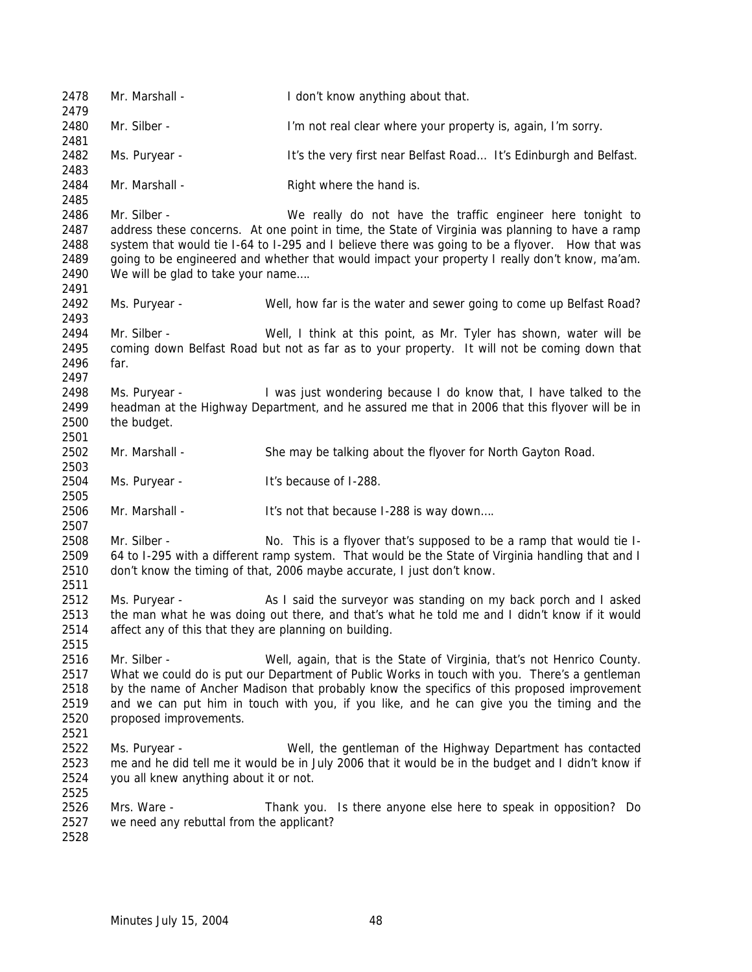Mr. Marshall - I don't know anything about that. Mr. Silber - I'm not real clear where your property is, again, I'm sorry. Ms. Puryear - It's the very first near Belfast Road… It's Edinburgh and Belfast. 2484 Mr. Marshall - Right where the hand is. Mr. Silber - We really do not have the traffic engineer here tonight to address these concerns. At one point in time, the State of Virginia was planning to have a ramp system that would tie I-64 to I-295 and I believe there was going to be a flyover. How that was going to be engineered and whether that would impact your property I really don't know, ma'am. We will be glad to take your name…. Ms. Puryear - Well, how far is the water and sewer going to come up Belfast Road? Mr. Silber - Well, I think at this point, as Mr. Tyler has shown, water will be coming down Belfast Road but not as far as to your property. It will not be coming down that far. Ms. Puryear - I was just wondering because I do know that, I have talked to the headman at the Highway Department, and he assured me that in 2006 that this flyover will be in the budget. 2502 Mr. Marshall - She may be talking about the flyover for North Gayton Road. Ms. Puryear - It's because of I-288. Mr. Marshall - It's not that because I-288 is way down…. Mr. Silber - No. This is a flyover that's supposed to be a ramp that would tie I- 64 to I-295 with a different ramp system. That would be the State of Virginia handling that and I don't know the timing of that, 2006 maybe accurate, I just don't know. 2512 Ms. Puryear - As I said the surveyor was standing on my back porch and I asked the man what he was doing out there, and that's what he told me and I didn't know if it would affect any of this that they are planning on building. Mr. Silber - Well, again, that is the State of Virginia, that's not Henrico County. What we could do is put our Department of Public Works in touch with you. There's a gentleman 2518 by the name of Ancher Madison that probably know the specifics of this proposed improvement and we can put him in touch with you, if you like, and he can give you the timing and the proposed improvements. Ms. Puryear - Well, the gentleman of the Highway Department has contacted me and he did tell me it would be in July 2006 that it would be in the budget and I didn't know if you all knew anything about it or not. Mrs. Ware - Thank you. Is there anyone else here to speak in opposition? Do we need any rebuttal from the applicant?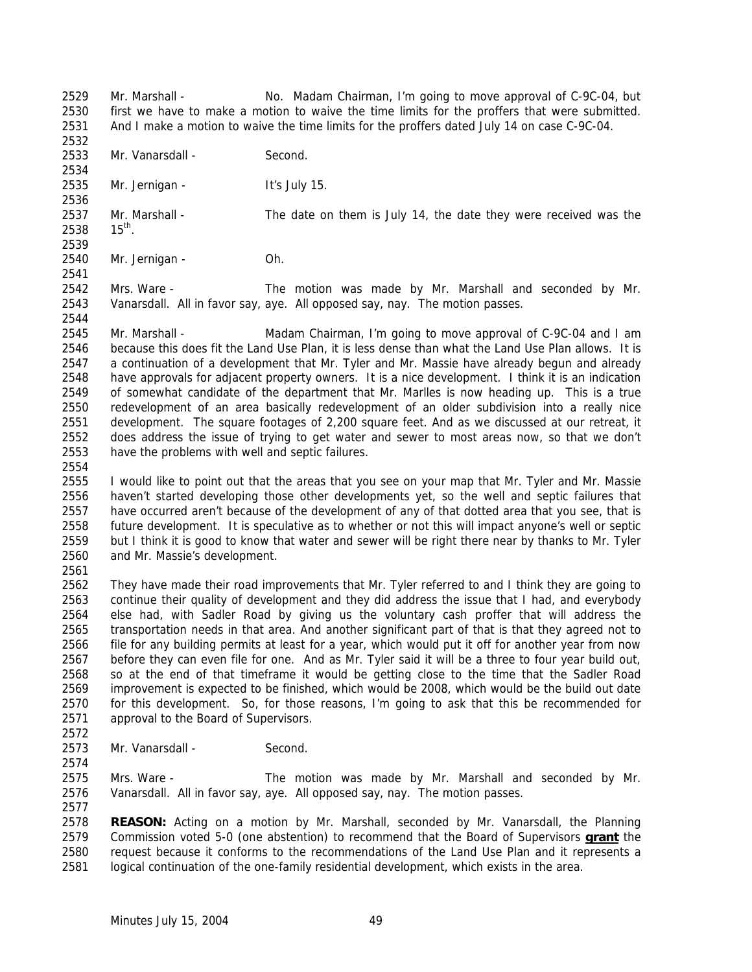Mr. Marshall - No. Madam Chairman, I'm going to move approval of C-9C-04, but first we have to make a motion to waive the time limits for the proffers that were submitted. And I make a motion to waive the time limits for the proffers dated July 14 on case C-9C-04.

2533 Mr. Vanarsdall - Second.

Mr. Jernigan - It's July 15.

Mr. Marshall - The date on them is July 14, the date they were received was the

  $15^{th}$ . 

Mr. Jernigan - Oh.

 Mrs. Ware - The motion was made by Mr. Marshall and seconded by Mr. Vanarsdall. All in favor say, aye. All opposed say, nay. The motion passes.

 Mr. Marshall - Madam Chairman, I'm going to move approval of C-9C-04 and I am because this does fit the Land Use Plan, it is less dense than what the Land Use Plan allows. It is a continuation of a development that Mr. Tyler and Mr. Massie have already begun and already have approvals for adjacent property owners. It is a nice development. I think it is an indication of somewhat candidate of the department that Mr. Marlles is now heading up. This is a true redevelopment of an area basically redevelopment of an older subdivision into a really nice development. The square footages of 2,200 square feet. And as we discussed at our retreat, it does address the issue of trying to get water and sewer to most areas now, so that we don't have the problems with well and septic failures.

 I would like to point out that the areas that you see on your map that Mr. Tyler and Mr. Massie haven't started developing those other developments yet, so the well and septic failures that have occurred aren't because of the development of any of that dotted area that you see, that is future development. It is speculative as to whether or not this will impact anyone's well or septic but I think it is good to know that water and sewer will be right there near by thanks to Mr. Tyler and Mr. Massie's development.

 They have made their road improvements that Mr. Tyler referred to and I think they are going to continue their quality of development and they did address the issue that I had, and everybody else had, with Sadler Road by giving us the voluntary cash proffer that will address the transportation needs in that area. And another significant part of that is that they agreed not to file for any building permits at least for a year, which would put it off for another year from now before they can even file for one. And as Mr. Tyler said it will be a three to four year build out, so at the end of that timeframe it would be getting close to the time that the Sadler Road improvement is expected to be finished, which would be 2008, which would be the build out date for this development. So, for those reasons, I'm going to ask that this be recommended for approval to the Board of Supervisors.

2573 Mr. Vanarsdall - Second.

 Mrs. Ware - The motion was made by Mr. Marshall and seconded by Mr. Vanarsdall. All in favor say, aye. All opposed say, nay. The motion passes. 

 **REASON:** Acting on a motion by Mr. Marshall, seconded by Mr. Vanarsdall, the Planning Commission voted 5-0 (one abstention) to recommend that the Board of Supervisors **grant** the request because it conforms to the recommendations of the Land Use Plan and it represents a logical continuation of the one-family residential development, which exists in the area.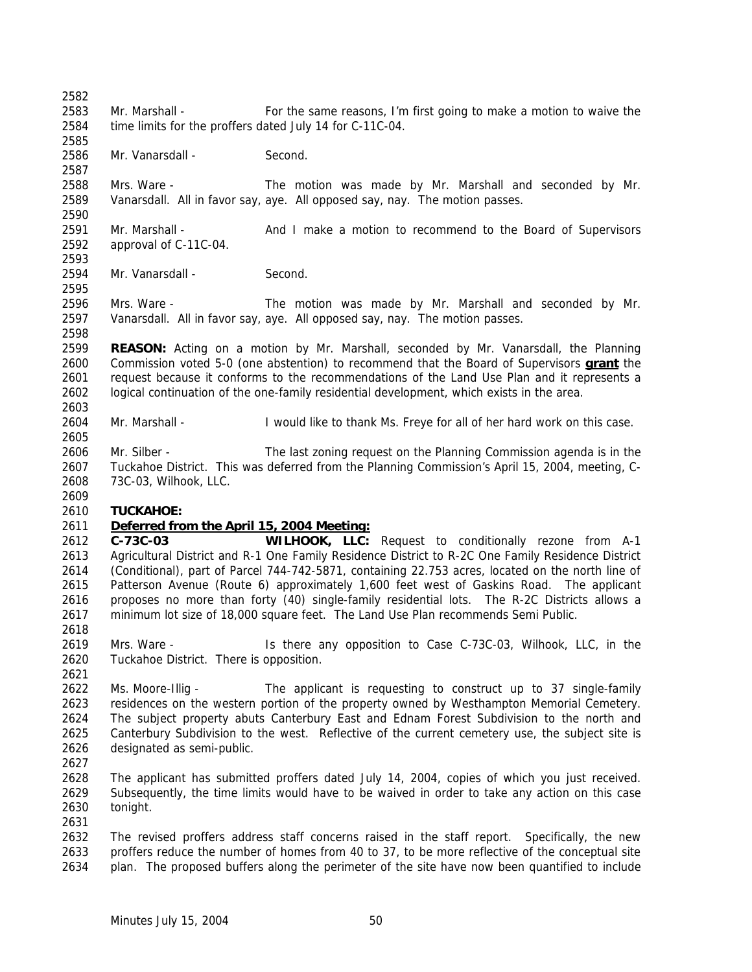Mr. Marshall - For the same reasons, I'm first going to make a motion to waive the time limits for the proffers dated July 14 for C-11C-04. 2586 Mr. Vanarsdall - Second. Mrs. Ware - The motion was made by Mr. Marshall and seconded by Mr. Vanarsdall. All in favor say, aye. All opposed say, nay. The motion passes. 2591 Mr. Marshall - And I make a motion to recommend to the Board of Supervisors approval of C-11C-04. 2594 Mr. Vanarsdall - Second. Mrs. Ware - The motion was made by Mr. Marshall and seconded by Mr. Vanarsdall. All in favor say, aye. All opposed say, nay. The motion passes. **REASON:** Acting on a motion by Mr. Marshall, seconded by Mr. Vanarsdall, the Planning Commission voted 5-0 (one abstention) to recommend that the Board of Supervisors **grant** the request because it conforms to the recommendations of the Land Use Plan and it represents a logical continuation of the one-family residential development, which exists in the area. Mr. Marshall - I would like to thank Ms. Freye for all of her hard work on this case. Mr. Silber - The last zoning request on the Planning Commission agenda is in the Tuckahoe District. This was deferred from the Planning Commission's April 15, 2004, meeting, C- 73C-03, Wilhook, LLC. **TUCKAHOE:** *Deferred from the April 15, 2004 Meeting:* **C-73C-03 WILHOOK, LLC:** Request to conditionally rezone from A-1 Agricultural District and R-1 One Family Residence District to R-2C One Family Residence District (Conditional), part of Parcel 744-742-5871, containing 22.753 acres, located on the north line of Patterson Avenue (Route 6) approximately 1,600 feet west of Gaskins Road. The applicant proposes no more than forty (40) single-family residential lots. The R-2C Districts allows a minimum lot size of 18,000 square feet. The Land Use Plan recommends Semi Public. Mrs. Ware - Is there any opposition to Case C-73C-03, Wilhook, LLC, in the Tuckahoe District. There is opposition. Ms. Moore-Illig - The applicant is requesting to construct up to 37 single-family residences on the western portion of the property owned by Westhampton Memorial Cemetery. The subject property abuts Canterbury East and Ednam Forest Subdivision to the north and Canterbury Subdivision to the west. Reflective of the current cemetery use, the subject site is designated as semi-public. The applicant has submitted proffers dated July 14, 2004, copies of which you just received. Subsequently, the time limits would have to be waived in order to take any action on this case tonight. 2632 The revised proffers address staff concerns raised in the staff report. Specifically, the new proffers reduce the number of homes from 40 to 37, to be more reflective of the conceptual site plan. The proposed buffers along the perimeter of the site have now been quantified to include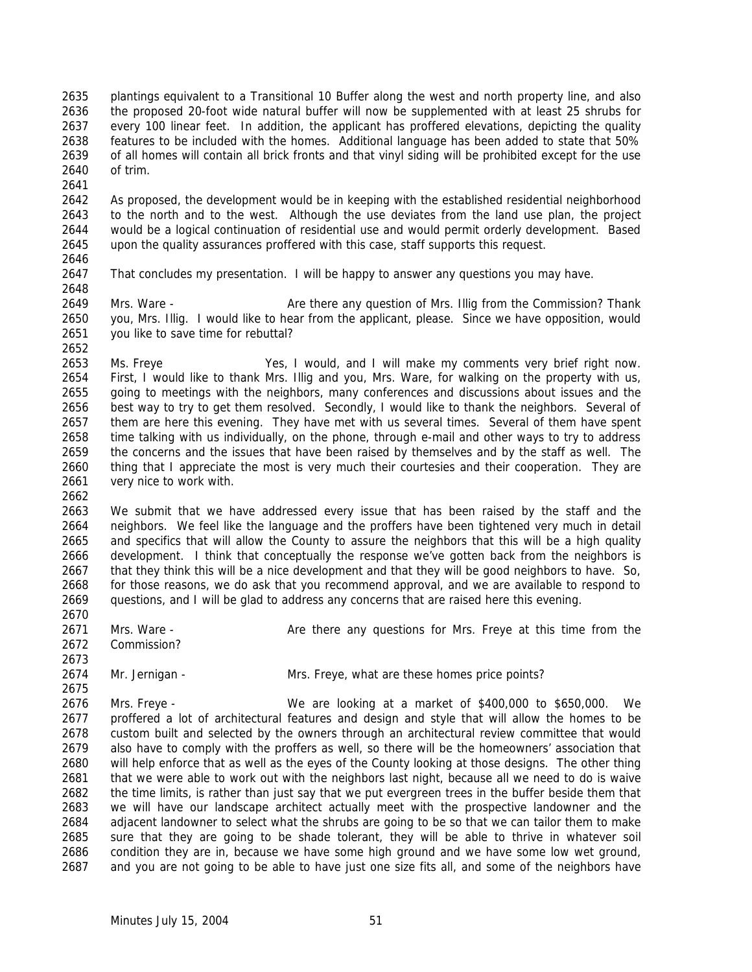plantings equivalent to a Transitional 10 Buffer along the west and north property line, and also the proposed 20-foot wide natural buffer will now be supplemented with at least 25 shrubs for every 100 linear feet. In addition, the applicant has proffered elevations, depicting the quality features to be included with the homes. Additional language has been added to state that 50% of all homes will contain all brick fronts and that vinyl siding will be prohibited except for the use of trim.

 As proposed, the development would be in keeping with the established residential neighborhood to the north and to the west. Although the use deviates from the land use plan, the project would be a logical continuation of residential use and would permit orderly development. Based upon the quality assurances proffered with this case, staff supports this request. 

That concludes my presentation. I will be happy to answer any questions you may have.

2649 Mrs. Ware - Are there any question of Mrs. Illig from the Commission? Thank you, Mrs. Illig. I would like to hear from the applicant, please. Since we have opposition, would you like to save time for rebuttal? 

 Ms. Freye Yes, I would, and I will make my comments very brief right now. First, I would like to thank Mrs. Illig and you, Mrs. Ware, for walking on the property with us, going to meetings with the neighbors, many conferences and discussions about issues and the best way to try to get them resolved. Secondly, I would like to thank the neighbors. Several of 2657 them are here this evening. They have met with us several times. Several of them have spent time talking with us individually, on the phone, through e-mail and other ways to try to address the concerns and the issues that have been raised by themselves and by the staff as well. The thing that I appreciate the most is very much their courtesies and their cooperation. They are very nice to work with.

 We submit that we have addressed every issue that has been raised by the staff and the neighbors. We feel like the language and the proffers have been tightened very much in detail and specifics that will allow the County to assure the neighbors that this will be a high quality development. I think that conceptually the response we've gotten back from the neighbors is that they think this will be a nice development and that they will be good neighbors to have. So, for those reasons, we do ask that you recommend approval, and we are available to respond to questions, and I will be glad to address any concerns that are raised here this evening.

- 2671 Mrs. Ware Are there any questions for Mrs. Freye at this time from the Commission?
- Mr. Jernigan Mrs. Freye, what are these homes price points?

 Mrs. Freye - We are looking at a market of \$400,000 to \$650,000. We proffered a lot of architectural features and design and style that will allow the homes to be custom built and selected by the owners through an architectural review committee that would also have to comply with the proffers as well, so there will be the homeowners' association that will help enforce that as well as the eyes of the County looking at those designs. The other thing that we were able to work out with the neighbors last night, because all we need to do is waive the time limits, is rather than just say that we put evergreen trees in the buffer beside them that we will have our landscape architect actually meet with the prospective landowner and the adjacent landowner to select what the shrubs are going to be so that we can tailor them to make sure that they are going to be shade tolerant, they will be able to thrive in whatever soil condition they are in, because we have some high ground and we have some low wet ground, and you are not going to be able to have just one size fits all, and some of the neighbors have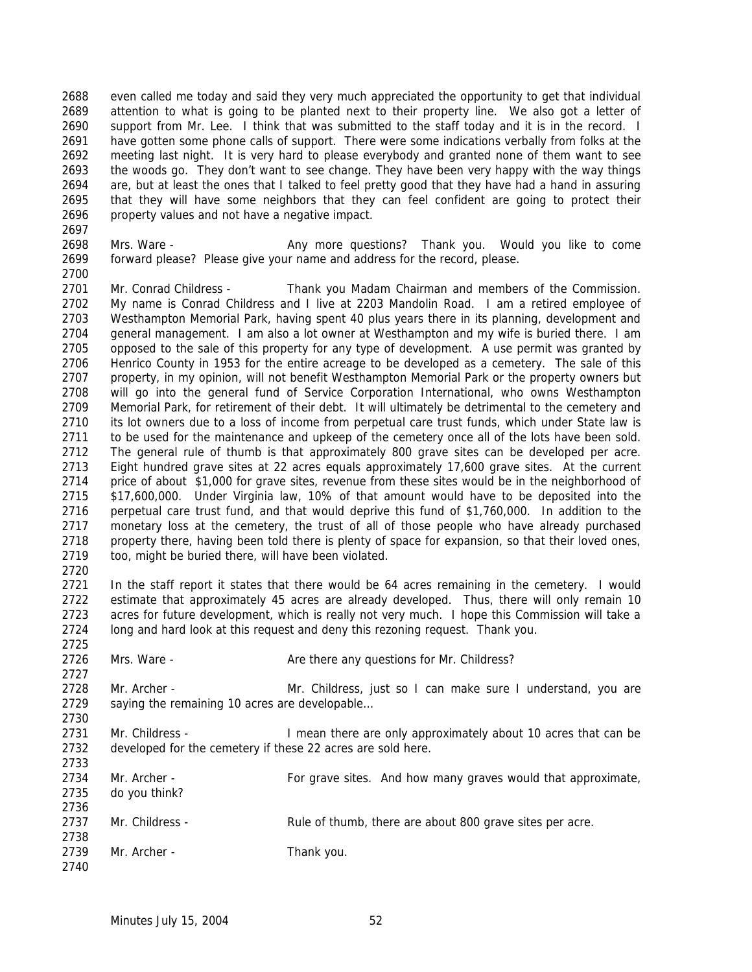even called me today and said they very much appreciated the opportunity to get that individual attention to what is going to be planted next to their property line. We also got a letter of support from Mr. Lee. I think that was submitted to the staff today and it is in the record. I 2691 have gotten some phone calls of support. There were some indications verbally from folks at the meeting last night. It is very hard to please everybody and granted none of them want to see the woods go. They don't want to see change. They have been very happy with the way things are, but at least the ones that I talked to feel pretty good that they have had a hand in assuring that they will have some neighbors that they can feel confident are going to protect their property values and not have a negative impact. 

 Mrs. Ware - Any more questions? Thank you. Would you like to come forward please? Please give your name and address for the record, please.

 Mr. Conrad Childress - Thank you Madam Chairman and members of the Commission. My name is Conrad Childress and I live at 2203 Mandolin Road. I am a retired employee of Westhampton Memorial Park, having spent 40 plus years there in its planning, development and 2704 general management. I am also a lot owner at Westhampton and my wife is buried there. I am opposed to the sale of this property for any type of development. A use permit was granted by Henrico County in 1953 for the entire acreage to be developed as a cemetery. The sale of this 2707 property, in my opinion, will not benefit Westhampton Memorial Park or the property owners but will go into the general fund of Service Corporation International, who owns Westhampton Memorial Park, for retirement of their debt. It will ultimately be detrimental to the cemetery and its lot owners due to a loss of income from perpetual care trust funds, which under State law is 2711 to be used for the maintenance and upkeep of the cemetery once all of the lots have been sold. The general rule of thumb is that approximately 800 grave sites can be developed per acre. Eight hundred grave sites at 22 acres equals approximately 17,600 grave sites. At the current price of about \$1,000 for grave sites, revenue from these sites would be in the neighborhood of \$17,600,000. Under Virginia law, 10% of that amount would have to be deposited into the perpetual care trust fund, and that would deprive this fund of \$1,760,000. In addition to the 2717 monetary loss at the cemetery, the trust of all of those people who have already purchased 2718 property there, having been told there is plenty of space for expansion, so that their loved ones, too, might be buried there, will have been violated.

 In the staff report it states that there would be 64 acres remaining in the cemetery. I would estimate that approximately 45 acres are already developed. Thus, there will only remain 10 acres for future development, which is really not very much. I hope this Commission will take a long and hard look at this request and deny this rezoning request. Thank you.

2726 Mrs. Ware - Are there any questions for Mr. Childress? 2728 Mr. Archer - Mr. Childress, just so I can make sure I understand, you are saying the remaining 10 acres are developable… Mr. Childress - I mean there are only approximately about 10 acres that can be developed for the cemetery if these 22 acres are sold here. 2734 Mr. Archer - For grave sites. And how many graves would that approximate, do you think? 2737 Mr. Childress - Rule of thumb, there are about 800 grave sites per acre. 

2739 Mr. Archer - Thank you.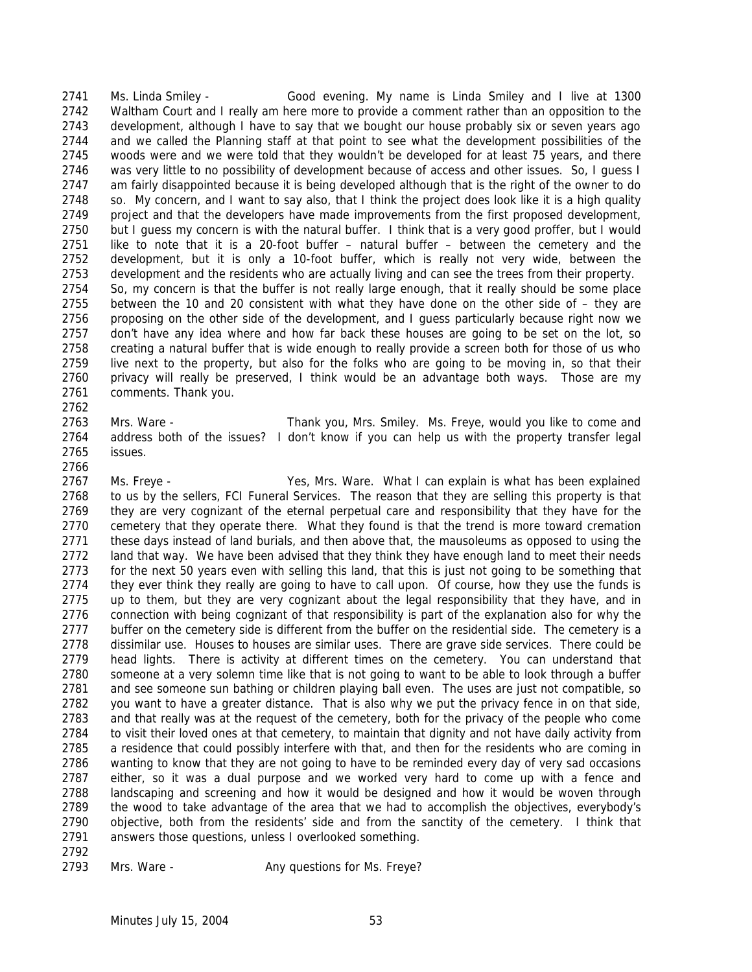Ms. Linda Smiley - Good evening. My name is Linda Smiley and I live at 1300 Waltham Court and I really am here more to provide a comment rather than an opposition to the development, although I have to say that we bought our house probably six or seven years ago and we called the Planning staff at that point to see what the development possibilities of the woods were and we were told that they wouldn't be developed for at least 75 years, and there was very little to no possibility of development because of access and other issues. So, I guess I am fairly disappointed because it is being developed although that is the right of the owner to do so. My concern, and I want to say also, that I think the project does look like it is a high quality project and that the developers have made improvements from the first proposed development, but I guess my concern is with the natural buffer. I think that is a very good proffer, but I would like to note that it is a 20-foot buffer – natural buffer – between the cemetery and the development, but it is only a 10-foot buffer, which is really not very wide, between the development and the residents who are actually living and can see the trees from their property. So, my concern is that the buffer is not really large enough, that it really should be some place between the 10 and 20 consistent with what they have done on the other side of – they are proposing on the other side of the development, and I guess particularly because right now we don't have any idea where and how far back these houses are going to be set on the lot, so creating a natural buffer that is wide enough to really provide a screen both for those of us who live next to the property, but also for the folks who are going to be moving in, so that their privacy will really be preserved, I think would be an advantage both ways. Those are my comments. Thank you. 

 Mrs. Ware - Thank you, Mrs. Smiley. Ms. Freye, would you like to come and address both of the issues? I don't know if you can help us with the property transfer legal issues.

 Ms. Freye - Yes, Mrs. Ware. What I can explain is what has been explained to us by the sellers, FCI Funeral Services. The reason that they are selling this property is that they are very cognizant of the eternal perpetual care and responsibility that they have for the cemetery that they operate there. What they found is that the trend is more toward cremation 2771 these days instead of land burials, and then above that, the mausoleums as opposed to using the 2772 land that way. We have been advised that they think they have enough land to meet their needs for the next 50 years even with selling this land, that this is just not going to be something that they ever think they really are going to have to call upon. Of course, how they use the funds is up to them, but they are very cognizant about the legal responsibility that they have, and in connection with being cognizant of that responsibility is part of the explanation also for why the 2777 buffer on the cemetery side is different from the buffer on the residential side. The cemetery is a dissimilar use. Houses to houses are similar uses. There are grave side services. There could be head lights. There is activity at different times on the cemetery. You can understand that someone at a very solemn time like that is not going to want to be able to look through a buffer and see someone sun bathing or children playing ball even. The uses are just not compatible, so you want to have a greater distance. That is also why we put the privacy fence in on that side, and that really was at the request of the cemetery, both for the privacy of the people who come 2784 to visit their loved ones at that cemetery, to maintain that dignity and not have daily activity from a residence that could possibly interfere with that, and then for the residents who are coming in wanting to know that they are not going to have to be reminded every day of very sad occasions either, so it was a dual purpose and we worked very hard to come up with a fence and landscaping and screening and how it would be designed and how it would be woven through the wood to take advantage of the area that we had to accomplish the objectives, everybody's objective, both from the residents' side and from the sanctity of the cemetery. I think that answers those questions, unless I overlooked something.

2793 Mrs. Ware - Any questions for Ms. Freye?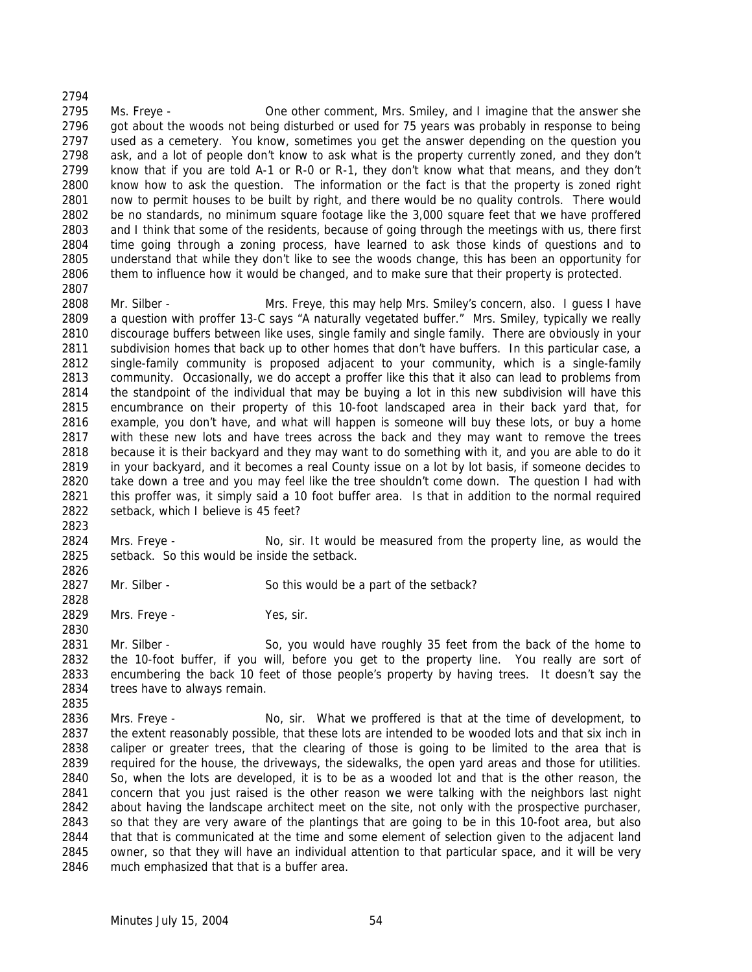Ms. Freye - One other comment, Mrs. Smiley, and I imagine that the answer she 2796 got about the woods not being disturbed or used for 75 years was probably in response to being used as a cemetery. You know, sometimes you get the answer depending on the question you ask, and a lot of people don't know to ask what is the property currently zoned, and they don't know that if you are told A-1 or R-0 or R-1, they don't know what that means, and they don't know how to ask the question. The information or the fact is that the property is zoned right now to permit houses to be built by right, and there would be no quality controls. There would be no standards, no minimum square footage like the 3,000 square feet that we have proffered and I think that some of the residents, because of going through the meetings with us, there first time going through a zoning process, have learned to ask those kinds of questions and to understand that while they don't like to see the woods change, this has been an opportunity for them to influence how it would be changed, and to make sure that their property is protected.

2808 Mr. Silber - Mrs. Freye, this may help Mrs. Smiley's concern, also. I guess I have a question with proffer 13-C says "A naturally vegetated buffer." Mrs. Smiley, typically we really discourage buffers between like uses, single family and single family. There are obviously in your subdivision homes that back up to other homes that don't have buffers. In this particular case, a single-family community is proposed adjacent to your community, which is a single-family community. Occasionally, we do accept a proffer like this that it also can lead to problems from the standpoint of the individual that may be buying a lot in this new subdivision will have this encumbrance on their property of this 10-foot landscaped area in their back yard that, for example, you don't have, and what will happen is someone will buy these lots, or buy a home with these new lots and have trees across the back and they may want to remove the trees because it is their backyard and they may want to do something with it, and you are able to do it in your backyard, and it becomes a real County issue on a lot by lot basis, if someone decides to take down a tree and you may feel like the tree shouldn't come down. The question I had with this proffer was, it simply said a 10 foot buffer area. Is that in addition to the normal required setback, which I believe is 45 feet?

 Mrs. Freye - No, sir. It would be measured from the property line, as would the setback. So this would be inside the setback.

2827 Mr. Silber - So this would be a part of the setback?

2829 Mrs. Freye - Yes, sir.

 Mr. Silber - So, you would have roughly 35 feet from the back of the home to the 10-foot buffer, if you will, before you get to the property line. You really are sort of encumbering the back 10 feet of those people's property by having trees. It doesn't say the trees have to always remain.

 Mrs. Freye - No, sir. What we proffered is that at the time of development, to 2837 the extent reasonably possible, that these lots are intended to be wooded lots and that six inch in caliper or greater trees, that the clearing of those is going to be limited to the area that is 2839 required for the house, the driveways, the sidewalks, the open yard areas and those for utilities. So, when the lots are developed, it is to be as a wooded lot and that is the other reason, the concern that you just raised is the other reason we were talking with the neighbors last night about having the landscape architect meet on the site, not only with the prospective purchaser, so that they are very aware of the plantings that are going to be in this 10-foot area, but also that that is communicated at the time and some element of selection given to the adjacent land owner, so that they will have an individual attention to that particular space, and it will be very much emphasized that that is a buffer area.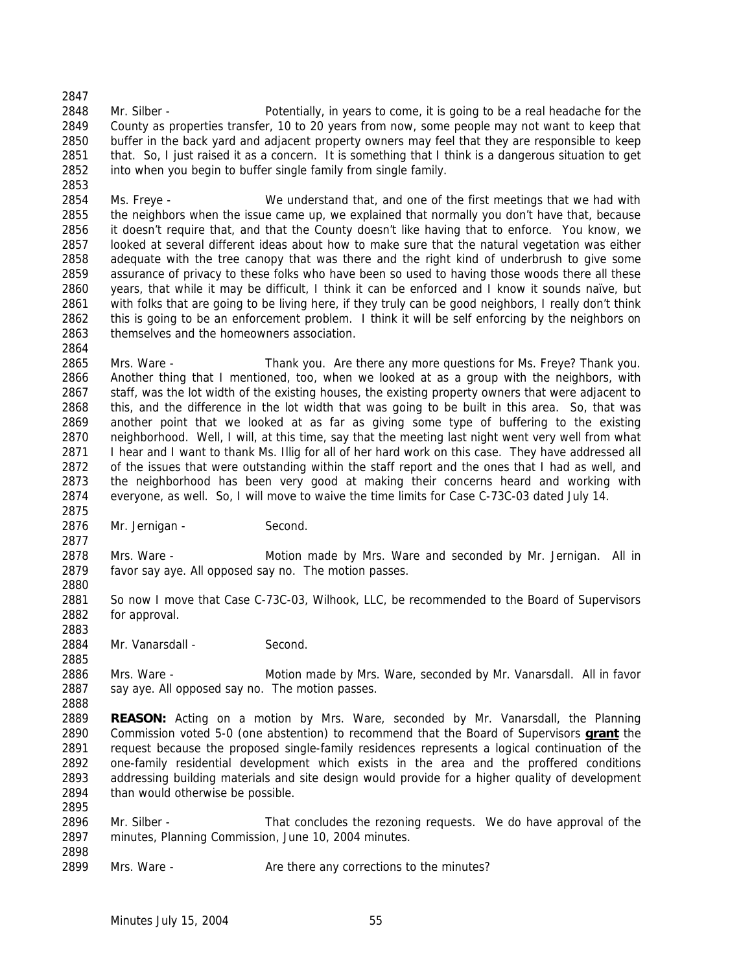Mr. Silber - Potentially, in years to come, it is going to be a real headache for the County as properties transfer, 10 to 20 years from now, some people may not want to keep that buffer in the back yard and adjacent property owners may feel that they are responsible to keep 2851 that. So, I just raised it as a concern. It is something that I think is a dangerous situation to get into when you begin to buffer single family from single family.

 Ms. Freye - We understand that, and one of the first meetings that we had with 2855 the neighbors when the issue came up, we explained that normally you don't have that, because it doesn't require that, and that the County doesn't like having that to enforce. You know, we looked at several different ideas about how to make sure that the natural vegetation was either adequate with the tree canopy that was there and the right kind of underbrush to give some assurance of privacy to these folks who have been so used to having those woods there all these years, that while it may be difficult, I think it can be enforced and I know it sounds naïve, but with folks that are going to be living here, if they truly can be good neighbors, I really don't think this is going to be an enforcement problem. I think it will be self enforcing by the neighbors on themselves and the homeowners association.

 Mrs. Ware - Thank you. Are there any more questions for Ms. Freye? Thank you. Another thing that I mentioned, too, when we looked at as a group with the neighbors, with 2867 staff, was the lot width of the existing houses, the existing property owners that were adjacent to this, and the difference in the lot width that was going to be built in this area. So, that was another point that we looked at as far as giving some type of buffering to the existing neighborhood. Well, I will, at this time, say that the meeting last night went very well from what 2871 I hear and I want to thank Ms. Illig for all of her hard work on this case. They have addressed all of the issues that were outstanding within the staff report and the ones that I had as well, and the neighborhood has been very good at making their concerns heard and working with everyone, as well. So, I will move to waive the time limits for Case C-73C-03 dated July 14. 

2876 Mr. Jernigan - Second.

 Mrs. Ware - Motion made by Mrs. Ware and seconded by Mr. Jernigan. All in favor say aye. All opposed say no. The motion passes.

2881 So now I move that Case C-73C-03, Wilhook, LLC, be recommended to the Board of Supervisors for approval.

2884 Mr. Vanarsdall - Second.

 Mrs. Ware - Motion made by Mrs. Ware, seconded by Mr. Vanarsdall. All in favor 2887 say aye. All opposed say no. The motion passes.

 **REASON:** Acting on a motion by Mrs. Ware, seconded by Mr. Vanarsdall, the Planning Commission voted 5-0 (one abstention) to recommend that the Board of Supervisors **grant** the request because the proposed single-family residences represents a logical continuation of the one-family residential development which exists in the area and the proffered conditions addressing building materials and site design would provide for a higher quality of development 2894 than would otherwise be possible.

2896 Mr. Silber - That concludes the rezoning requests. We do have approval of the minutes, Planning Commission, June 10, 2004 minutes.

2899 Mrs. Ware - Are there any corrections to the minutes?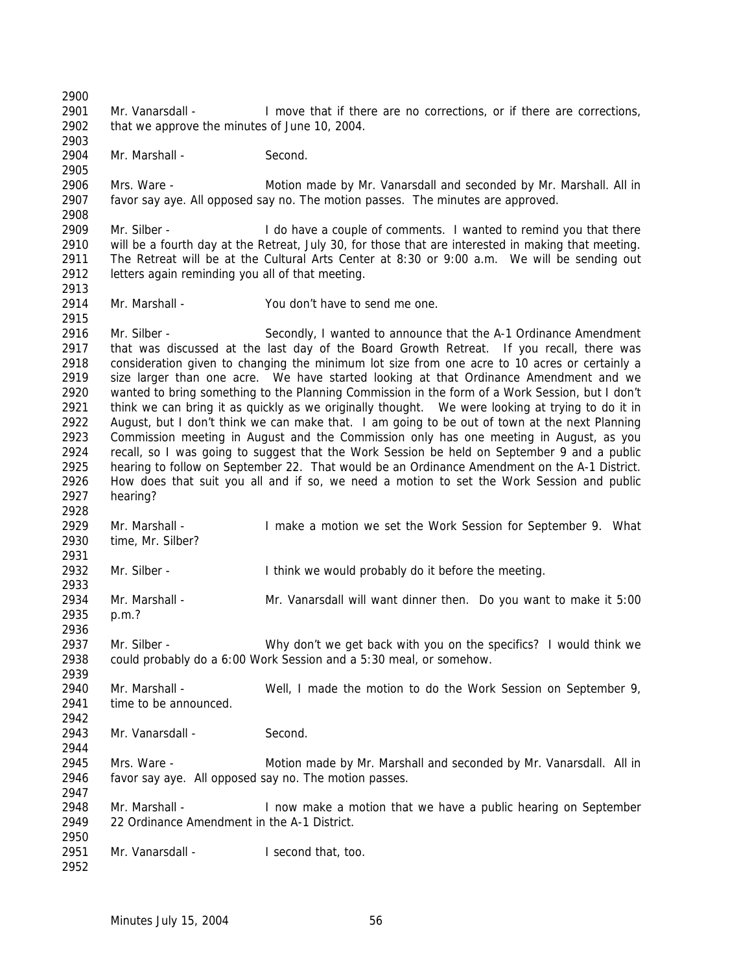Mr. Vanarsdall - I move that if there are no corrections, or if there are corrections, that we approve the minutes of June 10, 2004. 2904 Mr. Marshall - Second. Mrs. Ware - Motion made by Mr. Vanarsdall and seconded by Mr. Marshall. All in favor say aye. All opposed say no. The motion passes. The minutes are approved. Mr. Silber - I do have a couple of comments. I wanted to remind you that there will be a fourth day at the Retreat, July 30, for those that are interested in making that meeting. The Retreat will be at the Cultural Arts Center at 8:30 or 9:00 a.m. We will be sending out letters again reminding you all of that meeting. Mr. Marshall - You don't have to send me one. Mr. Silber - Secondly, I wanted to announce that the A-1 Ordinance Amendment that was discussed at the last day of the Board Growth Retreat. If you recall, there was consideration given to changing the minimum lot size from one acre to 10 acres or certainly a size larger than one acre. We have started looking at that Ordinance Amendment and we wanted to bring something to the Planning Commission in the form of a Work Session, but I don't think we can bring it as quickly as we originally thought. We were looking at trying to do it in August, but I don't think we can make that. I am going to be out of town at the next Planning Commission meeting in August and the Commission only has one meeting in August, as you recall, so I was going to suggest that the Work Session be held on September 9 and a public hearing to follow on September 22. That would be an Ordinance Amendment on the A-1 District. How does that suit you all and if so, we need a motion to set the Work Session and public hearing? 2929 Mr. Marshall - Imake a motion we set the Work Session for September 9. What time, Mr. Silber? 2932 Mr. Silber - Think we would probably do it before the meeting. Mr. Marshall - Mr. Vanarsdall will want dinner then. Do you want to make it 5:00 p.m.? Mr. Silber - Why don't we get back with you on the specifics? I would think we could probably do a 6:00 Work Session and a 5:30 meal, or somehow. Mr. Marshall - Well, I made the motion to do the Work Session on September 9, time to be announced. Mr. Vanarsdall - Second. 2945 Mrs. Ware - Motion made by Mr. Marshall and seconded by Mr. Vanarsdall. All in favor say aye. All opposed say no. The motion passes. Mr. Marshall - I now make a motion that we have a public hearing on September 22 Ordinance Amendment in the A-1 District. 2951 Mr. Vanarsdall - I second that, too.